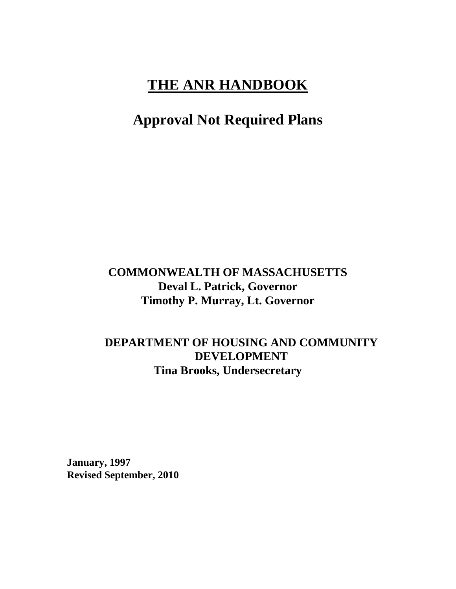# **THE ANR HANDBOOK**

# **Approval Not Required Plans**

# **COMMONWEALTH OF MASSACHUSETTS Deval L. Patrick, Governor Timothy P. Murray, Lt. Governor**

# **DEPARTMENT OF HOUSING AND COMMUNITY DEVELOPMENT Tina Brooks, Undersecretary**

**January, 1997 Revised September, 2010**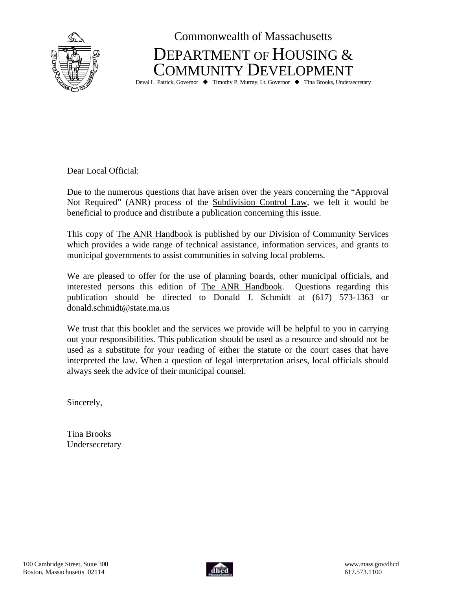

Commonwealth of Massachusetts DEPARTMENT OF HOUSING & COMMUNITY DEVELOPMENT

Deval L. Patrick, Governor  $\blacklozenge$  Timothy P. Murray, Lt. Governor  $\blacklozenge$  Tina Brooks, Undersecretary

Dear Local Official:

Due to the numerous questions that have arisen over the years concerning the "Approval Not Required" (ANR) process of the Subdivision Control Law, we felt it would be beneficial to produce and distribute a publication concerning this issue.

This copy of The ANR Handbook is published by our Division of Community Services which provides a wide range of technical assistance, information services, and grants to municipal governments to assist communities in solving local problems.

We are pleased to offer for the use of planning boards, other municipal officials, and interested persons this edition of The ANR Handbook. Questions regarding this publication should be directed to Donald J. Schmidt at (617) 573-1363 or donald.schmidt@state.ma.us

We trust that this booklet and the services we provide will be helpful to you in carrying out your responsibilities. This publication should be used as a resource and should not be used as a substitute for your reading of either the statute or the court cases that have interpreted the law. When a question of legal interpretation arises, local officials should always seek the advice of their municipal counsel.

Sincerely,

Tina Brooks Undersecretary

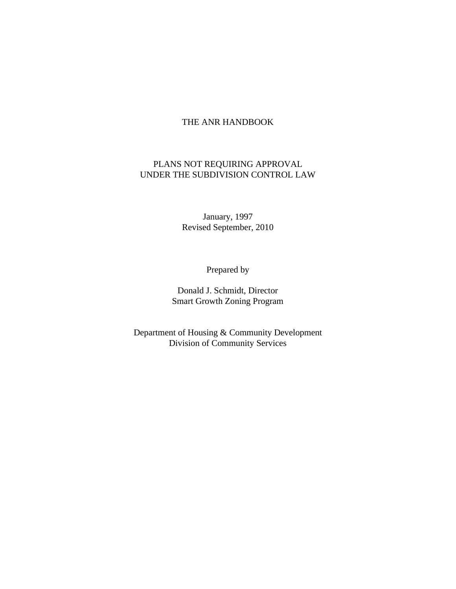# THE ANR HANDBOOK

# PLANS NOT REQUIRING APPROVAL UNDER THE SUBDIVISION CONTROL LAW

January, 1997 Revised September, 2010

Prepared by

Donald J. Schmidt, Director Smart Growth Zoning Program

Department of Housing & Community Development Division of Community Services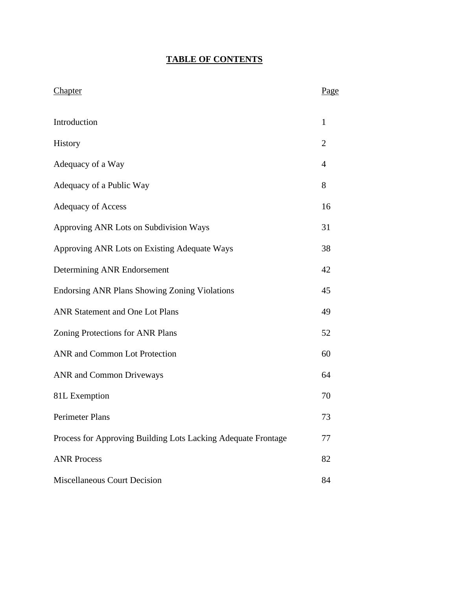# **TABLE OF CONTENTS**

| Chapter                                                       | Page           |
|---------------------------------------------------------------|----------------|
| Introduction                                                  | $\mathbf{1}$   |
| History                                                       | $\overline{2}$ |
| Adequacy of a Way                                             | $\overline{4}$ |
| Adequacy of a Public Way                                      | 8              |
| <b>Adequacy of Access</b>                                     | 16             |
| Approving ANR Lots on Subdivision Ways                        | 31             |
| Approving ANR Lots on Existing Adequate Ways                  | 38             |
| Determining ANR Endorsement                                   | 42             |
| <b>Endorsing ANR Plans Showing Zoning Violations</b>          | 45             |
| <b>ANR Statement and One Lot Plans</b>                        | 49             |
| Zoning Protections for ANR Plans                              | 52             |
| ANR and Common Lot Protection                                 | 60             |
| <b>ANR</b> and Common Driveways                               | 64             |
| 81L Exemption                                                 | 70             |
| Perimeter Plans                                               | 73             |
| Process for Approving Building Lots Lacking Adequate Frontage | 77             |
| <b>ANR Process</b>                                            | 82             |
| <b>Miscellaneous Court Decision</b>                           | 84             |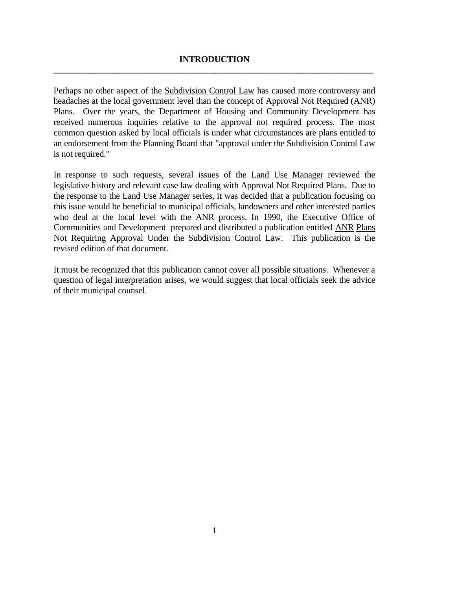# **INTRODUCTION \_\_\_\_\_\_\_\_\_\_\_\_\_\_\_\_\_\_\_\_\_\_\_\_\_\_\_\_\_\_\_\_\_\_\_\_\_\_\_\_\_\_\_\_\_\_\_\_\_\_\_\_\_\_\_\_\_\_\_\_\_\_\_\_\_\_\_\_\_\_\_\_\_**

Perhaps no other aspect of the Subdivision Control Law has caused more controversy and headaches at the local government level than the concept of Approval Not Required (ANR) Plans. Over the years, the Department of Housing and Community Development has received numerous inquiries relative to the approval not required process. The most common question asked by local officials is under what circumstances are plans entitled to an endorsement from the Planning Board that "approval under the Subdivision Control Law is not required."

In response to such requests, several issues of the Land Use Manager reviewed the legislative history and relevant case law dealing with Approval Not Required Plans. Due to the response to the Land Use Manager series, it was decided that a publication focusing on this issue would be beneficial to municipal officials, landowners and other interested parties who deal at the local level with the ANR process. In 1990, the Executive Office of Communities and Development prepared and distributed a publication entitled ANR Plans Not Requiring Approval Under the Subdivision Control Law. This publication is the revised edition of that document.

It must be recognized that this publication cannot cover all possible situations. Whenever a question of legal interpretation arises, we would suggest that local officials seek the advice of their municipal counsel.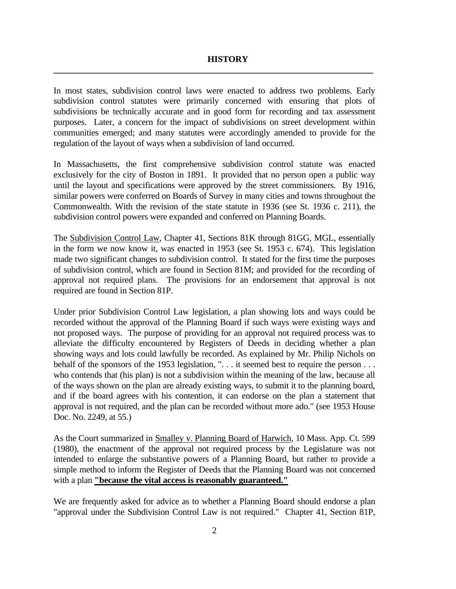#### **HISTORY**

In most states, subdivision control laws were enacted to address two problems. Early subdivision control statutes were primarily concerned with ensuring that plots of subdivisions be technically accurate and in good form for recording and tax assessment purposes. Later, a concern for the impact of subdivisions on street development within communities emerged; and many statutes were accordingly amended to provide for the regulation of the layout of ways when a subdivision of land occurred.

**\_\_\_\_\_\_\_\_\_\_\_\_\_\_\_\_\_\_\_\_\_\_\_\_\_\_\_\_\_\_\_\_\_\_\_\_\_\_\_\_\_\_\_\_\_\_\_\_\_\_\_\_\_\_\_\_\_\_\_\_\_\_\_\_\_\_\_\_\_\_\_\_\_**

In Massachusetts, the first comprehensive subdivision control statute was enacted exclusively for the city of Boston in 1891. It provided that no person open a public way until the layout and specifications were approved by the street commissioners. By 1916, similar powers were conferred on Boards of Survey in many cities and towns throughout the Commonwealth. With the revision of the state statute in 1936 (see St. 1936 c. 211), the subdivision control powers were expanded and conferred on Planning Boards.

The Subdivision Control Law, Chapter 41, Sections 81K through 81GG, MGL, essentially in the form we now know it, was enacted in 1953 (see St. 1953 c. 674). This legislation made two significant changes to subdivision control. It stated for the first time the purposes of subdivision control, which are found in Section 81M; and provided for the recording of approval not required plans. The provisions for an endorsement that approval is not required are found in Section 81P.

Under prior Subdivision Control Law legislation, a plan showing lots and ways could be recorded without the approval of the Planning Board if such ways were existing ways and not proposed ways. The purpose of providing for an approval not required process was to alleviate the difficulty encountered by Registers of Deeds in deciding whether a plan showing ways and lots could lawfully be recorded. As explained by Mr. Philip Nichols on behalf of the sponsors of the 1953 legislation, "... it seemed best to require the person ... who contends that (his plan) is not a subdivision within the meaning of the law, because all of the ways shown on the plan are already existing ways, to submit it to the planning board, and if the board agrees with his contention, it can endorse on the plan a statement that approval is not required, and the plan can be recorded without more ado." (see 1953 House Doc. No. 2249, at 55.)

As the Court summarized in Smalley v. Planning Board of Harwich, 10 Mass. App. Ct. 599 (1980), the enactment of the approval not required process by the Legislature was not intended to enlarge the substantive powers of a Planning Board, but rather to provide a simple method to inform the Register of Deeds that the Planning Board was not concerned with a plan **"because the vital access is reasonably guaranteed."**

We are frequently asked for advice as to whether a Planning Board should endorse a plan "approval under the Subdivision Control Law is not required." Chapter 41, Section 81P,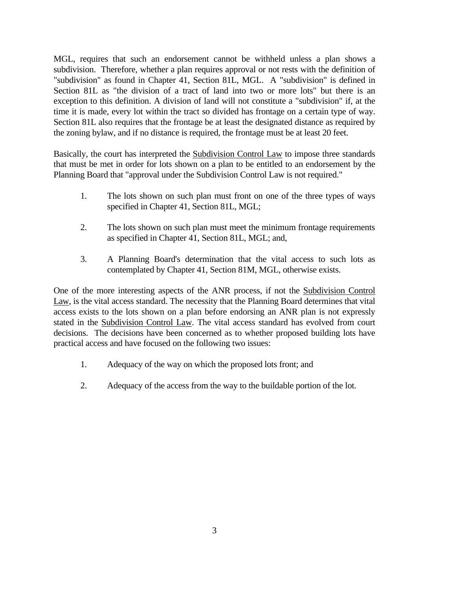MGL, requires that such an endorsement cannot be withheld unless a plan shows a subdivision. Therefore, whether a plan requires approval or not rests with the definition of "subdivision" as found in Chapter 41, Section 81L, MGL. A "subdivision" is defined in Section 81L as "the division of a tract of land into two or more lots" but there is an exception to this definition. A division of land will not constitute a "subdivision" if, at the time it is made, every lot within the tract so divided has frontage on a certain type of way. Section 81L also requires that the frontage be at least the designated distance as required by the zoning bylaw, and if no distance is required, the frontage must be at least 20 feet.

Basically, the court has interpreted the Subdivision Control Law to impose three standards that must be met in order for lots shown on a plan to be entitled to an endorsement by the Planning Board that "approval under the Subdivision Control Law is not required."

- 1. The lots shown on such plan must front on one of the three types of ways specified in Chapter 41, Section 81L, MGL;
- 2. The lots shown on such plan must meet the minimum frontage requirements as specified in Chapter 41, Section 81L, MGL; and,
- 3. A Planning Board's determination that the vital access to such lots as contemplated by Chapter 41, Section 81M, MGL, otherwise exists.

One of the more interesting aspects of the ANR process, if not the Subdivision Control Law, is the vital access standard. The necessity that the Planning Board determines that vital access exists to the lots shown on a plan before endorsing an ANR plan is not expressly stated in the Subdivision Control Law. The vital access standard has evolved from court decisions. The decisions have been concerned as to whether proposed building lots have practical access and have focused on the following two issues:

- 1. Adequacy of the way on which the proposed lots front; and
- 2. Adequacy of the access from the way to the buildable portion of the lot.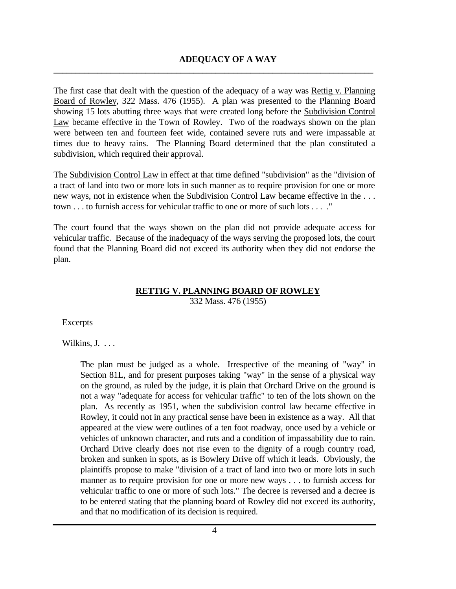The first case that dealt with the question of the adequacy of a way was Rettig v. Planning Board of Rowley, 322 Mass. 476 (1955). A plan was presented to the Planning Board showing 15 lots abutting three ways that were created long before the Subdivision Control Law became effective in the Town of Rowley. Two of the roadways shown on the plan were between ten and fourteen feet wide, contained severe ruts and were impassable at times due to heavy rains. The Planning Board determined that the plan constituted a subdivision, which required their approval.

**\_\_\_\_\_\_\_\_\_\_\_\_\_\_\_\_\_\_\_\_\_\_\_\_\_\_\_\_\_\_\_\_\_\_\_\_\_\_\_\_\_\_\_\_\_\_\_\_\_\_\_\_\_\_\_\_\_\_\_\_\_\_\_\_\_\_\_\_\_\_\_\_\_**

The Subdivision Control Law in effect at that time defined "subdivision" as the "division of a tract of land into two or more lots in such manner as to require provision for one or more new ways, not in existence when the Subdivision Control Law became effective in the . . . town . . . to furnish access for vehicular traffic to one or more of such lots . . . ."

The court found that the ways shown on the plan did not provide adequate access for vehicular traffic. Because of the inadequacy of the ways serving the proposed lots, the court found that the Planning Board did not exceed its authority when they did not endorse the plan.

# **RETTIG V. PLANNING BOARD OF ROWLEY**

332 Mass. 476 (1955)

Excerpts

Wilkins, J. . . .

The plan must be judged as a whole. Irrespective of the meaning of "way" in Section 81L, and for present purposes taking "way" in the sense of a physical way on the ground, as ruled by the judge, it is plain that Orchard Drive on the ground is not a way "adequate for access for vehicular traffic" to ten of the lots shown on the plan. As recently as 1951, when the subdivision control law became effective in Rowley, it could not in any practical sense have been in existence as a way. All that appeared at the view were outlines of a ten foot roadway, once used by a vehicle or vehicles of unknown character, and ruts and a condition of impassability due to rain. Orchard Drive clearly does not rise even to the dignity of a rough country road, broken and sunken in spots, as is Bowlery Drive off which it leads. Obviously, the plaintiffs propose to make "division of a tract of land into two or more lots in such manner as to require provision for one or more new ways . . . to furnish access for vehicular traffic to one or more of such lots." The decree is reversed and a decree is to be entered stating that the planning board of Rowley did not exceed its authority, and that no modification of its decision is required.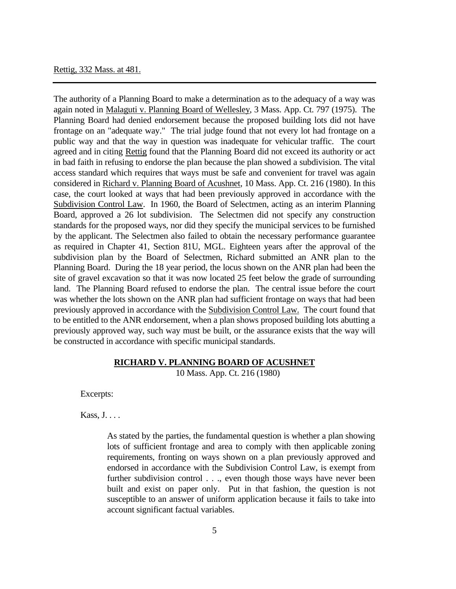# Rettig, 332 Mass. at 481.

The authority of a Planning Board to make a determination as to the adequacy of a way was again noted in Malaguti v. Planning Board of Wellesley, 3 Mass. App. Ct. 797 (1975). The Planning Board had denied endorsement because the proposed building lots did not have frontage on an "adequate way." The trial judge found that not every lot had frontage on a public way and that the way in question was inadequate for vehicular traffic. The court agreed and in citing Rettig found that the Planning Board did not exceed its authority or act in bad faith in refusing to endorse the plan because the plan showed a subdivision. The vital access standard which requires that ways must be safe and convenient for travel was again considered in Richard v. Planning Board of Acushnet, 10 Mass. App. Ct. 216 (1980). In this case, the court looked at ways that had been previously approved in accordance with the Subdivision Control Law. In 1960, the Board of Selectmen, acting as an interim Planning Board, approved a 26 lot subdivision. The Selectmen did not specify any construction standards for the proposed ways, nor did they specify the municipal services to be furnished by the applicant. The Selectmen also failed to obtain the necessary performance guarantee as required in Chapter 41, Section 81U, MGL. Eighteen years after the approval of the subdivision plan by the Board of Selectmen, Richard submitted an ANR plan to the Planning Board. During the 18 year period, the locus shown on the ANR plan had been the site of gravel excavation so that it was now located 25 feet below the grade of surrounding land. The Planning Board refused to endorse the plan. The central issue before the court was whether the lots shown on the ANR plan had sufficient frontage on ways that had been previously approved in accordance with the Subdivision Control Law. The court found that to be entitled to the ANR endorsement, when a plan shows proposed building lots abutting a previously approved way, such way must be built, or the assurance exists that the way will be constructed in accordance with specific municipal standards.

# **RICHARD V. PLANNING BOARD OF ACUSHNET**

10 Mass. App. Ct. 216 (1980)

Excerpts:

Kass, J. . . .

As stated by the parties, the fundamental question is whether a plan showing lots of sufficient frontage and area to comply with then applicable zoning requirements, fronting on ways shown on a plan previously approved and endorsed in accordance with the Subdivision Control Law, is exempt from further subdivision control . . ., even though those ways have never been built and exist on paper only. Put in that fashion, the question is not susceptible to an answer of uniform application because it fails to take into account significant factual variables.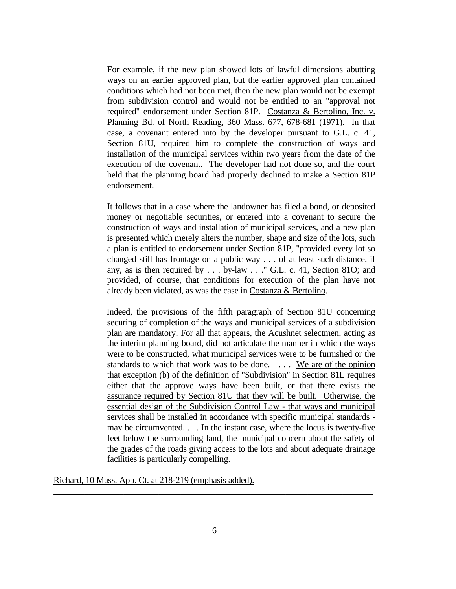For example, if the new plan showed lots of lawful dimensions abutting ways on an earlier approved plan, but the earlier approved plan contained conditions which had not been met, then the new plan would not be exempt from subdivision control and would not be entitled to an "approval not required" endorsement under Section 81P. Costanza & Bertolino, Inc. v. Planning Bd. of North Reading, 360 Mass. 677, 678-681 (1971). In that case, a covenant entered into by the developer pursuant to G.L. c. 41, Section 81U, required him to complete the construction of ways and installation of the municipal services within two years from the date of the execution of the covenant. The developer had not done so, and the court held that the planning board had properly declined to make a Section 81P endorsement.

It follows that in a case where the landowner has filed a bond, or deposited money or negotiable securities, or entered into a covenant to secure the construction of ways and installation of municipal services, and a new plan is presented which merely alters the number, shape and size of the lots, such a plan is entitled to endorsement under Section 81P, "provided every lot so changed still has frontage on a public way . . . of at least such distance, if any, as is then required by . . . by-law . . ." G.L. c. 41, Section 81O; and provided, of course, that conditions for execution of the plan have not already been violated, as was the case in Costanza & Bertolino.

 Indeed, the provisions of the fifth paragraph of Section 81U concerning securing of completion of the ways and municipal services of a subdivision plan are mandatory. For all that appears, the Acushnet selectmen, acting as the interim planning board, did not articulate the manner in which the ways were to be constructed, what municipal services were to be furnished or the standards to which that work was to be done. . . . We are of the opinion that exception (b) of the definition of "Subdivision" in Section 81L requires either that the approve ways have been built, or that there exists the assurance required by Section 81U that they will be built. Otherwise, the essential design of the Subdivision Control Law - that ways and municipal services shall be installed in accordance with specific municipal standards may be circumvented. . . . In the instant case, where the locus is twenty-five feet below the surrounding land, the municipal concern about the safety of the grades of the roads giving access to the lots and about adequate drainage facilities is particularly compelling.

Richard, 10 Mass. App. Ct. at 218-219 (emphasis added).

**\_\_\_\_\_\_\_\_\_\_\_\_\_\_\_\_\_\_\_\_\_\_\_\_\_\_\_\_\_\_\_\_\_\_\_\_\_\_\_\_\_\_\_\_\_\_\_\_\_\_\_\_\_\_\_\_\_\_\_\_\_\_\_\_\_\_\_\_\_\_\_\_\_**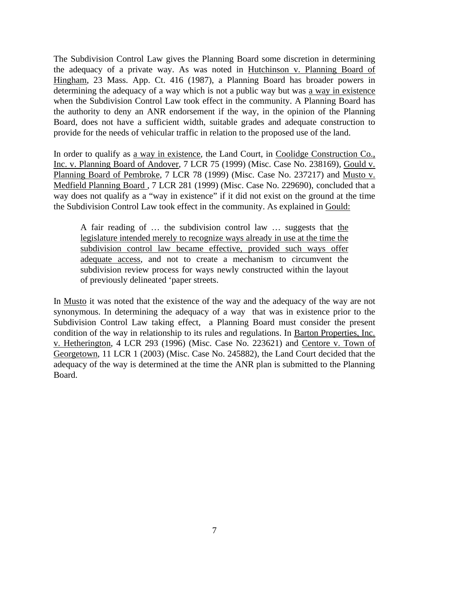The Subdivision Control Law gives the Planning Board some discretion in determining the adequacy of a private way. As was noted in Hutchinson v. Planning Board of Hingham, 23 Mass. App. Ct. 416 (1987), a Planning Board has broader powers in determining the adequacy of a way which is not a public way but was a way in existence when the Subdivision Control Law took effect in the community. A Planning Board has the authority to deny an ANR endorsement if the way, in the opinion of the Planning Board, does not have a sufficient width, suitable grades and adequate construction to provide for the needs of vehicular traffic in relation to the proposed use of the land.

In order to qualify as a way in existence, the Land Court, in Coolidge Construction Co., Inc. v. Planning Board of Andover, 7 LCR 75 (1999) (Misc. Case No. 238169), Gould v. Planning Board of Pembroke, 7 LCR 78 (1999) (Misc. Case No. 237217) and Musto v. Medfield Planning Board , 7 LCR 281 (1999) (Misc. Case No. 229690), concluded that a way does not qualify as a "way in existence" if it did not exist on the ground at the time the Subdivision Control Law took effect in the community. As explained in Gould:

A fair reading of … the subdivision control law … suggests that the legislature intended merely to recognize ways already in use at the time the subdivision control law became effective, provided such ways offer adequate access, and not to create a mechanism to circumvent the subdivision review process for ways newly constructed within the layout of previously delineated 'paper streets.

In Musto it was noted that the existence of the way and the adequacy of the way are not synonymous. In determining the adequacy of a way that was in existence prior to the Subdivision Control Law taking effect, a Planning Board must consider the present condition of the way in relationship to its rules and regulations. In Barton Properties, Inc. v. Hetherington, 4 LCR 293 (1996) (Misc. Case No. 223621) and Centore v. Town of Georgetown, 11 LCR 1 (2003) (Misc. Case No. 245882), the Land Court decided that the adequacy of the way is determined at the time the ANR plan is submitted to the Planning Board.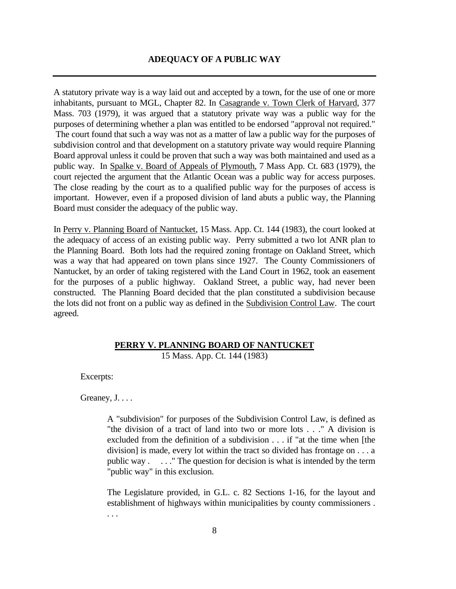# **ADEQUACY OF A PUBLIC WAY**

A statutory private way is a way laid out and accepted by a town, for the use of one or more inhabitants, pursuant to MGL, Chapter 82. In Casagrande v. Town Clerk of Harvard, 377 Mass. 703 (1979), it was argued that a statutory private way was a public way for the purposes of determining whether a plan was entitled to be endorsed "approval not required." The court found that such a way was not as a matter of law a public way for the purposes of subdivision control and that development on a statutory private way would require Planning Board approval unless it could be proven that such a way was both maintained and used as a public way. In Spalke v. Board of Appeals of Plymouth, 7 Mass App. Ct. 683 (1979), the court rejected the argument that the Atlantic Ocean was a public way for access purposes. The close reading by the court as to a qualified public way for the purposes of access is important. However, even if a proposed division of land abuts a public way, the Planning Board must consider the adequacy of the public way.

In Perry v. Planning Board of Nantucket, 15 Mass. App. Ct. 144 (1983), the court looked at the adequacy of access of an existing public way. Perry submitted a two lot ANR plan to the Planning Board. Both lots had the required zoning frontage on Oakland Street, which was a way that had appeared on town plans since 1927. The County Commissioners of Nantucket, by an order of taking registered with the Land Court in 1962, took an easement for the purposes of a public highway. Oakland Street, a public way, had never been constructed. The Planning Board decided that the plan constituted a subdivision because the lots did not front on a public way as defined in the Subdivision Control Law. The court agreed.

## **PERRY V. PLANNING BOARD OF NANTUCKET**

15 Mass. App. Ct. 144 (1983)

Excerpts:

Greaney, J....

A "subdivision" for purposes of the Subdivision Control Law, is defined as "the division of a tract of land into two or more lots . . ." A division is excluded from the definition of a subdivision . . . if "at the time when [the division] is made, every lot within the tract so divided has frontage on . . . a public way . . . ." The question for decision is what is intended by the term "public way" in this exclusion.

The Legislature provided, in G.L. c. 82 Sections 1-16, for the layout and establishment of highways within municipalities by county commissioners . . . .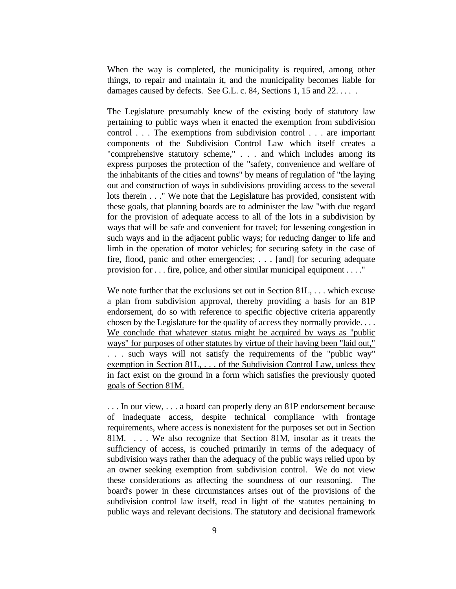When the way is completed, the municipality is required, among other things, to repair and maintain it, and the municipality becomes liable for damages caused by defects. See G.L. c. 84, Sections 1, 15 and 22.....

The Legislature presumably knew of the existing body of statutory law pertaining to public ways when it enacted the exemption from subdivision control . . . The exemptions from subdivision control . . . are important components of the Subdivision Control Law which itself creates a "comprehensive statutory scheme," . . . and which includes among its express purposes the protection of the "safety, convenience and welfare of the inhabitants of the cities and towns" by means of regulation of "the laying out and construction of ways in subdivisions providing access to the several lots therein . . ." We note that the Legislature has provided, consistent with these goals, that planning boards are to administer the law "with due regard for the provision of adequate access to all of the lots in a subdivision by ways that will be safe and convenient for travel; for lessening congestion in such ways and in the adjacent public ways; for reducing danger to life and limb in the operation of motor vehicles; for securing safety in the case of fire, flood, panic and other emergencies; . . . [and] for securing adequate provision for . . . fire, police, and other similar municipal equipment . . . ."

We note further that the exclusions set out in Section 81L, ... which excuse a plan from subdivision approval, thereby providing a basis for an 81P endorsement, do so with reference to specific objective criteria apparently chosen by the Legislature for the quality of access they normally provide. . . . We conclude that whatever status might be acquired by ways as "public ways" for purposes of other statutes by virtue of their having been "laid out," . . . such ways will not satisfy the requirements of the "public way" exemption in Section 81L, . . . of the Subdivision Control Law, unless they in fact exist on the ground in a form which satisfies the previously quoted goals of Section 81M.

. . . In our view, . . . a board can properly deny an 81P endorsement because of inadequate access, despite technical compliance with frontage requirements, where access is nonexistent for the purposes set out in Section 81M. . . . We also recognize that Section 81M, insofar as it treats the sufficiency of access, is couched primarily in terms of the adequacy of subdivision ways rather than the adequacy of the public ways relied upon by an owner seeking exemption from subdivision control. We do not view these considerations as affecting the soundness of our reasoning. The board's power in these circumstances arises out of the provisions of the subdivision control law itself, read in light of the statutes pertaining to public ways and relevant decisions. The statutory and decisional framework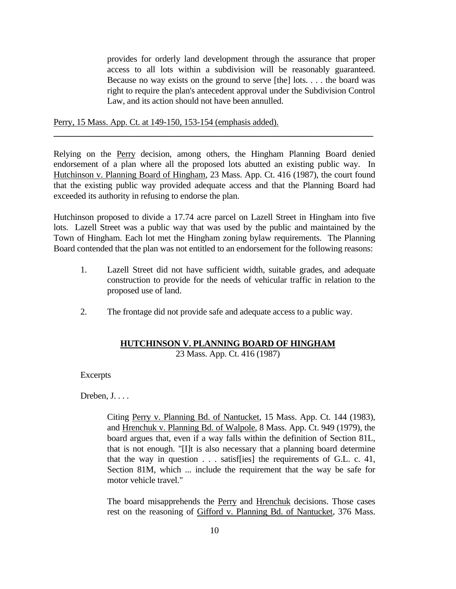provides for orderly land development through the assurance that proper access to all lots within a subdivision will be reasonably guaranteed. Because no way exists on the ground to serve [the] lots. . . . the board was right to require the plan's antecedent approval under the Subdivision Control Law, and its action should not have been annulled.

Perry, 15 Mass. App. Ct. at 149-150, 153-154 (emphasis added).

Relying on the Perry decision, among others, the Hingham Planning Board denied endorsement of a plan where all the proposed lots abutted an existing public way. In Hutchinson v. Planning Board of Hingham, 23 Mass. App. Ct. 416 (1987), the court found that the existing public way provided adequate access and that the Planning Board had exceeded its authority in refusing to endorse the plan.

**\_\_\_\_\_\_\_\_\_\_\_\_\_\_\_\_\_\_\_\_\_\_\_\_\_\_\_\_\_\_\_\_\_\_\_\_\_\_\_\_\_\_\_\_\_\_\_\_\_\_\_\_\_\_\_\_\_\_\_\_\_\_\_\_\_\_\_\_\_\_\_\_\_**

Hutchinson proposed to divide a 17.74 acre parcel on Lazell Street in Hingham into five lots. Lazell Street was a public way that was used by the public and maintained by the Town of Hingham. Each lot met the Hingham zoning bylaw requirements. The Planning Board contended that the plan was not entitled to an endorsement for the following reasons:

- 1. Lazell Street did not have sufficient width, suitable grades, and adequate construction to provide for the needs of vehicular traffic in relation to the proposed use of land.
- 2. The frontage did not provide safe and adequate access to a public way.

# **HUTCHINSON V. PLANNING BOARD OF HINGHAM**

23 Mass. App. Ct. 416 (1987)

**Excerpts** 

Dreben, J. . . .

Citing Perry v. Planning Bd. of Nantucket, 15 Mass. App. Ct. 144 (1983), and Hrenchuk v. Planning Bd. of Walpole, 8 Mass. App. Ct. 949 (1979), the board argues that, even if a way falls within the definition of Section 81L, that is not enough. "[I]t is also necessary that a planning board determine that the way in question . . . satisf[ies] the requirements of G.L. c. 41, Section 81M, which ... include the requirement that the way be safe for motor vehicle travel."

The board misapprehends the Perry and Hrenchuk decisions. Those cases rest on the reasoning of Gifford v. Planning Bd. of Nantucket, 376 Mass.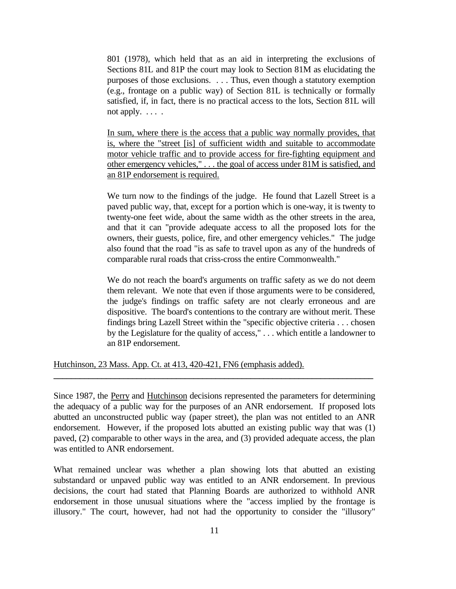801 (1978), which held that as an aid in interpreting the exclusions of Sections 81L and 81P the court may look to Section 81M as elucidating the purposes of those exclusions. . . . Thus, even though a statutory exemption (e.g., frontage on a public way) of Section 81L is technically or formally satisfied, if, in fact, there is no practical access to the lots, Section 81L will not apply.  $\dots$ .

In sum, where there is the access that a public way normally provides, that is, where the "street [is] of sufficient width and suitable to accommodate motor vehicle traffic and to provide access for fire-fighting equipment and other emergency vehicles," . . . the goal of access under 81M is satisfied, and an 81P endorsement is required.

We turn now to the findings of the judge. He found that Lazell Street is a paved public way, that, except for a portion which is one-way, it is twenty to twenty-one feet wide, about the same width as the other streets in the area, and that it can "provide adequate access to all the proposed lots for the owners, their guests, police, fire, and other emergency vehicles." The judge also found that the road "is as safe to travel upon as any of the hundreds of comparable rural roads that criss-cross the entire Commonwealth."

We do not reach the board's arguments on traffic safety as we do not deem them relevant. We note that even if those arguments were to be considered, the judge's findings on traffic safety are not clearly erroneous and are dispositive. The board's contentions to the contrary are without merit. These findings bring Lazell Street within the "specific objective criteria . . . chosen by the Legislature for the quality of access," . . . which entitle a landowner to an 81P endorsement.

Hutchinson, 23 Mass. App. Ct. at 413, 420-421, FN6 (emphasis added).

Since 1987, the Perry and Hutchinson decisions represented the parameters for determining the adequacy of a public way for the purposes of an ANR endorsement. If proposed lots abutted an unconstructed public way (paper street), the plan was not entitled to an ANR endorsement. However, if the proposed lots abutted an existing public way that was (1) paved, (2) comparable to other ways in the area, and (3) provided adequate access, the plan was entitled to ANR endorsement.

**\_\_\_\_\_\_\_\_\_\_\_\_\_\_\_\_\_\_\_\_\_\_\_\_\_\_\_\_\_\_\_\_\_\_\_\_\_\_\_\_\_\_\_\_\_\_\_\_\_\_\_\_\_\_\_\_\_\_\_\_\_\_\_\_\_\_\_\_\_\_\_\_\_**

What remained unclear was whether a plan showing lots that abutted an existing substandard or unpaved public way was entitled to an ANR endorsement. In previous decisions, the court had stated that Planning Boards are authorized to withhold ANR endorsement in those unusual situations where the "access implied by the frontage is illusory." The court, however, had not had the opportunity to consider the "illusory"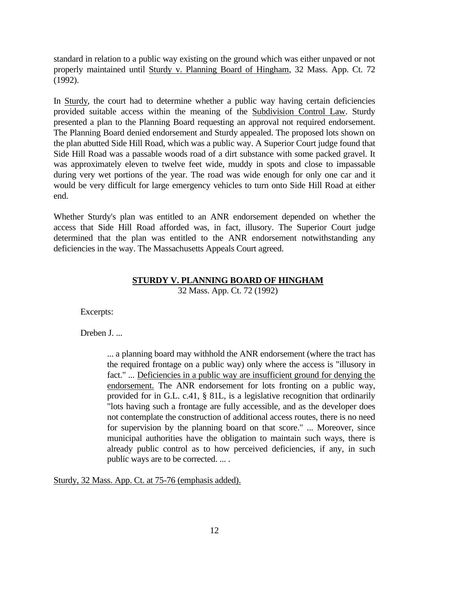standard in relation to a public way existing on the ground which was either unpaved or not properly maintained until Sturdy v. Planning Board of Hingham, 32 Mass. App. Ct. 72 (1992).

In Sturdy, the court had to determine whether a public way having certain deficiencies provided suitable access within the meaning of the Subdivision Control Law. Sturdy presented a plan to the Planning Board requesting an approval not required endorsement. The Planning Board denied endorsement and Sturdy appealed. The proposed lots shown on the plan abutted Side Hill Road, which was a public way. A Superior Court judge found that Side Hill Road was a passable woods road of a dirt substance with some packed gravel. It was approximately eleven to twelve feet wide, muddy in spots and close to impassable during very wet portions of the year. The road was wide enough for only one car and it would be very difficult for large emergency vehicles to turn onto Side Hill Road at either end.

Whether Sturdy's plan was entitled to an ANR endorsement depended on whether the access that Side Hill Road afforded was, in fact, illusory. The Superior Court judge determined that the plan was entitled to the ANR endorsement notwithstanding any deficiencies in the way. The Massachusetts Appeals Court agreed.

## **STURDY V. PLANNING BOARD OF HINGHAM**

32 Mass. App. Ct. 72 (1992)

Excerpts:

Dreben J....

... a planning board may withhold the ANR endorsement (where the tract has the required frontage on a public way) only where the access is "illusory in fact." ... Deficiencies in a public way are insufficient ground for denying the endorsement. The ANR endorsement for lots fronting on a public way, provided for in G.L. c.41, § 81L, is a legislative recognition that ordinarily "lots having such a frontage are fully accessible, and as the developer does not contemplate the construction of additional access routes, there is no need for supervision by the planning board on that score." ... Moreover, since municipal authorities have the obligation to maintain such ways, there is already public control as to how perceived deficiencies, if any, in such public ways are to be corrected. ... .

Sturdy, 32 Mass. App. Ct. at 75-76 (emphasis added).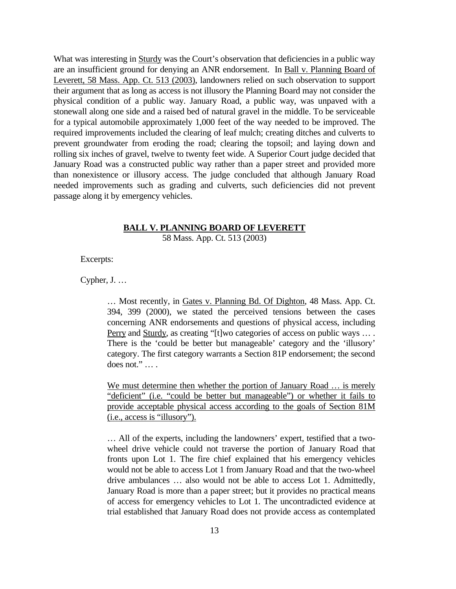What was interesting in Sturdy was the Court's observation that deficiencies in a public way are an insufficient ground for denying an ANR endorsement. In Ball v. Planning Board of Leverett, 58 Mass. App. Ct. 513 (2003), landowners relied on such observation to support their argument that as long as access is not illusory the Planning Board may not consider the physical condition of a public way. January Road, a public way, was unpaved with a stonewall along one side and a raised bed of natural gravel in the middle. To be serviceable for a typical automobile approximately 1,000 feet of the way needed to be improved. The required improvements included the clearing of leaf mulch; creating ditches and culverts to prevent groundwater from eroding the road; clearing the topsoil; and laying down and rolling six inches of gravel, twelve to twenty feet wide. A Superior Court judge decided that January Road was a constructed public way rather than a paper street and provided more than nonexistence or illusory access. The judge concluded that although January Road needed improvements such as grading and culverts, such deficiencies did not prevent passage along it by emergency vehicles.

#### **BALL V. PLANNING BOARD OF LEVERETT**

58 Mass. App. Ct. 513 (2003)

Excerpts:

Cypher, J. …

… Most recently, in Gates v. Planning Bd. Of Dighton, 48 Mass. App. Ct. 394, 399 (2000), we stated the perceived tensions between the cases concerning ANR endorsements and questions of physical access, including Perry and Sturdy, as creating "[t]wo categories of access on public ways ... . There is the 'could be better but manageable' category and the 'illusory' category. The first category warrants a Section 81P endorsement; the second does not." … .

We must determine then whether the portion of January Road ... is merely "deficient" (i.e. "could be better but manageable") or whether it fails to provide acceptable physical access according to the goals of Section 81M (i.e., access is "illusory").

… All of the experts, including the landowners' expert, testified that a twowheel drive vehicle could not traverse the portion of January Road that fronts upon Lot 1. The fire chief explained that his emergency vehicles would not be able to access Lot 1 from January Road and that the two-wheel drive ambulances … also would not be able to access Lot 1. Admittedly, January Road is more than a paper street; but it provides no practical means of access for emergency vehicles to Lot 1. The uncontradicted evidence at trial established that January Road does not provide access as contemplated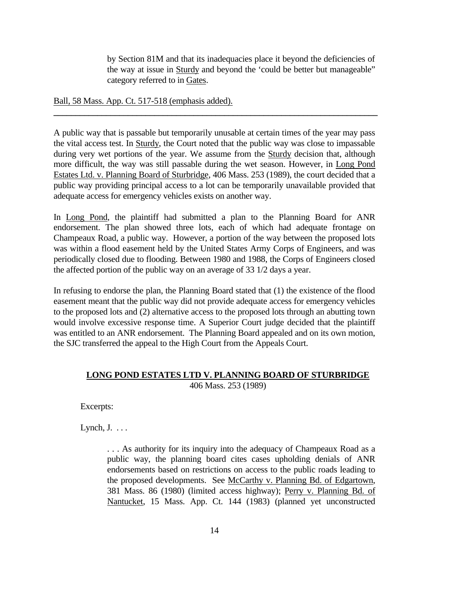by Section 81M and that its inadequacies place it beyond the deficiencies of the way at issue in Sturdy and beyond the 'could be better but manageable" category referred to in Gates.

Ball, 58 Mass. App. Ct. 517-518 (emphasis added).

A public way that is passable but temporarily unusable at certain times of the year may pass the vital access test. In Sturdy, the Court noted that the public way was close to impassable during very wet portions of the year. We assume from the **Sturdy decision** that, although more difficult, the way was still passable during the wet season. However, in Long Pond Estates Ltd. v. Planning Board of Sturbridge, 406 Mass. 253 (1989), the court decided that a public way providing principal access to a lot can be temporarily unavailable provided that adequate access for emergency vehicles exists on another way.

**\_\_\_\_\_\_\_\_\_\_\_\_\_\_\_\_\_\_\_\_\_\_\_\_\_\_\_\_\_\_\_\_\_\_\_\_\_\_\_\_\_\_\_\_\_\_\_\_\_\_\_\_\_\_\_\_\_\_\_\_\_\_\_\_\_\_\_\_\_\_\_\_\_\_**

In Long Pond, the plaintiff had submitted a plan to the Planning Board for ANR endorsement. The plan showed three lots, each of which had adequate frontage on Champeaux Road, a public way. However, a portion of the way between the proposed lots was within a flood easement held by the United States Army Corps of Engineers, and was periodically closed due to flooding. Between 1980 and 1988, the Corps of Engineers closed the affected portion of the public way on an average of 33 1/2 days a year.

In refusing to endorse the plan, the Planning Board stated that (1) the existence of the flood easement meant that the public way did not provide adequate access for emergency vehicles to the proposed lots and (2) alternative access to the proposed lots through an abutting town would involve excessive response time. A Superior Court judge decided that the plaintiff was entitled to an ANR endorsement. The Planning Board appealed and on its own motion, the SJC transferred the appeal to the High Court from the Appeals Court.

# **LONG POND ESTATES LTD V. PLANNING BOARD OF STURBRIDGE** 406 Mass. 253 (1989)

Excerpts:

Lynch,  $J. \ldots$ 

. . . As authority for its inquiry into the adequacy of Champeaux Road as a public way, the planning board cites cases upholding denials of ANR endorsements based on restrictions on access to the public roads leading to the proposed developments. See McCarthy v. Planning Bd. of Edgartown, 381 Mass. 86 (1980) (limited access highway); Perry v. Planning Bd. of Nantucket, 15 Mass. App. Ct. 144 (1983) (planned yet unconstructed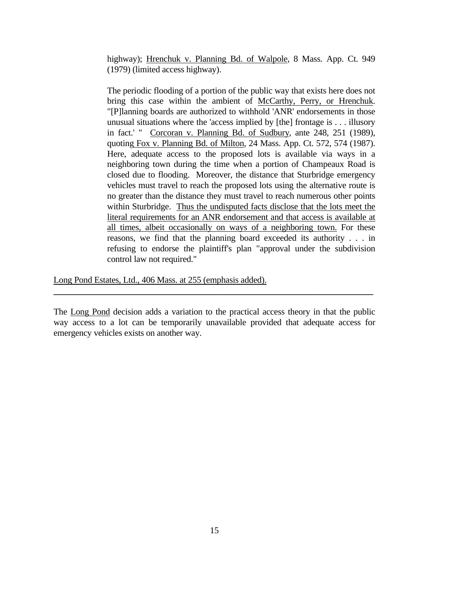highway); Hrenchuk v. Planning Bd. of Walpole, 8 Mass. App. Ct. 949 (1979) (limited access highway).

 The periodic flooding of a portion of the public way that exists here does not bring this case within the ambient of McCarthy, Perry, or Hrenchuk. "[P]lanning boards are authorized to withhold 'ANR' endorsements in those unusual situations where the 'access implied by [the] frontage is . . . illusory in fact.' " Corcoran v. Planning Bd. of Sudbury, ante 248, 251 (1989), quoting Fox v. Planning Bd. of Milton, 24 Mass. App. Ct. 572, 574 (1987). Here, adequate access to the proposed lots is available via ways in a neighboring town during the time when a portion of Champeaux Road is closed due to flooding. Moreover, the distance that Sturbridge emergency vehicles must travel to reach the proposed lots using the alternative route is no greater than the distance they must travel to reach numerous other points within Sturbridge. Thus the undisputed facts disclose that the lots meet the literal requirements for an ANR endorsement and that access is available at all times, albeit occasionally on ways of a neighboring town. For these reasons, we find that the planning board exceeded its authority . . . in refusing to endorse the plaintiff's plan "approval under the subdivision control law not required."

Long Pond Estates, Ltd., 406 Mass. at 255 (emphasis added).

The Long Pond decision adds a variation to the practical access theory in that the public way access to a lot can be temporarily unavailable provided that adequate access for emergency vehicles exists on another way.

**\_\_\_\_\_\_\_\_\_\_\_\_\_\_\_\_\_\_\_\_\_\_\_\_\_\_\_\_\_\_\_\_\_\_\_\_\_\_\_\_\_\_\_\_\_\_\_\_\_\_\_\_\_\_\_\_\_\_\_\_\_\_\_\_\_\_\_\_\_\_\_\_\_**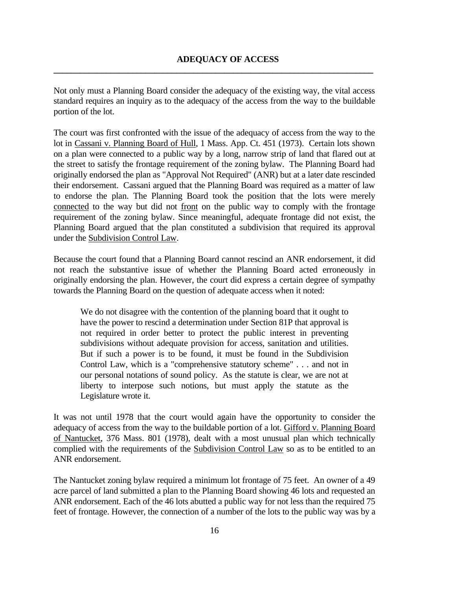Not only must a Planning Board consider the adequacy of the existing way, the vital access standard requires an inquiry as to the adequacy of the access from the way to the buildable portion of the lot.

**\_\_\_\_\_\_\_\_\_\_\_\_\_\_\_\_\_\_\_\_\_\_\_\_\_\_\_\_\_\_\_\_\_\_\_\_\_\_\_\_\_\_\_\_\_\_\_\_\_\_\_\_\_\_\_\_\_\_\_\_\_\_\_\_\_\_\_\_\_\_\_\_\_**

The court was first confronted with the issue of the adequacy of access from the way to the lot in Cassani v. Planning Board of Hull, 1 Mass. App. Ct. 451 (1973). Certain lots shown on a plan were connected to a public way by a long, narrow strip of land that flared out at the street to satisfy the frontage requirement of the zoning bylaw. The Planning Board had originally endorsed the plan as "Approval Not Required" (ANR) but at a later date rescinded their endorsement. Cassani argued that the Planning Board was required as a matter of law to endorse the plan. The Planning Board took the position that the lots were merely connected to the way but did not front on the public way to comply with the frontage requirement of the zoning bylaw. Since meaningful, adequate frontage did not exist, the Planning Board argued that the plan constituted a subdivision that required its approval under the Subdivision Control Law.

Because the court found that a Planning Board cannot rescind an ANR endorsement, it did not reach the substantive issue of whether the Planning Board acted erroneously in originally endorsing the plan. However, the court did express a certain degree of sympathy towards the Planning Board on the question of adequate access when it noted:

We do not disagree with the contention of the planning board that it ought to have the power to rescind a determination under Section 81P that approval is not required in order better to protect the public interest in preventing subdivisions without adequate provision for access, sanitation and utilities. But if such a power is to be found, it must be found in the Subdivision Control Law, which is a "comprehensive statutory scheme" . . . and not in our personal notations of sound policy. As the statute is clear, we are not at liberty to interpose such notions, but must apply the statute as the Legislature wrote it.

It was not until 1978 that the court would again have the opportunity to consider the adequacy of access from the way to the buildable portion of a lot. Gifford v. Planning Board of Nantucket, 376 Mass. 801 (1978), dealt with a most unusual plan which technically complied with the requirements of the Subdivision Control Law so as to be entitled to an ANR endorsement.

The Nantucket zoning bylaw required a minimum lot frontage of 75 feet. An owner of a 49 acre parcel of land submitted a plan to the Planning Board showing 46 lots and requested an ANR endorsement. Each of the 46 lots abutted a public way for not less than the required 75 feet of frontage. However, the connection of a number of the lots to the public way was by a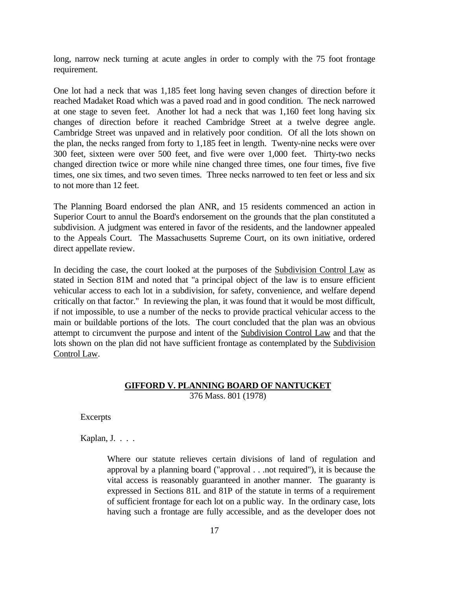long, narrow neck turning at acute angles in order to comply with the 75 foot frontage requirement.

One lot had a neck that was 1,185 feet long having seven changes of direction before it reached Madaket Road which was a paved road and in good condition. The neck narrowed at one stage to seven feet. Another lot had a neck that was 1,160 feet long having six changes of direction before it reached Cambridge Street at a twelve degree angle. Cambridge Street was unpaved and in relatively poor condition. Of all the lots shown on the plan, the necks ranged from forty to 1,185 feet in length. Twenty-nine necks were over 300 feet, sixteen were over 500 feet, and five were over 1,000 feet. Thirty-two necks changed direction twice or more while nine changed three times, one four times, five five times, one six times, and two seven times. Three necks narrowed to ten feet or less and six to not more than 12 feet.

The Planning Board endorsed the plan ANR, and 15 residents commenced an action in Superior Court to annul the Board's endorsement on the grounds that the plan constituted a subdivision. A judgment was entered in favor of the residents, and the landowner appealed to the Appeals Court. The Massachusetts Supreme Court, on its own initiative, ordered direct appellate review.

In deciding the case, the court looked at the purposes of the Subdivision Control Law as stated in Section 81M and noted that "a principal object of the law is to ensure efficient vehicular access to each lot in a subdivision, for safety, convenience, and welfare depend critically on that factor." In reviewing the plan, it was found that it would be most difficult, if not impossible, to use a number of the necks to provide practical vehicular access to the main or buildable portions of the lots. The court concluded that the plan was an obvious attempt to circumvent the purpose and intent of the Subdivision Control Law and that the lots shown on the plan did not have sufficient frontage as contemplated by the Subdivision Control Law.

### **GIFFORD V. PLANNING BOARD OF NANTUCKET** 376 Mass. 801 (1978)

Excerpts

Kaplan, J. . . .

Where our statute relieves certain divisions of land of regulation and approval by a planning board ("approval . . .not required"), it is because the vital access is reasonably guaranteed in another manner. The guaranty is expressed in Sections 81L and 81P of the statute in terms of a requirement of sufficient frontage for each lot on a public way. In the ordinary case, lots having such a frontage are fully accessible, and as the developer does not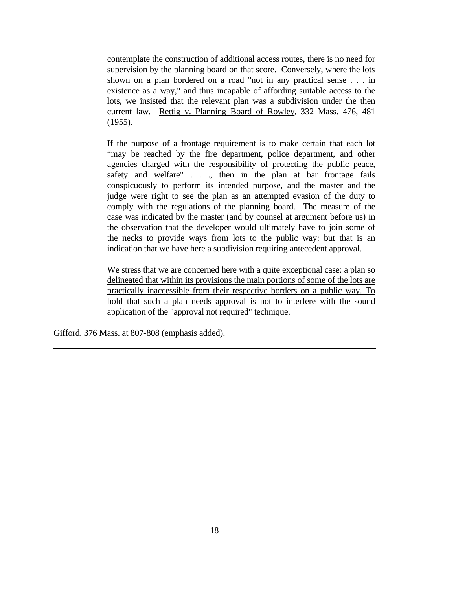contemplate the construction of additional access routes, there is no need for supervision by the planning board on that score. Conversely, where the lots shown on a plan bordered on a road "not in any practical sense . . . in existence as a way," and thus incapable of affording suitable access to the lots, we insisted that the relevant plan was a subdivision under the then current law. Rettig v. Planning Board of Rowley, 332 Mass. 476, 481 (1955).

If the purpose of a frontage requirement is to make certain that each lot "may be reached by the fire department, police department, and other agencies charged with the responsibility of protecting the public peace, safety and welfare" . . ., then in the plan at bar frontage fails conspicuously to perform its intended purpose, and the master and the judge were right to see the plan as an attempted evasion of the duty to comply with the regulations of the planning board. The measure of the case was indicated by the master (and by counsel at argument before us) in the observation that the developer would ultimately have to join some of the necks to provide ways from lots to the public way: but that is an indication that we have here a subdivision requiring antecedent approval.

We stress that we are concerned here with a quite exceptional case: a plan so delineated that within its provisions the main portions of some of the lots are practically inaccessible from their respective borders on a public way. To hold that such a plan needs approval is not to interfere with the sound application of the "approval not required" technique.

Gifford, 376 Mass. at 807-808 (emphasis added).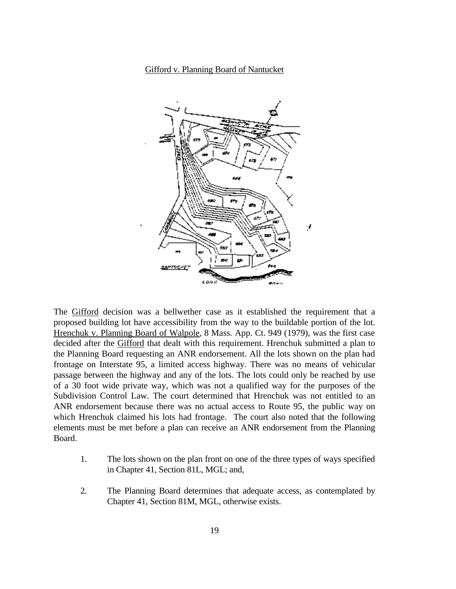# Gifford v. Planning Board of Nantucket



The Gifford decision was a bellwether case as it established the requirement that a proposed building lot have accessibility from the way to the buildable portion of the lot. Hrenchuk v. Planning Board of Walpole, 8 Mass. App. Ct. 949 (1979), was the first case decided after the Gifford that dealt with this requirement. Hrenchuk submitted a plan to the Planning Board requesting an ANR endorsement. All the lots shown on the plan had frontage on Interstate 95, a limited access highway. There was no means of vehicular passage between the highway and any of the lots. The lots could only be reached by use of a 30 foot wide private way, which was not a qualified way for the purposes of the Subdivision Control Law. The court determined that Hrenchuk was not entitled to an ANR endorsement because there was no actual access to Route 95, the public way on which Hrenchuk claimed his lots had frontage. The court also noted that the following elements must be met before a plan can receive an ANR endorsement from the Planning Board.

- 1. The lots shown on the plan front on one of the three types of ways specified in Chapter 41, Section 81L, MGL; and,
- 2. The Planning Board determines that adequate access, as contemplated by Chapter 41, Section 81M, MGL, otherwise exists.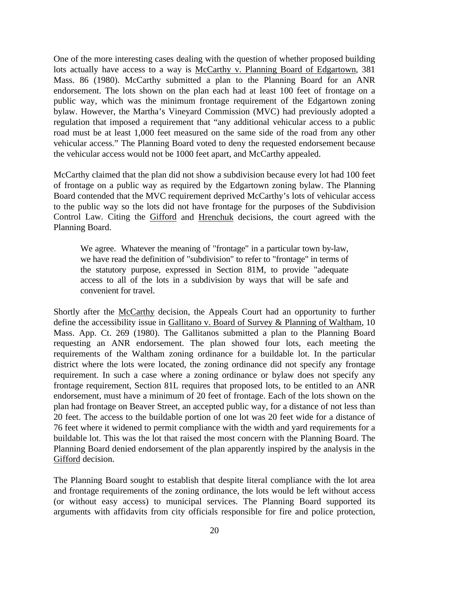One of the more interesting cases dealing with the question of whether proposed building lots actually have access to a way is McCarthy v. Planning Board of Edgartown, 381 Mass. 86 (1980). McCarthy submitted a plan to the Planning Board for an ANR endorsement. The lots shown on the plan each had at least 100 feet of frontage on a public way, which was the minimum frontage requirement of the Edgartown zoning bylaw. However, the Martha's Vineyard Commission (MVC) had previously adopted a regulation that imposed a requirement that "any additional vehicular access to a public road must be at least 1,000 feet measured on the same side of the road from any other vehicular access." The Planning Board voted to deny the requested endorsement because the vehicular access would not be 1000 feet apart, and McCarthy appealed.

McCarthy claimed that the plan did not show a subdivision because every lot had 100 feet of frontage on a public way as required by the Edgartown zoning bylaw. The Planning Board contended that the MVC requirement deprived McCarthy's lots of vehicular access to the public way so the lots did not have frontage for the purposes of the Subdivision Control Law. Citing the Gifford and Hrenchuk decisions, the court agreed with the Planning Board.

We agree. Whatever the meaning of "frontage" in a particular town by-law, we have read the definition of "subdivision" to refer to "frontage" in terms of the statutory purpose, expressed in Section 81M, to provide "adequate access to all of the lots in a subdivision by ways that will be safe and convenient for travel.

Shortly after the McCarthy decision, the Appeals Court had an opportunity to further define the accessibility issue in Gallitano v. Board of Survey & Planning of Waltham, 10 Mass. App. Ct. 269 (1980). The Gallitanos submitted a plan to the Planning Board requesting an ANR endorsement. The plan showed four lots, each meeting the requirements of the Waltham zoning ordinance for a buildable lot. In the particular district where the lots were located, the zoning ordinance did not specify any frontage requirement. In such a case where a zoning ordinance or bylaw does not specify any frontage requirement, Section 81L requires that proposed lots, to be entitled to an ANR endorsement, must have a minimum of 20 feet of frontage. Each of the lots shown on the plan had frontage on Beaver Street, an accepted public way, for a distance of not less than 20 feet. The access to the buildable portion of one lot was 20 feet wide for a distance of 76 feet where it widened to permit compliance with the width and yard requirements for a buildable lot. This was the lot that raised the most concern with the Planning Board. The Planning Board denied endorsement of the plan apparently inspired by the analysis in the Gifford decision.

The Planning Board sought to establish that despite literal compliance with the lot area and frontage requirements of the zoning ordinance, the lots would be left without access (or without easy access) to municipal services. The Planning Board supported its arguments with affidavits from city officials responsible for fire and police protection,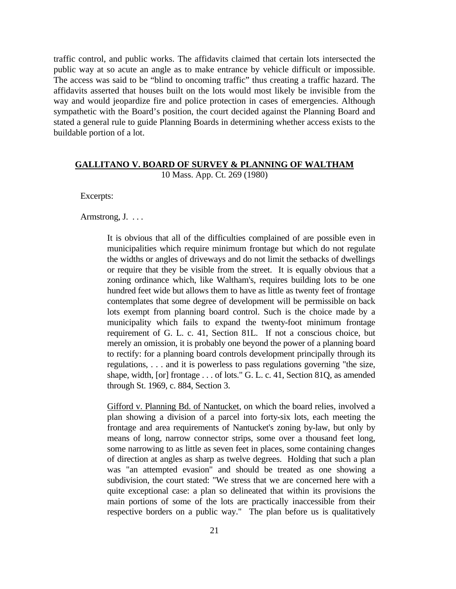traffic control, and public works. The affidavits claimed that certain lots intersected the public way at so acute an angle as to make entrance by vehicle difficult or impossible. The access was said to be "blind to oncoming traffic" thus creating a traffic hazard. The affidavits asserted that houses built on the lots would most likely be invisible from the way and would jeopardize fire and police protection in cases of emergencies. Although sympathetic with the Board's position, the court decided against the Planning Board and stated a general rule to guide Planning Boards in determining whether access exists to the buildable portion of a lot.

# **GALLITANO V. BOARD OF SURVEY & PLANNING OF WALTHAM**

10 Mass. App. Ct. 269 (1980)

Excerpts:

Armstrong, J. . . .

It is obvious that all of the difficulties complained of are possible even in municipalities which require minimum frontage but which do not regulate the widths or angles of driveways and do not limit the setbacks of dwellings or require that they be visible from the street. It is equally obvious that a zoning ordinance which, like Waltham's, requires building lots to be one hundred feet wide but allows them to have as little as twenty feet of frontage contemplates that some degree of development will be permissible on back lots exempt from planning board control. Such is the choice made by a municipality which fails to expand the twenty-foot minimum frontage requirement of G. L. c. 41, Section 81L. If not a conscious choice, but merely an omission, it is probably one beyond the power of a planning board to rectify: for a planning board controls development principally through its regulations, . . . and it is powerless to pass regulations governing "the size, shape, width, [or] frontage . . . of lots." G. L. c. 41, Section 81Q, as amended through St. 1969, c. 884, Section 3.

 Gifford v. Planning Bd. of Nantucket, on which the board relies, involved a plan showing a division of a parcel into forty-six lots, each meeting the frontage and area requirements of Nantucket's zoning by-law, but only by means of long, narrow connector strips, some over a thousand feet long, some narrowing to as little as seven feet in places, some containing changes of direction at angles as sharp as twelve degrees. Holding that such a plan was "an attempted evasion" and should be treated as one showing a subdivision, the court stated: "We stress that we are concerned here with a quite exceptional case: a plan so delineated that within its provisions the main portions of some of the lots are practically inaccessible from their respective borders on a public way." The plan before us is qualitatively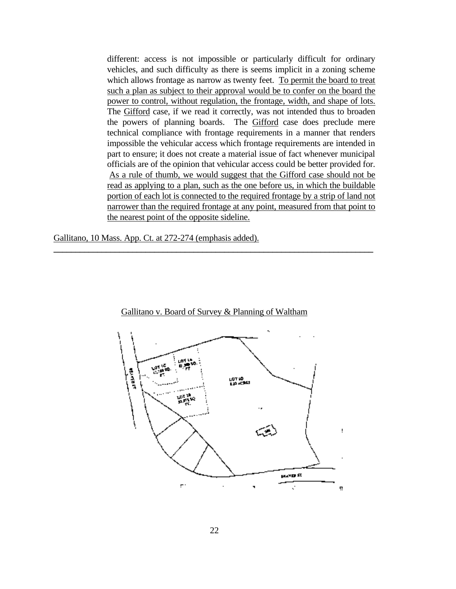different: access is not impossible or particularly difficult for ordinary vehicles, and such difficulty as there is seems implicit in a zoning scheme which allows frontage as narrow as twenty feet. To permit the board to treat such a plan as subject to their approval would be to confer on the board the power to control, without regulation, the frontage, width, and shape of lots. The Gifford case, if we read it correctly, was not intended thus to broaden the powers of planning boards. The Gifford case does preclude mere technical compliance with frontage requirements in a manner that renders impossible the vehicular access which frontage requirements are intended in part to ensure; it does not create a material issue of fact whenever municipal officials are of the opinion that vehicular access could be better provided for. As a rule of thumb, we would suggest that the Gifford case should not be read as applying to a plan, such as the one before us, in which the buildable portion of each lot is connected to the required frontage by a strip of land not narrower than the required frontage at any point, measured from that point to the nearest point of the opposite sideline.

Gallitano, 10 Mass. App. Ct. at 272-274 (emphasis added).



Gallitano v. Board of Survey & Planning of Waltham

**\_\_\_\_\_\_\_\_\_\_\_\_\_\_\_\_\_\_\_\_\_\_\_\_\_\_\_\_\_\_\_\_\_\_\_\_\_\_\_\_\_\_\_\_\_\_\_\_\_\_\_\_\_\_\_\_\_\_\_\_\_\_\_\_\_\_\_\_\_\_\_\_\_**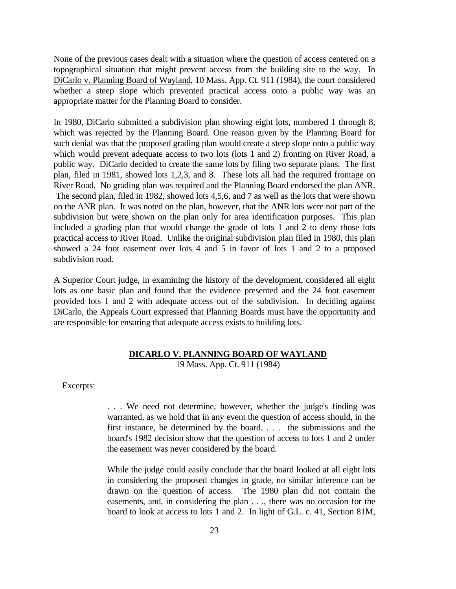None of the previous cases dealt with a situation where the question of access centered on a topographical situation that might prevent access from the building site to the way. In DiCarlo v. Planning Board of Wayland, 10 Mass. App. Ct. 911 (1984), the court considered whether a steep slope which prevented practical access onto a public way was an appropriate matter for the Planning Board to consider.

In 1980, DiCarlo submitted a subdivision plan showing eight lots, numbered 1 through 8, which was rejected by the Planning Board. One reason given by the Planning Board for such denial was that the proposed grading plan would create a steep slope onto a public way which would prevent adequate access to two lots (lots 1 and 2) fronting on River Road, a public way. DiCarlo decided to create the same lots by filing two separate plans. The first plan, filed in 1981, showed lots 1,2,3, and 8. These lots all had the required frontage on River Road. No grading plan was required and the Planning Board endorsed the plan ANR. The second plan, filed in 1982, showed lots 4,5,6, and 7 as well as the lots that were shown on the ANR plan. It was noted on the plan, however, that the ANR lots were not part of the subdivision but were shown on the plan only for area identification purposes. This plan included a grading plan that would change the grade of lots 1 and 2 to deny those lots practical access to River Road. Unlike the original subdivision plan filed in 1980, this plan showed a 24 foot easement over lots 4 and 5 in favor of lots 1 and 2 to a proposed subdivision road.

A Superior Court judge, in examining the history of the development, considered all eight lots as one basic plan and found that the evidence presented and the 24 foot easement provided lots 1 and 2 with adequate access out of the subdivision. In deciding against DiCarlo, the Appeals Court expressed that Planning Boards must have the opportunity and are responsible for ensuring that adequate access exists to building lots.

## **DICARLO V. PLANNING BOARD OF WAYLAND**

19 Mass. App. Ct. 911 (1984)

Excerpts:

. . . We need not determine, however, whether the judge's finding was warranted, as we hold that in any event the question of access should, in the first instance, be determined by the board. . . . the submissions and the board's 1982 decision show that the question of access to lots 1 and 2 under the easement was never considered by the board.

While the judge could easily conclude that the board looked at all eight lots in considering the proposed changes in grade, no similar inference can be drawn on the question of access. The 1980 plan did not contain the easements, and, in considering the plan . . ., there was no occasion for the board to look at access to lots 1 and 2. In light of G.L. c. 41, Section 81M,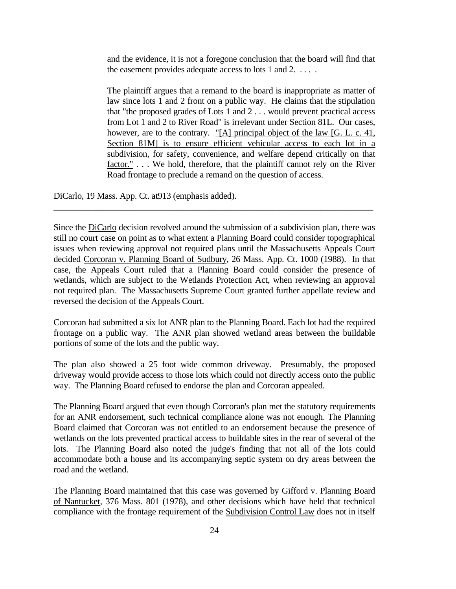and the evidence, it is not a foregone conclusion that the board will find that the easement provides adequate access to lots 1 and 2. . . . .

The plaintiff argues that a remand to the board is inappropriate as matter of law since lots 1 and 2 front on a public way. He claims that the stipulation that "the proposed grades of Lots 1 and 2 . . . would prevent practical access from Lot 1 and 2 to River Road" is irrelevant under Section 81L. Our cases, however, are to the contrary. "[A] principal object of the law [G. L. c. 41, Section 81M] is to ensure efficient vehicular access to each lot in a subdivision, for safety, convenience, and welfare depend critically on that factor." . . . We hold, therefore, that the plaintiff cannot rely on the River Road frontage to preclude a remand on the question of access.

DiCarlo, 19 Mass. App. Ct. at913 (emphasis added).

Since the DiCarlo decision revolved around the submission of a subdivision plan, there was still no court case on point as to what extent a Planning Board could consider topographical issues when reviewing approval not required plans until the Massachusetts Appeals Court decided Corcoran v. Planning Board of Sudbury, 26 Mass. App. Ct. 1000 (1988). In that case, the Appeals Court ruled that a Planning Board could consider the presence of wetlands, which are subject to the Wetlands Protection Act, when reviewing an approval not required plan. The Massachusetts Supreme Court granted further appellate review and reversed the decision of the Appeals Court.

**\_\_\_\_\_\_\_\_\_\_\_\_\_\_\_\_\_\_\_\_\_\_\_\_\_\_\_\_\_\_\_\_\_\_\_\_\_\_\_\_\_\_\_\_\_\_\_\_\_\_\_\_\_\_\_\_\_\_\_\_\_\_\_\_\_\_\_\_\_\_\_\_\_**

Corcoran had submitted a six lot ANR plan to the Planning Board. Each lot had the required frontage on a public way. The ANR plan showed wetland areas between the buildable portions of some of the lots and the public way.

The plan also showed a 25 foot wide common driveway. Presumably, the proposed driveway would provide access to those lots which could not directly access onto the public way. The Planning Board refused to endorse the plan and Corcoran appealed.

The Planning Board argued that even though Corcoran's plan met the statutory requirements for an ANR endorsement, such technical compliance alone was not enough. The Planning Board claimed that Corcoran was not entitled to an endorsement because the presence of wetlands on the lots prevented practical access to buildable sites in the rear of several of the lots. The Planning Board also noted the judge's finding that not all of the lots could accommodate both a house and its accompanying septic system on dry areas between the road and the wetland.

The Planning Board maintained that this case was governed by Gifford v. Planning Board of Nantucket, 376 Mass. 801 (1978), and other decisions which have held that technical compliance with the frontage requirement of the Subdivision Control Law does not in itself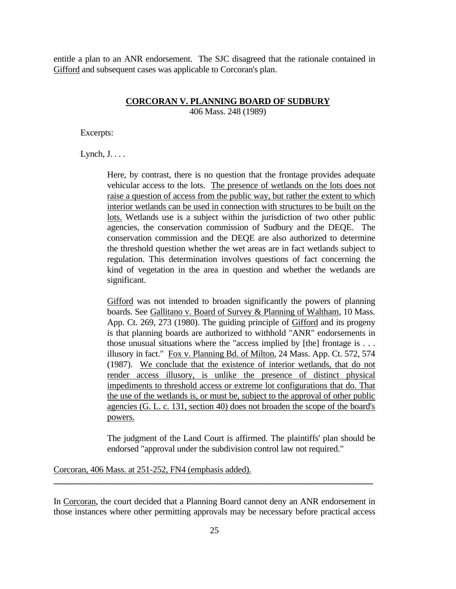entitle a plan to an ANR endorsement. The SJC disagreed that the rationale contained in Gifford and subsequent cases was applicable to Corcoran's plan.

#### **CORCORAN V. PLANNING BOARD OF SUDBURY**

406 Mass. 248 (1989)

Excerpts:

 $Lypch, J. \ldots$ 

Here, by contrast, there is no question that the frontage provides adequate vehicular access to the lots. The presence of wetlands on the lots does not raise a question of access from the public way, but rather the extent to which interior wetlands can be used in connection with structures to be built on the lots. Wetlands use is a subject within the jurisdiction of two other public agencies, the conservation commission of Sudbury and the DEQE. The conservation commission and the DEQE are also authorized to determine the threshold question whether the wet areas are in fact wetlands subject to regulation. This determination involves questions of fact concerning the kind of vegetation in the area in question and whether the wetlands are significant.

Gifford was not intended to broaden significantly the powers of planning boards. See Gallitano v. Board of Survey & Planning of Waltham, 10 Mass. App. Ct. 269, 273 (1980). The guiding principle of Gifford and its progeny is that planning boards are authorized to withhold "ANR" endorsements in those unusual situations where the "access implied by [the] frontage is . . . illusory in fact." Fox v. Planning Bd. of Milton, 24 Mass. App. Ct. 572, 574 (1987). We conclude that the existence of interior wetlands, that do not render access illusory, is unlike the presence of distinct physical impediments to threshold access or extreme lot configurations that do. That the use of the wetlands is, or must be, subject to the approval of other public agencies (G. L. c. 131, section 40) does not broaden the scope of the board's powers.

The judgment of the Land Court is affirmed. The plaintiffs' plan should be endorsed "approval under the subdivision control law not required."

Corcoran, 406 Mass. at 251-252, FN4 (emphasis added).

In Corcoran, the court decided that a Planning Board cannot deny an ANR endorsement in those instances where other permitting approvals may be necessary before practical access

**\_\_\_\_\_\_\_\_\_\_\_\_\_\_\_\_\_\_\_\_\_\_\_\_\_\_\_\_\_\_\_\_\_\_\_\_\_\_\_\_\_\_\_\_\_\_\_\_\_\_\_\_\_\_\_\_\_\_\_\_\_\_\_\_\_\_\_\_\_\_\_\_\_**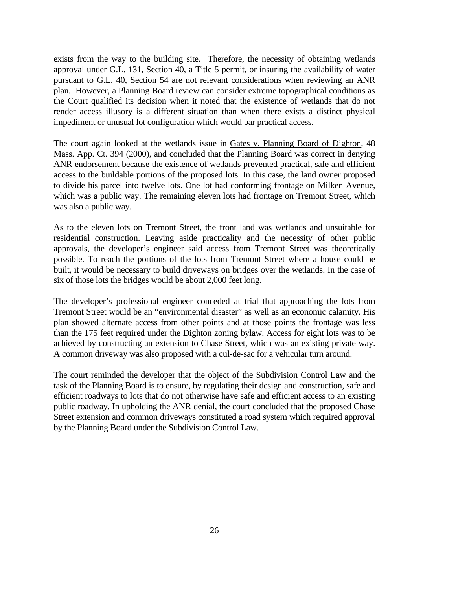exists from the way to the building site. Therefore, the necessity of obtaining wetlands approval under G.L. 131, Section 40, a Title 5 permit, or insuring the availability of water pursuant to G.L. 40, Section 54 are not relevant considerations when reviewing an ANR plan. However, a Planning Board review can consider extreme topographical conditions as the Court qualified its decision when it noted that the existence of wetlands that do not render access illusory is a different situation than when there exists a distinct physical impediment or unusual lot configuration which would bar practical access.

The court again looked at the wetlands issue in Gates v. Planning Board of Dighton, 48 Mass. App. Ct. 394 (2000), and concluded that the Planning Board was correct in denying ANR endorsement because the existence of wetlands prevented practical, safe and efficient access to the buildable portions of the proposed lots. In this case, the land owner proposed to divide his parcel into twelve lots. One lot had conforming frontage on Milken Avenue, which was a public way. The remaining eleven lots had frontage on Tremont Street, which was also a public way.

As to the eleven lots on Tremont Street, the front land was wetlands and unsuitable for residential construction. Leaving aside practicality and the necessity of other public approvals, the developer's engineer said access from Tremont Street was theoretically possible. To reach the portions of the lots from Tremont Street where a house could be built, it would be necessary to build driveways on bridges over the wetlands. In the case of six of those lots the bridges would be about 2,000 feet long.

The developer's professional engineer conceded at trial that approaching the lots from Tremont Street would be an "environmental disaster" as well as an economic calamity. His plan showed alternate access from other points and at those points the frontage was less than the 175 feet required under the Dighton zoning bylaw. Access for eight lots was to be achieved by constructing an extension to Chase Street, which was an existing private way. A common driveway was also proposed with a cul-de-sac for a vehicular turn around.

The court reminded the developer that the object of the Subdivision Control Law and the task of the Planning Board is to ensure, by regulating their design and construction, safe and efficient roadways to lots that do not otherwise have safe and efficient access to an existing public roadway. In upholding the ANR denial, the court concluded that the proposed Chase Street extension and common driveways constituted a road system which required approval by the Planning Board under the Subdivision Control Law.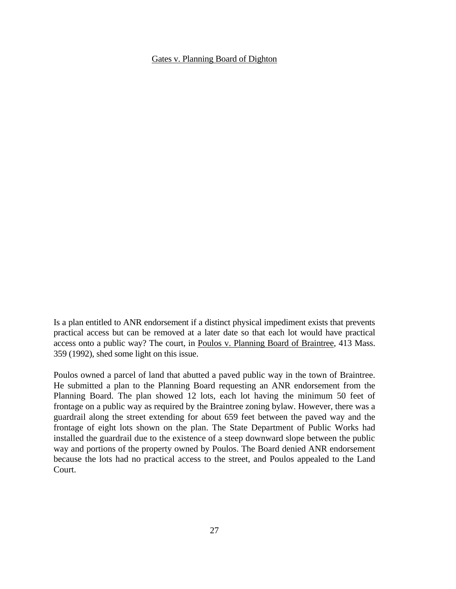### Gates v. Planning Board of Dighton

Is a plan entitled to ANR endorsement if a distinct physical impediment exists that prevents practical access but can be removed at a later date so that each lot would have practical access onto a public way? The court, in Poulos v. Planning Board of Braintree, 413 Mass. 359 (1992), shed some light on this issue.

Poulos owned a parcel of land that abutted a paved public way in the town of Braintree. He submitted a plan to the Planning Board requesting an ANR endorsement from the Planning Board. The plan showed 12 lots, each lot having the minimum 50 feet of frontage on a public way as required by the Braintree zoning bylaw. However, there was a guardrail along the street extending for about 659 feet between the paved way and the frontage of eight lots shown on the plan. The State Department of Public Works had installed the guardrail due to the existence of a steep downward slope between the public way and portions of the property owned by Poulos. The Board denied ANR endorsement because the lots had no practical access to the street, and Poulos appealed to the Land Court.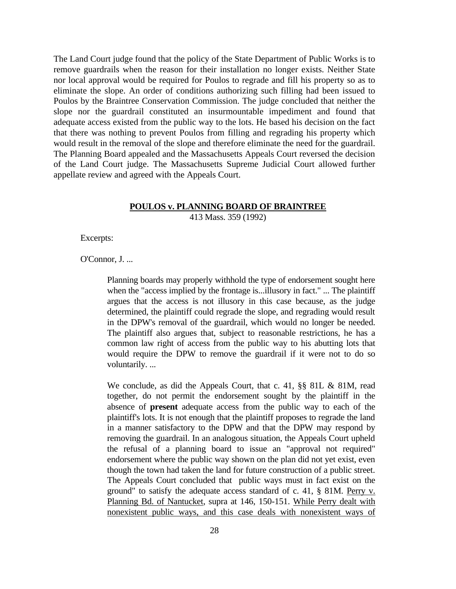The Land Court judge found that the policy of the State Department of Public Works is to remove guardrails when the reason for their installation no longer exists. Neither State nor local approval would be required for Poulos to regrade and fill his property so as to eliminate the slope. An order of conditions authorizing such filling had been issued to Poulos by the Braintree Conservation Commission. The judge concluded that neither the slope nor the guardrail constituted an insurmountable impediment and found that adequate access existed from the public way to the lots. He based his decision on the fact that there was nothing to prevent Poulos from filling and regrading his property which would result in the removal of the slope and therefore eliminate the need for the guardrail. The Planning Board appealed and the Massachusetts Appeals Court reversed the decision of the Land Court judge. The Massachusetts Supreme Judicial Court allowed further appellate review and agreed with the Appeals Court.

# **POULOS v. PLANNING BOARD OF BRAINTREE**

413 Mass. 359 (1992)

Excerpts:

O'Connor, J. ...

Planning boards may properly withhold the type of endorsement sought here when the "access implied by the frontage is...illusory in fact." ... The plaintiff argues that the access is not illusory in this case because, as the judge determined, the plaintiff could regrade the slope, and regrading would result in the DPW's removal of the guardrail, which would no longer be needed. The plaintiff also argues that, subject to reasonable restrictions, he has a common law right of access from the public way to his abutting lots that would require the DPW to remove the guardrail if it were not to do so voluntarily. ...

We conclude, as did the Appeals Court, that c. 41, §§ 81L & 81M, read together, do not permit the endorsement sought by the plaintiff in the absence of **present** adequate access from the public way to each of the plaintiff's lots. It is not enough that the plaintiff proposes to regrade the land in a manner satisfactory to the DPW and that the DPW may respond by removing the guardrail. In an analogous situation, the Appeals Court upheld the refusal of a planning board to issue an "approval not required" endorsement where the public way shown on the plan did not yet exist, even though the town had taken the land for future construction of a public street. The Appeals Court concluded that public ways must in fact exist on the ground" to satisfy the adequate access standard of c. 41, § 81M. Perry v. Planning Bd. of Nantucket, supra at 146, 150-151. While Perry dealt with nonexistent public ways, and this case deals with nonexistent ways of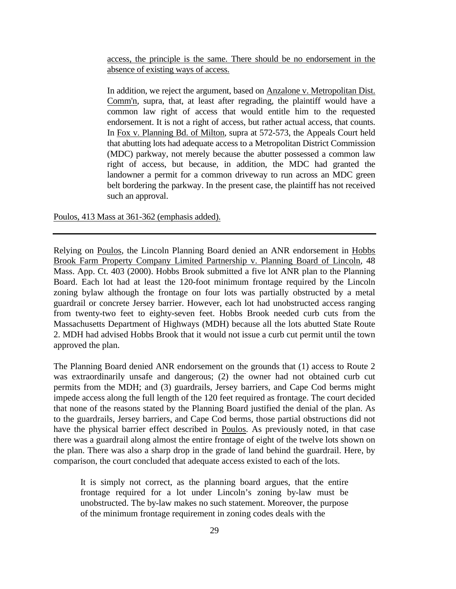access, the principle is the same. There should be no endorsement in the absence of existing ways of access.

In addition, we reject the argument, based on Anzalone v. Metropolitan Dist. Comm'n, supra, that, at least after regrading, the plaintiff would have a common law right of access that would entitle him to the requested endorsement. It is not a right of access, but rather actual access, that counts. In Fox v. Planning Bd. of Milton, supra at 572-573, the Appeals Court held that abutting lots had adequate access to a Metropolitan District Commission (MDC) parkway, not merely because the abutter possessed a common law right of access, but because, in addition, the MDC had granted the landowner a permit for a common driveway to run across an MDC green belt bordering the parkway. In the present case, the plaintiff has not received such an approval.

Poulos, 413 Mass at 361-362 (emphasis added).

Relying on Poulos, the Lincoln Planning Board denied an ANR endorsement in Hobbs Brook Farm Property Company Limited Partnership v. Planning Board of Lincoln, 48 Mass. App. Ct. 403 (2000). Hobbs Brook submitted a five lot ANR plan to the Planning Board. Each lot had at least the 120-foot minimum frontage required by the Lincoln zoning bylaw although the frontage on four lots was partially obstructed by a metal guardrail or concrete Jersey barrier. However, each lot had unobstructed access ranging from twenty-two feet to eighty-seven feet. Hobbs Brook needed curb cuts from the Massachusetts Department of Highways (MDH) because all the lots abutted State Route 2. MDH had advised Hobbs Brook that it would not issue a curb cut permit until the town approved the plan.

The Planning Board denied ANR endorsement on the grounds that (1) access to Route 2 was extraordinarily unsafe and dangerous; (2) the owner had not obtained curb cut permits from the MDH; and (3) guardrails, Jersey barriers, and Cape Cod berms might impede access along the full length of the 120 feet required as frontage. The court decided that none of the reasons stated by the Planning Board justified the denial of the plan. As to the guardrails, Jersey barriers, and Cape Cod berms, those partial obstructions did not have the physical barrier effect described in Poulos. As previously noted, in that case there was a guardrail along almost the entire frontage of eight of the twelve lots shown on the plan. There was also a sharp drop in the grade of land behind the guardrail. Here, by comparison, the court concluded that adequate access existed to each of the lots.

It is simply not correct, as the planning board argues, that the entire frontage required for a lot under Lincoln's zoning by-law must be unobstructed. The by-law makes no such statement. Moreover, the purpose of the minimum frontage requirement in zoning codes deals with the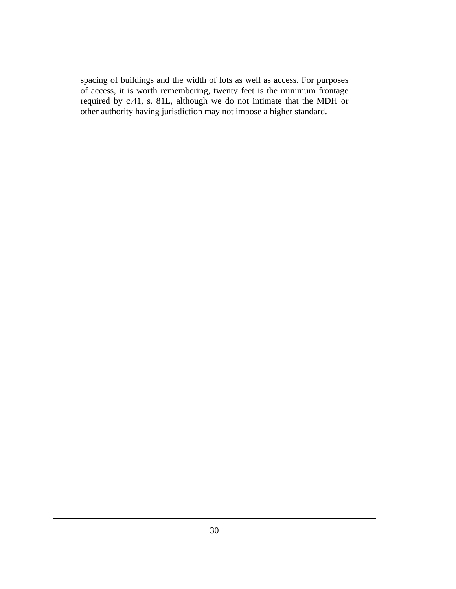spacing of buildings and the width of lots as well as access. For purposes of access, it is worth remembering, twenty feet is the minimum frontage required by c.41, s. 81L, although we do not intimate that the MDH or other authority having jurisdiction may not impose a higher standard.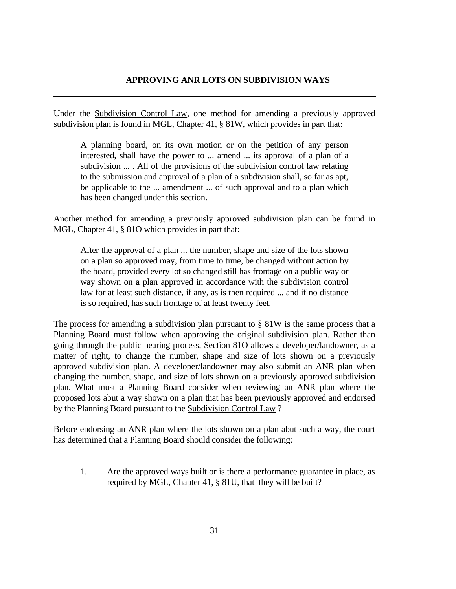# **APPROVING ANR LOTS ON SUBDIVISION WAYS**

Under the Subdivision Control Law, one method for amending a previously approved subdivision plan is found in MGL, Chapter 41, § 81W, which provides in part that:

A planning board, on its own motion or on the petition of any person interested, shall have the power to ... amend ... its approval of a plan of a subdivision ... . All of the provisions of the subdivision control law relating to the submission and approval of a plan of a subdivision shall, so far as apt, be applicable to the ... amendment ... of such approval and to a plan which has been changed under this section.

Another method for amending a previously approved subdivision plan can be found in MGL, Chapter 41, § 81O which provides in part that:

After the approval of a plan ... the number, shape and size of the lots shown on a plan so approved may, from time to time, be changed without action by the board, provided every lot so changed still has frontage on a public way or way shown on a plan approved in accordance with the subdivision control law for at least such distance, if any, as is then required ... and if no distance is so required, has such frontage of at least twenty feet.

The process for amending a subdivision plan pursuant to  $\S 81W$  is the same process that a Planning Board must follow when approving the original subdivision plan. Rather than going through the public hearing process, Section 81O allows a developer/landowner, as a matter of right, to change the number, shape and size of lots shown on a previously approved subdivision plan. A developer/landowner may also submit an ANR plan when changing the number, shape, and size of lots shown on a previously approved subdivision plan. What must a Planning Board consider when reviewing an ANR plan where the proposed lots abut a way shown on a plan that has been previously approved and endorsed by the Planning Board pursuant to the Subdivision Control Law ?

Before endorsing an ANR plan where the lots shown on a plan abut such a way, the court has determined that a Planning Board should consider the following:

1. Are the approved ways built or is there a performance guarantee in place, as required by MGL, Chapter 41, § 81U, that they will be built?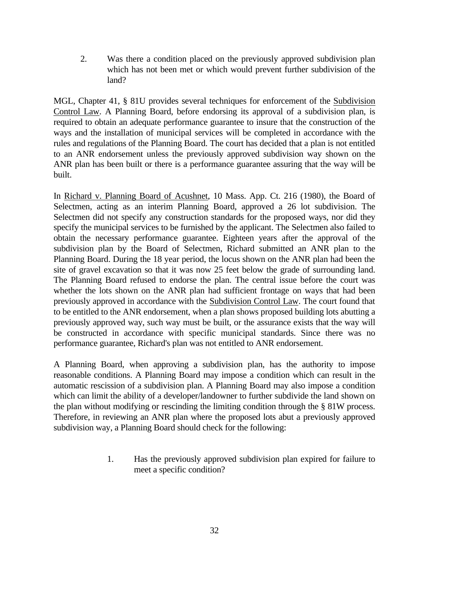2. Was there a condition placed on the previously approved subdivision plan which has not been met or which would prevent further subdivision of the land?

MGL, Chapter 41, § 81U provides several techniques for enforcement of the Subdivision Control Law. A Planning Board, before endorsing its approval of a subdivision plan, is required to obtain an adequate performance guarantee to insure that the construction of the ways and the installation of municipal services will be completed in accordance with the rules and regulations of the Planning Board. The court has decided that a plan is not entitled to an ANR endorsement unless the previously approved subdivision way shown on the ANR plan has been built or there is a performance guarantee assuring that the way will be built.

In Richard v. Planning Board of Acushnet, 10 Mass. App. Ct. 216 (1980), the Board of Selectmen, acting as an interim Planning Board, approved a 26 lot subdivision. The Selectmen did not specify any construction standards for the proposed ways, nor did they specify the municipal services to be furnished by the applicant. The Selectmen also failed to obtain the necessary performance guarantee. Eighteen years after the approval of the subdivision plan by the Board of Selectmen, Richard submitted an ANR plan to the Planning Board. During the 18 year period, the locus shown on the ANR plan had been the site of gravel excavation so that it was now 25 feet below the grade of surrounding land. The Planning Board refused to endorse the plan. The central issue before the court was whether the lots shown on the ANR plan had sufficient frontage on ways that had been previously approved in accordance with the Subdivision Control Law. The court found that to be entitled to the ANR endorsement, when a plan shows proposed building lots abutting a previously approved way, such way must be built, or the assurance exists that the way will be constructed in accordance with specific municipal standards. Since there was no performance guarantee, Richard's plan was not entitled to ANR endorsement.

A Planning Board, when approving a subdivision plan, has the authority to impose reasonable conditions. A Planning Board may impose a condition which can result in the automatic rescission of a subdivision plan. A Planning Board may also impose a condition which can limit the ability of a developer/landowner to further subdivide the land shown on the plan without modifying or rescinding the limiting condition through the § 81W process. Therefore, in reviewing an ANR plan where the proposed lots abut a previously approved subdivision way, a Planning Board should check for the following:

> 1. Has the previously approved subdivision plan expired for failure to meet a specific condition?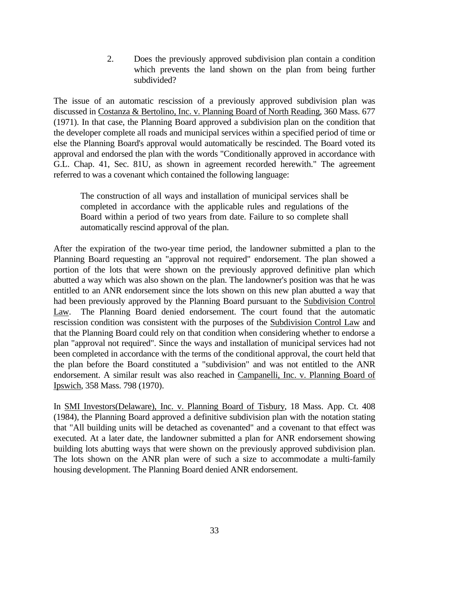2. Does the previously approved subdivision plan contain a condition which prevents the land shown on the plan from being further subdivided?

The issue of an automatic rescission of a previously approved subdivision plan was discussed in Costanza & Bertolino, Inc. v. Planning Board of North Reading, 360 Mass. 677 (1971). In that case, the Planning Board approved a subdivision plan on the condition that the developer complete all roads and municipal services within a specified period of time or else the Planning Board's approval would automatically be rescinded. The Board voted its approval and endorsed the plan with the words "Conditionally approved in accordance with G.L. Chap. 41, Sec. 81U, as shown in agreement recorded herewith." The agreement referred to was a covenant which contained the following language:

The construction of all ways and installation of municipal services shall be completed in accordance with the applicable rules and regulations of the Board within a period of two years from date. Failure to so complete shall automatically rescind approval of the plan.

After the expiration of the two-year time period, the landowner submitted a plan to the Planning Board requesting an "approval not required" endorsement. The plan showed a portion of the lots that were shown on the previously approved definitive plan which abutted a way which was also shown on the plan. The landowner's position was that he was entitled to an ANR endorsement since the lots shown on this new plan abutted a way that had been previously approved by the Planning Board pursuant to the Subdivision Control Law. The Planning Board denied endorsement. The court found that the automatic rescission condition was consistent with the purposes of the Subdivision Control Law and that the Planning Board could rely on that condition when considering whether to endorse a plan "approval not required". Since the ways and installation of municipal services had not been completed in accordance with the terms of the conditional approval, the court held that the plan before the Board constituted a "subdivision" and was not entitled to the ANR endorsement. A similar result was also reached in Campanelli, Inc. v. Planning Board of Ipswich, 358 Mass. 798 (1970).

In SMI Investors(Delaware), Inc. v. Planning Board of Tisbury, 18 Mass. App. Ct. 408 (1984), the Planning Board approved a definitive subdivision plan with the notation stating that "All building units will be detached as covenanted" and a covenant to that effect was executed. At a later date, the landowner submitted a plan for ANR endorsement showing building lots abutting ways that were shown on the previously approved subdivision plan. The lots shown on the ANR plan were of such a size to accommodate a multi-family housing development. The Planning Board denied ANR endorsement.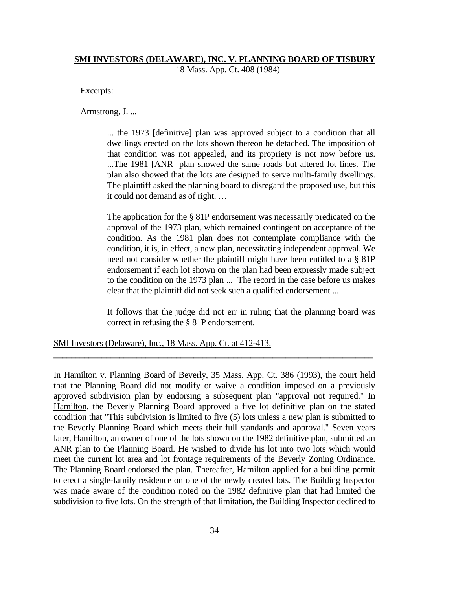#### **SMI INVESTORS (DELAWARE), INC. V. PLANNING BOARD OF TISBURY**

18 Mass. App. Ct. 408 (1984)

Excerpts:

Armstrong, J. ...

... the 1973 [definitive] plan was approved subject to a condition that all dwellings erected on the lots shown thereon be detached. The imposition of that condition was not appealed, and its propriety is not now before us. ...The 1981 [ANR] plan showed the same roads but altered lot lines. The plan also showed that the lots are designed to serve multi-family dwellings. The plaintiff asked the planning board to disregard the proposed use, but this it could not demand as of right. …

The application for the § 81P endorsement was necessarily predicated on the approval of the 1973 plan, which remained contingent on acceptance of the condition. As the 1981 plan does not contemplate compliance with the condition, it is, in effect, a new plan, necessitating independent approval. We need not consider whether the plaintiff might have been entitled to a § 81P endorsement if each lot shown on the plan had been expressly made subject to the condition on the 1973 plan ... The record in the case before us makes clear that the plaintiff did not seek such a qualified endorsement ... .

It follows that the judge did not err in ruling that the planning board was correct in refusing the § 81P endorsement.

SMI Investors (Delaware), Inc., 18 Mass. App. Ct. at 412-413.

In Hamilton v. Planning Board of Beverly, 35 Mass. App. Ct. 386 (1993), the court held that the Planning Board did not modify or waive a condition imposed on a previously approved subdivision plan by endorsing a subsequent plan "approval not required." In Hamilton, the Beverly Planning Board approved a five lot definitive plan on the stated condition that "This subdivision is limited to five (5) lots unless a new plan is submitted to the Beverly Planning Board which meets their full standards and approval." Seven years later, Hamilton, an owner of one of the lots shown on the 1982 definitive plan, submitted an ANR plan to the Planning Board. He wished to divide his lot into two lots which would meet the current lot area and lot frontage requirements of the Beverly Zoning Ordinance. The Planning Board endorsed the plan. Thereafter, Hamilton applied for a building permit to erect a single-family residence on one of the newly created lots. The Building Inspector was made aware of the condition noted on the 1982 definitive plan that had limited the subdivision to five lots. On the strength of that limitation, the Building Inspector declined to

**\_\_\_\_\_\_\_\_\_\_\_\_\_\_\_\_\_\_\_\_\_\_\_\_\_\_\_\_\_\_\_\_\_\_\_\_\_\_\_\_\_\_\_\_\_\_\_\_\_\_\_\_\_\_\_\_\_\_\_\_\_\_\_\_\_\_\_\_\_\_\_\_\_**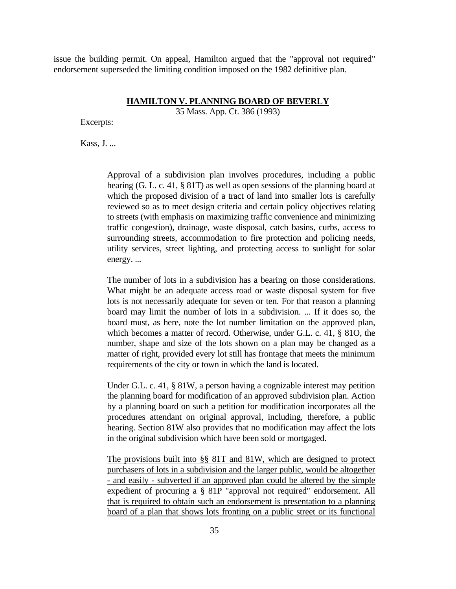issue the building permit. On appeal, Hamilton argued that the "approval not required" endorsement superseded the limiting condition imposed on the 1982 definitive plan.

#### **HAMILTON V. PLANNING BOARD OF BEVERLY**

35 Mass. App. Ct. 386 (1993)

Excerpts:

Kass, J. ...

Approval of a subdivision plan involves procedures, including a public hearing (G. L. c. 41, § 81T) as well as open sessions of the planning board at which the proposed division of a tract of land into smaller lots is carefully reviewed so as to meet design criteria and certain policy objectives relating to streets (with emphasis on maximizing traffic convenience and minimizing traffic congestion), drainage, waste disposal, catch basins, curbs, access to surrounding streets, accommodation to fire protection and policing needs, utility services, street lighting, and protecting access to sunlight for solar energy. ...

The number of lots in a subdivision has a bearing on those considerations. What might be an adequate access road or waste disposal system for five lots is not necessarily adequate for seven or ten. For that reason a planning board may limit the number of lots in a subdivision. ... If it does so, the board must, as here, note the lot number limitation on the approved plan, which becomes a matter of record. Otherwise, under G.L. c. 41, § 81O, the number, shape and size of the lots shown on a plan may be changed as a matter of right, provided every lot still has frontage that meets the minimum requirements of the city or town in which the land is located.

Under G.L. c. 41, § 81W, a person having a cognizable interest may petition the planning board for modification of an approved subdivision plan. Action by a planning board on such a petition for modification incorporates all the procedures attendant on original approval, including, therefore, a public hearing. Section 81W also provides that no modification may affect the lots in the original subdivision which have been sold or mortgaged.

The provisions built into §§ 81T and 81W, which are designed to protect purchasers of lots in a subdivision and the larger public, would be altogether - and easily - subverted if an approved plan could be altered by the simple expedient of procuring a § 81P "approval not required" endorsement. All that is required to obtain such an endorsement is presentation to a planning board of a plan that shows lots fronting on a public street or its functional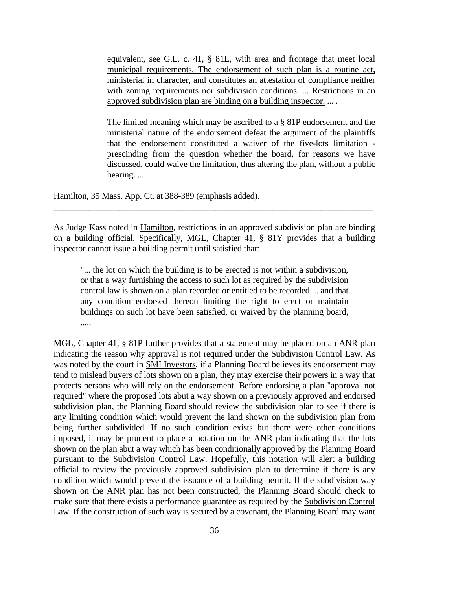equivalent, see G.L. c. 41, § 81L, with area and frontage that meet local municipal requirements. The endorsement of such plan is a routine act, ministerial in character, and constitutes an attestation of compliance neither with zoning requirements nor subdivision conditions. ... Restrictions in an approved subdivision plan are binding on a building inspector. ... .

The limited meaning which may be ascribed to a § 81P endorsement and the ministerial nature of the endorsement defeat the argument of the plaintiffs that the endorsement constituted a waiver of the five-lots limitation prescinding from the question whether the board, for reasons we have discussed, could waive the limitation, thus altering the plan, without a public hearing. ...

Hamilton, 35 Mass. App. Ct. at 388-389 (emphasis added).

As Judge Kass noted in Hamilton, restrictions in an approved subdivision plan are binding on a building official. Specifically, MGL, Chapter 41, § 81Y provides that a building inspector cannot issue a building permit until satisfied that:

**\_\_\_\_\_\_\_\_\_\_\_\_\_\_\_\_\_\_\_\_\_\_\_\_\_\_\_\_\_\_\_\_\_\_\_\_\_\_\_\_\_\_\_\_\_\_\_\_\_\_\_\_\_\_\_\_\_\_\_\_\_\_\_\_\_\_\_\_\_\_\_\_\_**

"... the lot on which the building is to be erected is not within a subdivision, or that a way furnishing the access to such lot as required by the subdivision control law is shown on a plan recorded or entitled to be recorded ... and that any condition endorsed thereon limiting the right to erect or maintain buildings on such lot have been satisfied, or waived by the planning board, .....

MGL, Chapter 41, § 81P further provides that a statement may be placed on an ANR plan indicating the reason why approval is not required under the Subdivision Control Law. As was noted by the court in SMI Investors, if a Planning Board believes its endorsement may tend to mislead buyers of lots shown on a plan, they may exercise their powers in a way that protects persons who will rely on the endorsement. Before endorsing a plan "approval not required" where the proposed lots abut a way shown on a previously approved and endorsed subdivision plan, the Planning Board should review the subdivision plan to see if there is any limiting condition which would prevent the land shown on the subdivision plan from being further subdivided. If no such condition exists but there were other conditions imposed, it may be prudent to place a notation on the ANR plan indicating that the lots shown on the plan abut a way which has been conditionally approved by the Planning Board pursuant to the Subdivision Control Law. Hopefully, this notation will alert a building official to review the previously approved subdivision plan to determine if there is any condition which would prevent the issuance of a building permit. If the subdivision way shown on the ANR plan has not been constructed, the Planning Board should check to make sure that there exists a performance guarantee as required by the Subdivision Control Law. If the construction of such way is secured by a covenant, the Planning Board may want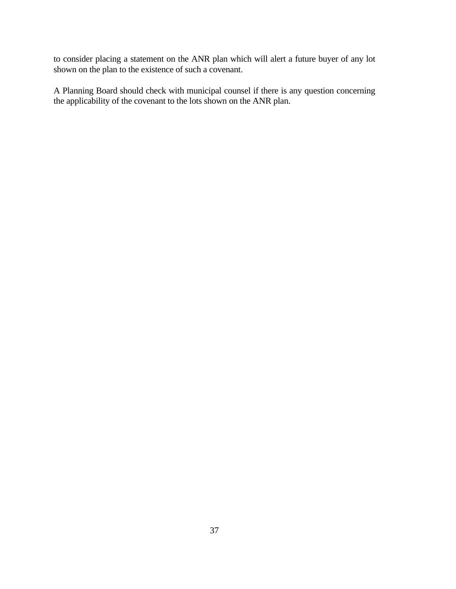to consider placing a statement on the ANR plan which will alert a future buyer of any lot shown on the plan to the existence of such a covenant.

A Planning Board should check with municipal counsel if there is any question concerning the applicability of the covenant to the lots shown on the ANR plan.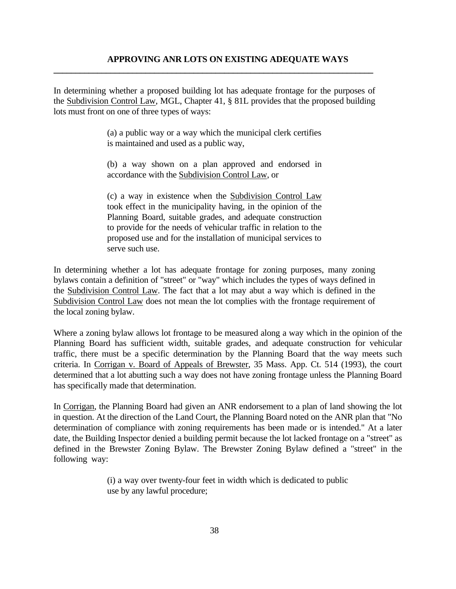In determining whether a proposed building lot has adequate frontage for the purposes of the Subdivision Control Law, MGL, Chapter 41, § 81L provides that the proposed building lots must front on one of three types of ways:

**\_\_\_\_\_\_\_\_\_\_\_\_\_\_\_\_\_\_\_\_\_\_\_\_\_\_\_\_\_\_\_\_\_\_\_\_\_\_\_\_\_\_\_\_\_\_\_\_\_\_\_\_\_\_\_\_\_\_\_\_\_\_\_\_\_\_\_\_\_\_\_\_\_**

(a) a public way or a way which the municipal clerk certifies is maintained and used as a public way,

(b) a way shown on a plan approved and endorsed in accordance with the Subdivision Control Law, or

(c) a way in existence when the Subdivision Control Law took effect in the municipality having, in the opinion of the Planning Board, suitable grades, and adequate construction to provide for the needs of vehicular traffic in relation to the proposed use and for the installation of municipal services to serve such use.

In determining whether a lot has adequate frontage for zoning purposes, many zoning bylaws contain a definition of "street" or "way" which includes the types of ways defined in the Subdivision Control Law. The fact that a lot may abut a way which is defined in the Subdivision Control Law does not mean the lot complies with the frontage requirement of the local zoning bylaw.

Where a zoning bylaw allows lot frontage to be measured along a way which in the opinion of the Planning Board has sufficient width, suitable grades, and adequate construction for vehicular traffic, there must be a specific determination by the Planning Board that the way meets such criteria. In Corrigan v. Board of Appeals of Brewster, 35 Mass. App. Ct. 514 (1993), the court determined that a lot abutting such a way does not have zoning frontage unless the Planning Board has specifically made that determination.

In Corrigan, the Planning Board had given an ANR endorsement to a plan of land showing the lot in question. At the direction of the Land Court, the Planning Board noted on the ANR plan that "No determination of compliance with zoning requirements has been made or is intended." At a later date, the Building Inspector denied a building permit because the lot lacked frontage on a "street" as defined in the Brewster Zoning Bylaw. The Brewster Zoning Bylaw defined a "street" in the following way:

> (i) a way over twenty-four feet in width which is dedicated to public use by any lawful procedure;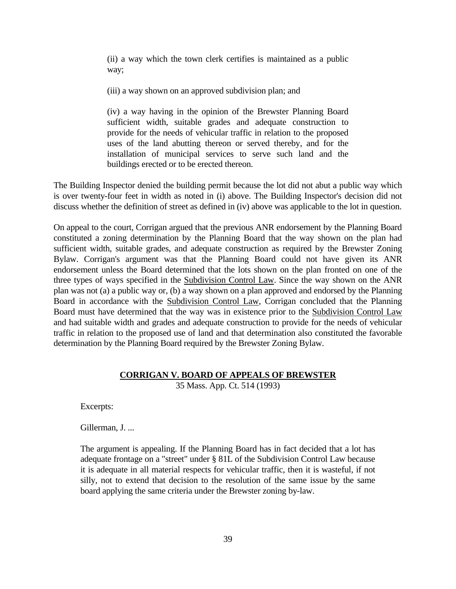(ii) a way which the town clerk certifies is maintained as a public way;

(iii) a way shown on an approved subdivision plan; and

(iv) a way having in the opinion of the Brewster Planning Board sufficient width, suitable grades and adequate construction to provide for the needs of vehicular traffic in relation to the proposed uses of the land abutting thereon or served thereby, and for the installation of municipal services to serve such land and the buildings erected or to be erected thereon.

The Building Inspector denied the building permit because the lot did not abut a public way which is over twenty-four feet in width as noted in (i) above. The Building Inspector's decision did not discuss whether the definition of street as defined in (iv) above was applicable to the lot in question.

On appeal to the court, Corrigan argued that the previous ANR endorsement by the Planning Board constituted a zoning determination by the Planning Board that the way shown on the plan had sufficient width, suitable grades, and adequate construction as required by the Brewster Zoning Bylaw. Corrigan's argument was that the Planning Board could not have given its ANR endorsement unless the Board determined that the lots shown on the plan fronted on one of the three types of ways specified in the Subdivision Control Law. Since the way shown on the ANR plan was not (a) a public way or, (b) a way shown on a plan approved and endorsed by the Planning Board in accordance with the Subdivision Control Law, Corrigan concluded that the Planning Board must have determined that the way was in existence prior to the Subdivision Control Law and had suitable width and grades and adequate construction to provide for the needs of vehicular traffic in relation to the proposed use of land and that determination also constituted the favorable determination by the Planning Board required by the Brewster Zoning Bylaw.

#### **CORRIGAN V. BOARD OF APPEALS OF BREWSTER**

35 Mass. App. Ct. 514 (1993)

Excerpts:

Gillerman, J. ...

The argument is appealing. If the Planning Board has in fact decided that a lot has adequate frontage on a "street" under § 81L of the Subdivision Control Law because it is adequate in all material respects for vehicular traffic, then it is wasteful, if not silly, not to extend that decision to the resolution of the same issue by the same board applying the same criteria under the Brewster zoning by-law.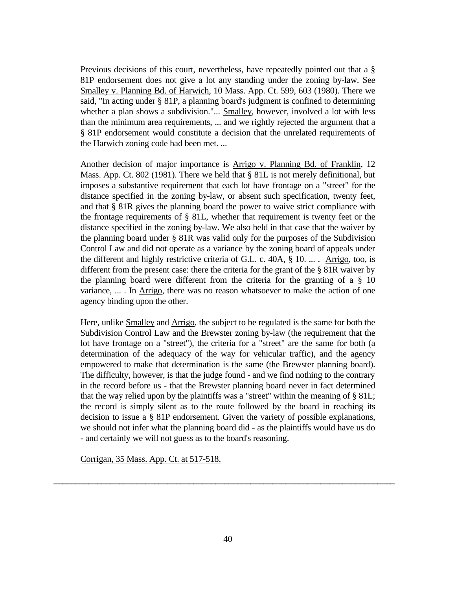Previous decisions of this court, nevertheless, have repeatedly pointed out that a § 81P endorsement does not give a lot any standing under the zoning by-law. See Smalley v. Planning Bd. of Harwich, 10 Mass. App. Ct. 599, 603 (1980). There we said, "In acting under § 81P, a planning board's judgment is confined to determining whether a plan shows a subdivision."... Smalley, however, involved a lot with less than the minimum area requirements, ... and we rightly rejected the argument that a § 81P endorsement would constitute a decision that the unrelated requirements of the Harwich zoning code had been met. ...

Another decision of major importance is Arrigo v. Planning Bd. of Franklin, 12 Mass. App. Ct. 802 (1981). There we held that  $\S$  81L is not merely definitional, but imposes a substantive requirement that each lot have frontage on a "street" for the distance specified in the zoning by-law, or absent such specification, twenty feet, and that § 81R gives the planning board the power to waive strict compliance with the frontage requirements of § 81L, whether that requirement is twenty feet or the distance specified in the zoning by-law. We also held in that case that the waiver by the planning board under § 81R was valid only for the purposes of the Subdivision Control Law and did not operate as a variance by the zoning board of appeals under the different and highly restrictive criteria of G.L. c. 40A, § 10. ... . Arrigo, too, is different from the present case: there the criteria for the grant of the § 81R waiver by the planning board were different from the criteria for the granting of a § 10 variance, ... . In Arrigo, there was no reason whatsoever to make the action of one agency binding upon the other.

Here, unlike **Smalley** and **Arrigo**, the subject to be regulated is the same for both the Subdivision Control Law and the Brewster zoning by-law (the requirement that the lot have frontage on a "street"), the criteria for a "street" are the same for both (a determination of the adequacy of the way for vehicular traffic), and the agency empowered to make that determination is the same (the Brewster planning board). The difficulty, however, is that the judge found - and we find nothing to the contrary in the record before us - that the Brewster planning board never in fact determined that the way relied upon by the plaintiffs was a "street" within the meaning of § 81L; the record is simply silent as to the route followed by the board in reaching its decision to issue a § 81P endorsement. Given the variety of possible explanations, we should not infer what the planning board did - as the plaintiffs would have us do - and certainly we will not guess as to the board's reasoning.

Corrigan, 35 Mass. App. Ct. at 517-518.

**\_\_\_\_\_\_\_\_\_\_\_\_\_\_\_\_\_\_\_\_\_\_\_\_\_\_\_\_\_\_\_\_\_\_\_\_\_\_\_\_\_\_\_\_\_\_\_\_\_\_\_\_\_\_\_\_\_\_\_\_\_\_\_\_\_\_\_\_\_\_\_\_\_\_\_\_\_\_**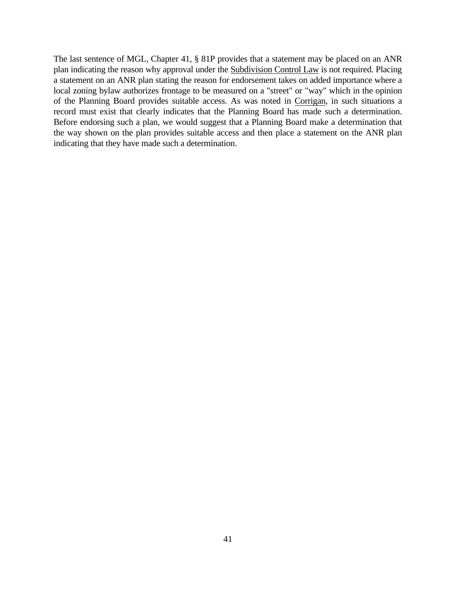The last sentence of MGL, Chapter 41, § 81P provides that a statement may be placed on an ANR plan indicating the reason why approval under the Subdivision Control Law is not required. Placing a statement on an ANR plan stating the reason for endorsement takes on added importance where a local zoning bylaw authorizes frontage to be measured on a "street" or "way" which in the opinion of the Planning Board provides suitable access. As was noted in Corrigan, in such situations a record must exist that clearly indicates that the Planning Board has made such a determination. Before endorsing such a plan, we would suggest that a Planning Board make a determination that the way shown on the plan provides suitable access and then place a statement on the ANR plan indicating that they have made such a determination.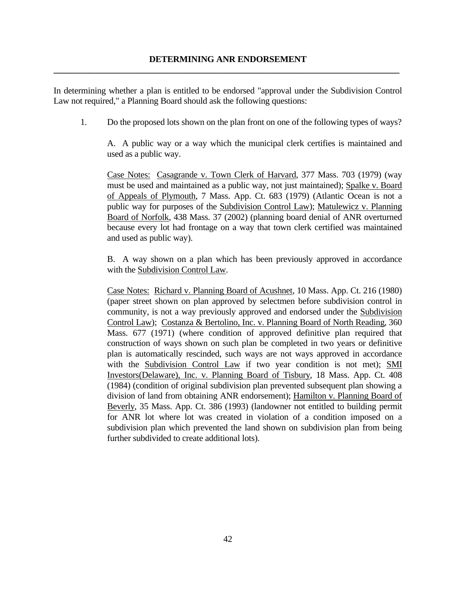In determining whether a plan is entitled to be endorsed "approval under the Subdivision Control Law not required," a Planning Board should ask the following questions:

1. Do the proposed lots shown on the plan front on one of the following types of ways?

 A. A public way or a way which the municipal clerk certifies is maintained and used as a public way.

Case Notes: Casagrande v. Town Clerk of Harvard, 377 Mass. 703 (1979) (way must be used and maintained as a public way, not just maintained); Spalke v. Board of Appeals of Plymouth, 7 Mass. App. Ct. 683 (1979) (Atlantic Ocean is not a public way for purposes of the Subdivision Control Law); Matulewicz v. Planning Board of Norfolk, 438 Mass. 37 (2002) (planning board denial of ANR overturned because every lot had frontage on a way that town clerk certified was maintained and used as public way).

B. A way shown on a plan which has been previously approved in accordance with the Subdivision Control Law.

Case Notes: Richard v. Planning Board of Acushnet, 10 Mass. App. Ct. 216 (1980) (paper street shown on plan approved by selectmen before subdivision control in community, is not a way previously approved and endorsed under the Subdivision Control Law); Costanza & Bertolino, Inc. v. Planning Board of North Reading, 360 Mass. 677 (1971) (where condition of approved definitive plan required that construction of ways shown on such plan be completed in two years or definitive plan is automatically rescinded, such ways are not ways approved in accordance with the Subdivision Control Law if two year condition is not met); SMI Investors(Delaware), Inc. v. Planning Board of Tisbury, 18 Mass. App. Ct. 408 (1984) (condition of original subdivision plan prevented subsequent plan showing a division of land from obtaining ANR endorsement); Hamilton v. Planning Board of Beverly, 35 Mass. App. Ct. 386 (1993) (landowner not entitled to building permit for ANR lot where lot was created in violation of a condition imposed on a subdivision plan which prevented the land shown on subdivision plan from being further subdivided to create additional lots).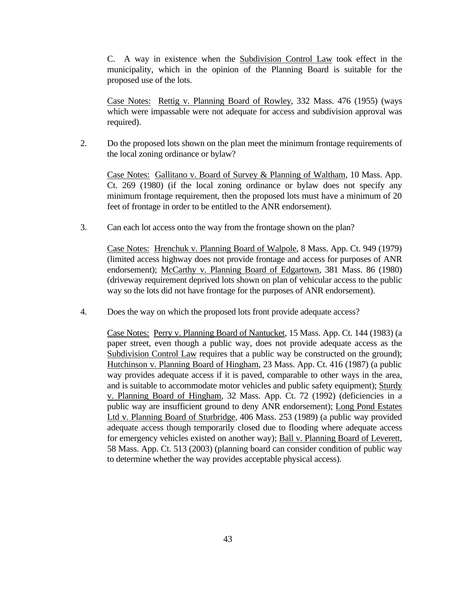C. A way in existence when the Subdivision Control Law took effect in the municipality, which in the opinion of the Planning Board is suitable for the proposed use of the lots.

Case Notes: Rettig v. Planning Board of Rowley, 332 Mass. 476 (1955) (ways which were impassable were not adequate for access and subdivision approval was required).

2. Do the proposed lots shown on the plan meet the minimum frontage requirements of the local zoning ordinance or bylaw?

Case Notes: Gallitano v. Board of Survey & Planning of Waltham, 10 Mass. App. Ct. 269 (1980) (if the local zoning ordinance or bylaw does not specify any minimum frontage requirement, then the proposed lots must have a minimum of 20 feet of frontage in order to be entitled to the ANR endorsement).

3. Can each lot access onto the way from the frontage shown on the plan?

Case Notes: Hrenchuk v. Planning Board of Walpole, 8 Mass. App. Ct. 949 (1979) (limited access highway does not provide frontage and access for purposes of ANR endorsement); McCarthy v. Planning Board of Edgartown, 381 Mass. 86 (1980) (driveway requirement deprived lots shown on plan of vehicular access to the public way so the lots did not have frontage for the purposes of ANR endorsement).

4. Does the way on which the proposed lots front provide adequate access?

Case Notes: Perry v. Planning Board of Nantucket, 15 Mass. App. Ct. 144 (1983) (a paper street, even though a public way, does not provide adequate access as the Subdivision Control Law requires that a public way be constructed on the ground); Hutchinson v. Planning Board of Hingham, 23 Mass. App. Ct. 416 (1987) (a public way provides adequate access if it is paved, comparable to other ways in the area, and is suitable to accommodate motor vehicles and public safety equipment); Sturdy v. Planning Board of Hingham, 32 Mass. App. Ct. 72 (1992) (deficiencies in a public way are insufficient ground to deny ANR endorsement); Long Pond Estates Ltd v. Planning Board of Sturbridge, 406 Mass. 253 (1989) (a public way provided adequate access though temporarily closed due to flooding where adequate access for emergency vehicles existed on another way); Ball v. Planning Board of Leverett, 58 Mass. App. Ct. 513 (2003) (planning board can consider condition of public way to determine whether the way provides acceptable physical access).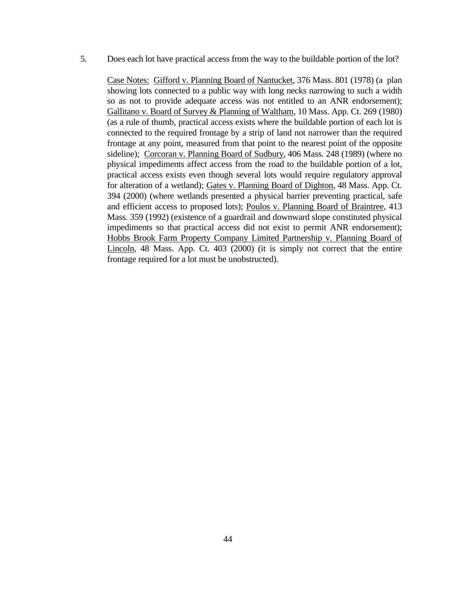5. Does each lot have practical access from the way to the buildable portion of the lot?

Case Notes: Gifford v. Planning Board of Nantucket, 376 Mass. 801 (1978) (a plan showing lots connected to a public way with long necks narrowing to such a width so as not to provide adequate access was not entitled to an ANR endorsement); Gallitano v. Board of Survey & Planning of Waltham, 10 Mass. App. Ct. 269 (1980) (as a rule of thumb, practical access exists where the buildable portion of each lot is connected to the required frontage by a strip of land not narrower than the required frontage at any point, measured from that point to the nearest point of the opposite sideline); Corcoran v. Planning Board of Sudbury, 406 Mass. 248 (1989) (where no physical impediments affect access from the road to the buildable portion of a lot, practical access exists even though several lots would require regulatory approval for alteration of a wetland); Gates v. Planning Board of Dighton, 48 Mass. App. Ct. 394 (2000) (where wetlands presented a physical barrier preventing practical, safe and efficient access to proposed lots); Poulos v. Planning Board of Braintree, 413 Mass. 359 (1992) (existence of a guardrail and downward slope constituted physical impediments so that practical access did not exist to permit ANR endorsement); Hobbs Brook Farm Property Company Limited Partnership v. Planning Board of Lincoln, 48 Mass. App. Ct. 403 (2000) (it is simply not correct that the entire frontage required for a lot must be unobstructed).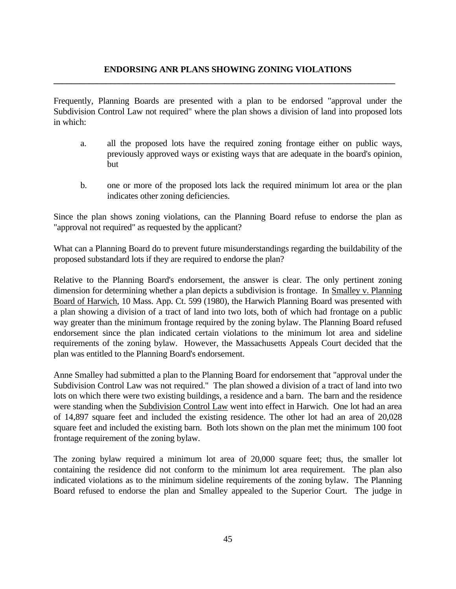# **ENDORSING ANR PLANS SHOWING ZONING VIOLATIONS \_\_\_\_\_\_\_\_\_\_\_\_\_\_\_\_\_\_\_\_\_\_\_\_\_\_\_\_\_\_\_\_\_\_\_\_\_\_\_\_\_\_\_\_\_\_\_\_\_\_\_\_\_\_\_\_\_\_\_\_\_\_\_\_\_\_\_\_\_\_\_\_\_\_\_\_\_\_**

Frequently, Planning Boards are presented with a plan to be endorsed "approval under the Subdivision Control Law not required" where the plan shows a division of land into proposed lots in which:

- a. all the proposed lots have the required zoning frontage either on public ways, previously approved ways or existing ways that are adequate in the board's opinion, but
- b. one or more of the proposed lots lack the required minimum lot area or the plan indicates other zoning deficiencies.

Since the plan shows zoning violations, can the Planning Board refuse to endorse the plan as "approval not required" as requested by the applicant?

What can a Planning Board do to prevent future misunderstandings regarding the buildability of the proposed substandard lots if they are required to endorse the plan?

Relative to the Planning Board's endorsement, the answer is clear. The only pertinent zoning dimension for determining whether a plan depicts a subdivision is frontage. In Smalley v. Planning Board of Harwich, 10 Mass. App. Ct. 599 (1980), the Harwich Planning Board was presented with a plan showing a division of a tract of land into two lots, both of which had frontage on a public way greater than the minimum frontage required by the zoning bylaw. The Planning Board refused endorsement since the plan indicated certain violations to the minimum lot area and sideline requirements of the zoning bylaw. However, the Massachusetts Appeals Court decided that the plan was entitled to the Planning Board's endorsement.

Anne Smalley had submitted a plan to the Planning Board for endorsement that "approval under the Subdivision Control Law was not required." The plan showed a division of a tract of land into two lots on which there were two existing buildings, a residence and a barn. The barn and the residence were standing when the Subdivision Control Law went into effect in Harwich. One lot had an area of 14,897 square feet and included the existing residence. The other lot had an area of 20,028 square feet and included the existing barn. Both lots shown on the plan met the minimum 100 foot frontage requirement of the zoning bylaw.

The zoning bylaw required a minimum lot area of 20,000 square feet; thus, the smaller lot containing the residence did not conform to the minimum lot area requirement. The plan also indicated violations as to the minimum sideline requirements of the zoning bylaw. The Planning Board refused to endorse the plan and Smalley appealed to the Superior Court. The judge in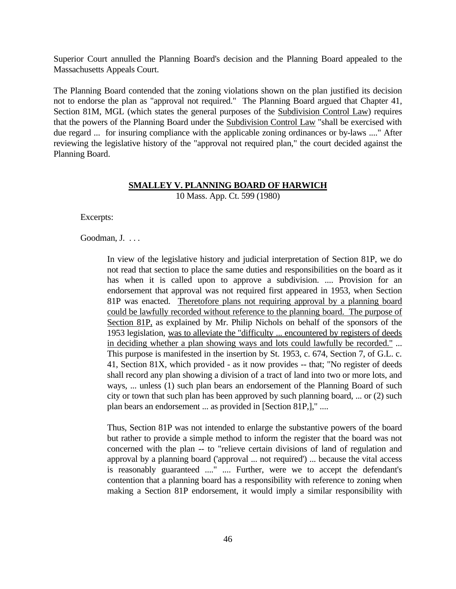Superior Court annulled the Planning Board's decision and the Planning Board appealed to the Massachusetts Appeals Court.

The Planning Board contended that the zoning violations shown on the plan justified its decision not to endorse the plan as "approval not required." The Planning Board argued that Chapter 41, Section 81M, MGL (which states the general purposes of the Subdivision Control Law) requires that the powers of the Planning Board under the Subdivision Control Law "shall be exercised with due regard ... for insuring compliance with the applicable zoning ordinances or by-laws ...." After reviewing the legislative history of the "approval not required plan," the court decided against the Planning Board.

### **SMALLEY V. PLANNING BOARD OF HARWICH** 10 Mass. App. Ct. 599 (1980)

Excerpts:

Goodman, J. ...

In view of the legislative history and judicial interpretation of Section 81P, we do not read that section to place the same duties and responsibilities on the board as it has when it is called upon to approve a subdivision. .... Provision for an endorsement that approval was not required first appeared in 1953, when Section 81P was enacted. Theretofore plans not requiring approval by a planning board could be lawfully recorded without reference to the planning board. The purpose of Section 81P, as explained by Mr. Philip Nichols on behalf of the sponsors of the 1953 legislation, was to alleviate the "difficulty ... encountered by registers of deeds in deciding whether a plan showing ways and lots could lawfully be recorded." ... This purpose is manifested in the insertion by St. 1953, c. 674, Section 7, of G.L. c. 41, Section 81X, which provided - as it now provides -- that; "No register of deeds shall record any plan showing a division of a tract of land into two or more lots, and ways, ... unless (1) such plan bears an endorsement of the Planning Board of such city or town that such plan has been approved by such planning board, ... or (2) such plan bears an endorsement ... as provided in [Section 81P,]," ....

Thus, Section 81P was not intended to enlarge the substantive powers of the board but rather to provide a simple method to inform the register that the board was not concerned with the plan -- to "relieve certain divisions of land of regulation and approval by a planning board ('approval ... not required') ... because the vital access is reasonably guaranteed ...." .... Further, were we to accept the defendant's contention that a planning board has a responsibility with reference to zoning when making a Section 81P endorsement, it would imply a similar responsibility with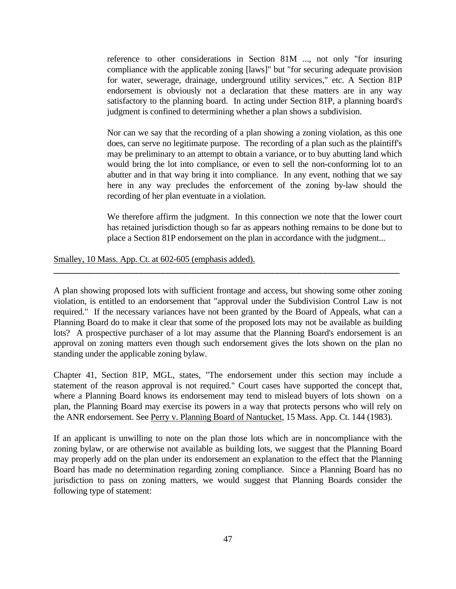reference to other considerations in Section 81M ..., not only "for insuring compliance with the applicable zoning [laws]" but "for securing adequate provision for water, sewerage, drainage, underground utility services," etc. A Section 81P endorsement is obviously not a declaration that these matters are in any way satisfactory to the planning board. In acting under Section 81P, a planning board's judgment is confined to determining whether a plan shows a subdivision.

Nor can we say that the recording of a plan showing a zoning violation, as this one does, can serve no legitimate purpose. The recording of a plan such as the plaintiff's may be preliminary to an attempt to obtain a variance, or to buy abutting land which would bring the lot into compliance, or even to sell the non-conforming lot to an abutter and in that way bring it into compliance. In any event, nothing that we say here in any way precludes the enforcement of the zoning by-law should the recording of her plan eventuate in a violation.

We therefore affirm the judgment. In this connection we note that the lower court has retained jurisdiction though so far as appears nothing remains to be done but to place a Section 81P endorsement on the plan in accordance with the judgment...

Smalley, 10 Mass. App. Ct. at 602-605 (emphasis added).

A plan showing proposed lots with sufficient frontage and access, but showing some other zoning violation, is entitled to an endorsement that "approval under the Subdivision Control Law is not required." If the necessary variances have not been granted by the Board of Appeals, what can a Planning Board do to make it clear that some of the proposed lots may not be available as building lots? A prospective purchaser of a lot may assume that the Planning Board's endorsement is an approval on zoning matters even though such endorsement gives the lots shown on the plan no standing under the applicable zoning bylaw.

**\_\_\_\_\_\_\_\_\_\_\_\_\_\_\_\_\_\_\_\_\_\_\_\_\_\_\_\_\_\_\_\_\_\_\_\_\_\_\_\_\_\_\_\_\_\_\_\_\_\_\_\_\_\_\_\_\_\_\_\_\_\_\_\_\_\_\_\_\_\_\_\_\_\_\_\_\_\_\_**

Chapter 41, Section 81P, MGL, states, "The endorsement under this section may include a statement of the reason approval is not required." Court cases have supported the concept that, where a Planning Board knows its endorsement may tend to mislead buyers of lots shown on a plan, the Planning Board may exercise its powers in a way that protects persons who will rely on the ANR endorsement. See Perry v. Planning Board of Nantucket, 15 Mass. App. Ct. 144 (1983).

If an applicant is unwilling to note on the plan those lots which are in noncompliance with the zoning bylaw, or are otherwise not available as building lots, we suggest that the Planning Board may properly add on the plan under its endorsement an explanation to the effect that the Planning Board has made no determination regarding zoning compliance. Since a Planning Board has no jurisdiction to pass on zoning matters, we would suggest that Planning Boards consider the following type of statement: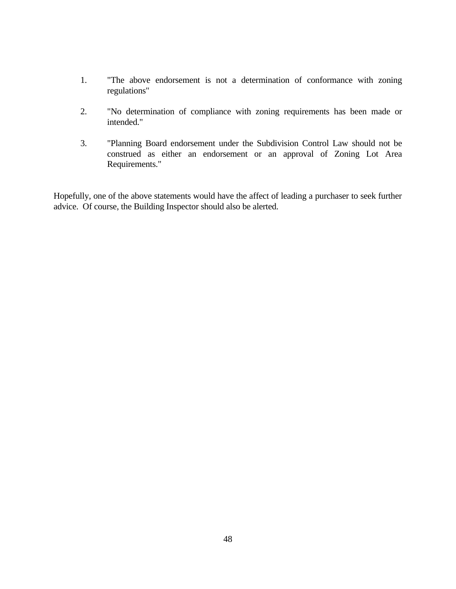- 1. "The above endorsement is not a determination of conformance with zoning regulations"
- 2. "No determination of compliance with zoning requirements has been made or intended."
- 3. "Planning Board endorsement under the Subdivision Control Law should not be construed as either an endorsement or an approval of Zoning Lot Area Requirements."

Hopefully, one of the above statements would have the affect of leading a purchaser to seek further advice. Of course, the Building Inspector should also be alerted.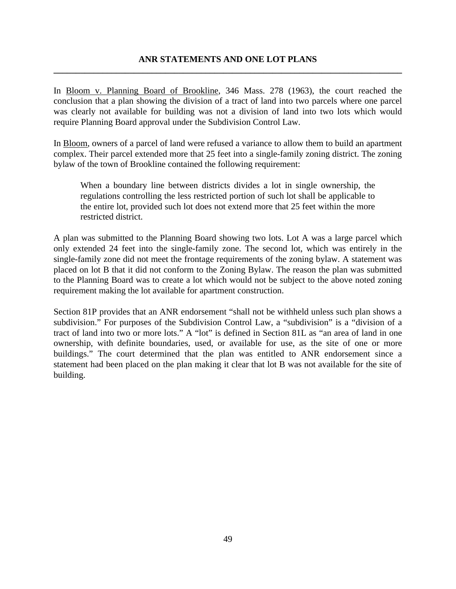In Bloom v. Planning Board of Brookline, 346 Mass. 278 (1963), the court reached the conclusion that a plan showing the division of a tract of land into two parcels where one parcel was clearly not available for building was not a division of land into two lots which would require Planning Board approval under the Subdivision Control Law.

In <u>Bloom</u>, owners of a parcel of land were refused a variance to allow them to build an apartment complex. Their parcel extended more that 25 feet into a single-family zoning district. The zoning bylaw of the town of Brookline contained the following requirement:

When a boundary line between districts divides a lot in single ownership, the regulations controlling the less restricted portion of such lot shall be applicable to the entire lot, provided such lot does not extend more that 25 feet within the more restricted district.

A plan was submitted to the Planning Board showing two lots. Lot A was a large parcel which only extended 24 feet into the single-family zone. The second lot, which was entirely in the single-family zone did not meet the frontage requirements of the zoning bylaw. A statement was placed on lot B that it did not conform to the Zoning Bylaw. The reason the plan was submitted to the Planning Board was to create a lot which would not be subject to the above noted zoning requirement making the lot available for apartment construction.

Section 81P provides that an ANR endorsement "shall not be withheld unless such plan shows a subdivision." For purposes of the Subdivision Control Law, a "subdivision" is a "division of a tract of land into two or more lots." A "lot" is defined in Section 81L as "an area of land in one ownership, with definite boundaries, used, or available for use, as the site of one or more buildings." The court determined that the plan was entitled to ANR endorsement since a statement had been placed on the plan making it clear that lot B was not available for the site of building.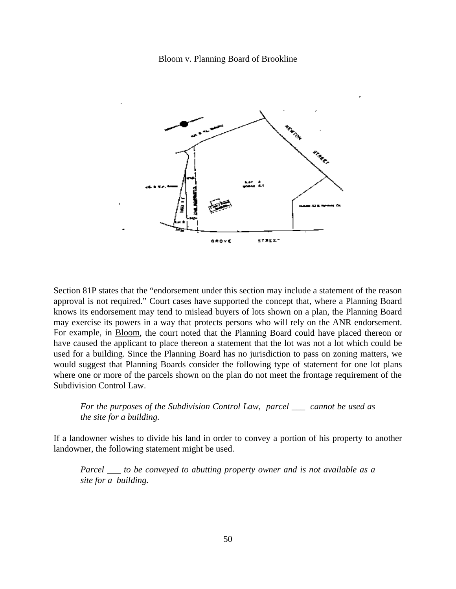#### Bloom v. Planning Board of Brookline



Section 81P states that the "endorsement under this section may include a statement of the reason approval is not required." Court cases have supported the concept that, where a Planning Board knows its endorsement may tend to mislead buyers of lots shown on a plan, the Planning Board may exercise its powers in a way that protects persons who will rely on the ANR endorsement. For example, in Bloom, the court noted that the Planning Board could have placed thereon or have caused the applicant to place thereon a statement that the lot was not a lot which could be used for a building. Since the Planning Board has no jurisdiction to pass on zoning matters, we would suggest that Planning Boards consider the following type of statement for one lot plans where one or more of the parcels shown on the plan do not meet the frontage requirement of the Subdivision Control Law.

*For the purposes of the Subdivision Control Law, parcel \_\_\_ cannot be used as the site for a building.*

If a landowner wishes to divide his land in order to convey a portion of his property to another landowner, the following statement might be used.

*Parcel \_\_\_ to be conveyed to abutting property owner and is not available as a site for a building.*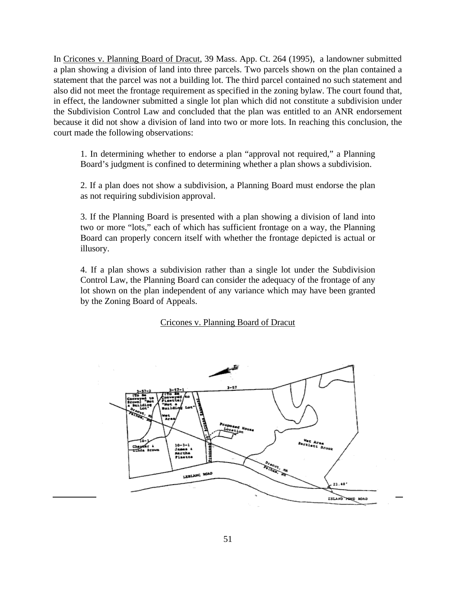In Cricones v. Planning Board of Dracut, 39 Mass. App. Ct. 264 (1995), a landowner submitted a plan showing a division of land into three parcels. Two parcels shown on the plan contained a statement that the parcel was not a building lot. The third parcel contained no such statement and also did not meet the frontage requirement as specified in the zoning bylaw. The court found that, in effect, the landowner submitted a single lot plan which did not constitute a subdivision under the Subdivision Control Law and concluded that the plan was entitled to an ANR endorsement because it did not show a division of land into two or more lots. In reaching this conclusion, the court made the following observations:

1. In determining whether to endorse a plan "approval not required," a Planning Board's judgment is confined to determining whether a plan shows a subdivision.

2. If a plan does not show a subdivision, a Planning Board must endorse the plan as not requiring subdivision approval.

3. If the Planning Board is presented with a plan showing a division of land into two or more "lots," each of which has sufficient frontage on a way, the Planning Board can properly concern itself with whether the frontage depicted is actual or illusory.

4. If a plan shows a subdivision rather than a single lot under the Subdivision Control Law, the Planning Board can consider the adequacy of the frontage of any lot shown on the plan independent of any variance which may have been granted by the Zoning Board of Appeals.

### Cricones v. Planning Board of Dracut

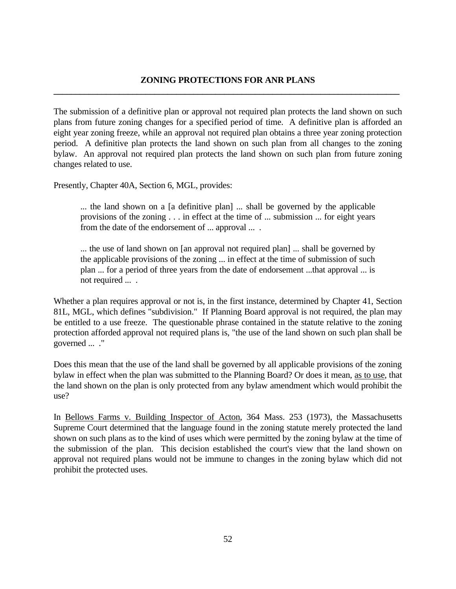### **ZONING PROTECTIONS FOR ANR PLANS \_\_\_\_\_\_\_\_\_\_\_\_\_\_\_\_\_\_\_\_\_\_\_\_\_\_\_\_\_\_\_\_\_\_\_\_\_\_\_\_\_\_\_\_\_\_\_\_\_\_\_\_\_\_\_\_\_\_\_\_\_\_\_\_\_\_\_\_\_\_\_\_\_\_\_\_\_\_\_**

The submission of a definitive plan or approval not required plan protects the land shown on such plans from future zoning changes for a specified period of time. A definitive plan is afforded an eight year zoning freeze, while an approval not required plan obtains a three year zoning protection period. A definitive plan protects the land shown on such plan from all changes to the zoning bylaw. An approval not required plan protects the land shown on such plan from future zoning changes related to use.

Presently, Chapter 40A, Section 6, MGL, provides:

... the land shown on a [a definitive plan] ... shall be governed by the applicable provisions of the zoning . . . in effect at the time of ... submission ... for eight years from the date of the endorsement of ... approval ... .

... the use of land shown on [an approval not required plan] ... shall be governed by the applicable provisions of the zoning ... in effect at the time of submission of such plan ... for a period of three years from the date of endorsement ...that approval ... is not required ... .

Whether a plan requires approval or not is, in the first instance, determined by Chapter 41, Section 81L, MGL, which defines "subdivision." If Planning Board approval is not required, the plan may be entitled to a use freeze. The questionable phrase contained in the statute relative to the zoning protection afforded approval not required plans is, "the use of the land shown on such plan shall be governed ... ."

Does this mean that the use of the land shall be governed by all applicable provisions of the zoning bylaw in effect when the plan was submitted to the Planning Board? Or does it mean, as to use, that the land shown on the plan is only protected from any bylaw amendment which would prohibit the use?

In Bellows Farms v. Building Inspector of Acton, 364 Mass. 253 (1973), the Massachusetts Supreme Court determined that the language found in the zoning statute merely protected the land shown on such plans as to the kind of uses which were permitted by the zoning bylaw at the time of the submission of the plan. This decision established the court's view that the land shown on approval not required plans would not be immune to changes in the zoning bylaw which did not prohibit the protected uses.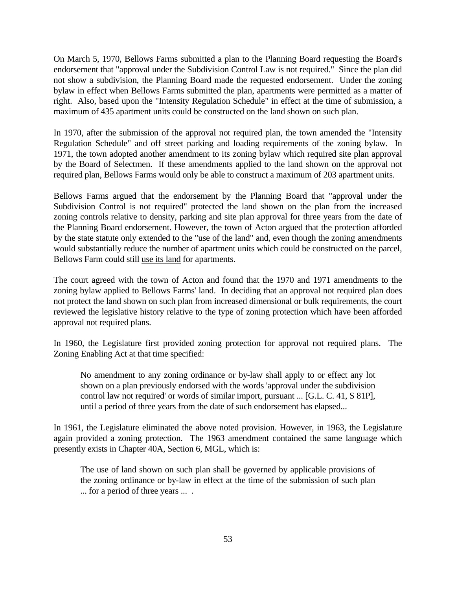On March 5, 1970, Bellows Farms submitted a plan to the Planning Board requesting the Board's endorsement that "approval under the Subdivision Control Law is not required." Since the plan did not show a subdivision, the Planning Board made the requested endorsement. Under the zoning bylaw in effect when Bellows Farms submitted the plan, apartments were permitted as a matter of right. Also, based upon the "Intensity Regulation Schedule" in effect at the time of submission, a maximum of 435 apartment units could be constructed on the land shown on such plan.

In 1970, after the submission of the approval not required plan, the town amended the "Intensity Regulation Schedule" and off street parking and loading requirements of the zoning bylaw. In 1971, the town adopted another amendment to its zoning bylaw which required site plan approval by the Board of Selectmen. If these amendments applied to the land shown on the approval not required plan, Bellows Farms would only be able to construct a maximum of 203 apartment units.

Bellows Farms argued that the endorsement by the Planning Board that "approval under the Subdivision Control is not required" protected the land shown on the plan from the increased zoning controls relative to density, parking and site plan approval for three years from the date of the Planning Board endorsement. However, the town of Acton argued that the protection afforded by the state statute only extended to the "use of the land" and, even though the zoning amendments would substantially reduce the number of apartment units which could be constructed on the parcel, Bellows Farm could still use its land for apartments.

The court agreed with the town of Acton and found that the 1970 and 1971 amendments to the zoning bylaw applied to Bellows Farms' land. In deciding that an approval not required plan does not protect the land shown on such plan from increased dimensional or bulk requirements, the court reviewed the legislative history relative to the type of zoning protection which have been afforded approval not required plans.

In 1960, the Legislature first provided zoning protection for approval not required plans. The Zoning Enabling Act at that time specified:

No amendment to any zoning ordinance or by-law shall apply to or effect any lot shown on a plan previously endorsed with the words 'approval under the subdivision control law not required' or words of similar import, pursuant ... [G.L. C. 41, S 81P], until a period of three years from the date of such endorsement has elapsed...

In 1961, the Legislature eliminated the above noted provision. However, in 1963, the Legislature again provided a zoning protection. The 1963 amendment contained the same language which presently exists in Chapter 40A, Section 6, MGL, which is:

The use of land shown on such plan shall be governed by applicable provisions of the zoning ordinance or by-law in effect at the time of the submission of such plan ... for a period of three years ... .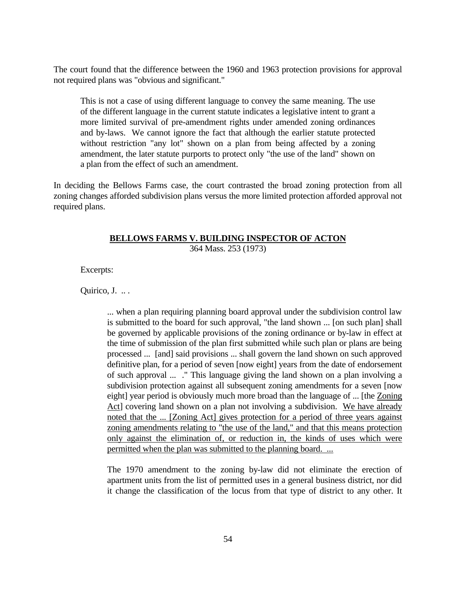The court found that the difference between the 1960 and 1963 protection provisions for approval not required plans was "obvious and significant."

This is not a case of using different language to convey the same meaning. The use of the different language in the current statute indicates a legislative intent to grant a more limited survival of pre-amendment rights under amended zoning ordinances and by-laws. We cannot ignore the fact that although the earlier statute protected without restriction "any lot" shown on a plan from being affected by a zoning amendment, the later statute purports to protect only "the use of the land" shown on a plan from the effect of such an amendment.

In deciding the Bellows Farms case, the court contrasted the broad zoning protection from all zoning changes afforded subdivision plans versus the more limited protection afforded approval not required plans.

# **BELLOWS FARMS V. BUILDING INSPECTOR OF ACTON**

364 Mass. 253 (1973)

Excerpts:

Ouirico, J. ...

... when a plan requiring planning board approval under the subdivision control law is submitted to the board for such approval, "the land shown ... [on such plan] shall be governed by applicable provisions of the zoning ordinance or by-law in effect at the time of submission of the plan first submitted while such plan or plans are being processed ... [and] said provisions ... shall govern the land shown on such approved definitive plan, for a period of seven [now eight] years from the date of endorsement of such approval ... ." This language giving the land shown on a plan involving a subdivision protection against all subsequent zoning amendments for a seven [now eight] year period is obviously much more broad than the language of ... [the Zoning Act] covering land shown on a plan not involving a subdivision. We have already noted that the ... [Zoning Act] gives protection for a period of three years against zoning amendments relating to "the use of the land," and that this means protection only against the elimination of, or reduction in, the kinds of uses which were permitted when the plan was submitted to the planning board. ...

The 1970 amendment to the zoning by-law did not eliminate the erection of apartment units from the list of permitted uses in a general business district, nor did it change the classification of the locus from that type of district to any other. It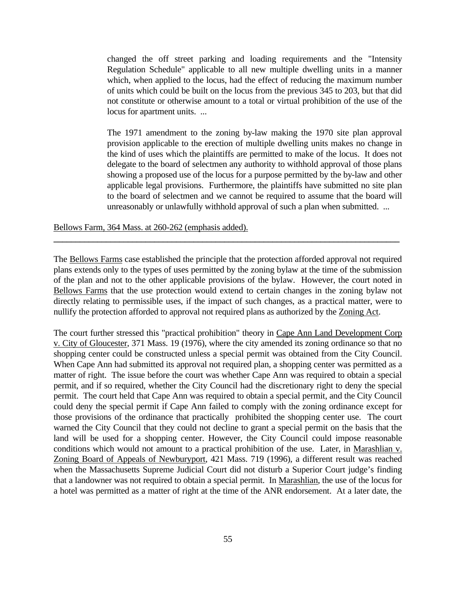changed the off street parking and loading requirements and the "Intensity Regulation Schedule" applicable to all new multiple dwelling units in a manner which, when applied to the locus, had the effect of reducing the maximum number of units which could be built on the locus from the previous 345 to 203, but that did not constitute or otherwise amount to a total or virtual prohibition of the use of the locus for apartment units. ...

The 1971 amendment to the zoning by-law making the 1970 site plan approval provision applicable to the erection of multiple dwelling units makes no change in the kind of uses which the plaintiffs are permitted to make of the locus. It does not delegate to the board of selectmen any authority to withhold approval of those plans showing a proposed use of the locus for a purpose permitted by the by-law and other applicable legal provisions. Furthermore, the plaintiffs have submitted no site plan to the board of selectmen and we cannot be required to assume that the board will unreasonably or unlawfully withhold approval of such a plan when submitted. ...

Bellows Farm, 364 Mass. at 260-262 (emphasis added).

The Bellows Farms case established the principle that the protection afforded approval not required plans extends only to the types of uses permitted by the zoning bylaw at the time of the submission of the plan and not to the other applicable provisions of the bylaw. However, the court noted in Bellows Farms that the use protection would extend to certain changes in the zoning bylaw not directly relating to permissible uses, if the impact of such changes, as a practical matter, were to nullify the protection afforded to approval not required plans as authorized by the Zoning Act.

**\_\_\_\_\_\_\_\_\_\_\_\_\_\_\_\_\_\_\_\_\_\_\_\_\_\_\_\_\_\_\_\_\_\_\_\_\_\_\_\_\_\_\_\_\_\_\_\_\_\_\_\_\_\_\_\_\_\_\_\_\_\_\_\_\_\_\_\_\_\_\_\_\_\_\_\_\_\_\_**

The court further stressed this "practical prohibition" theory in Cape Ann Land Development Corp v. City of Gloucester, 371 Mass. 19 (1976), where the city amended its zoning ordinance so that no shopping center could be constructed unless a special permit was obtained from the City Council. When Cape Ann had submitted its approval not required plan, a shopping center was permitted as a matter of right. The issue before the court was whether Cape Ann was required to obtain a special permit, and if so required, whether the City Council had the discretionary right to deny the special permit. The court held that Cape Ann was required to obtain a special permit, and the City Council could deny the special permit if Cape Ann failed to comply with the zoning ordinance except for those provisions of the ordinance that practically prohibited the shopping center use. The court warned the City Council that they could not decline to grant a special permit on the basis that the land will be used for a shopping center. However, the City Council could impose reasonable conditions which would not amount to a practical prohibition of the use. Later, in Marashlian v. Zoning Board of Appeals of Newburyport, 421 Mass. 719 (1996), a different result was reached when the Massachusetts Supreme Judicial Court did not disturb a Superior Court judge's finding that a landowner was not required to obtain a special permit. In Marashlian, the use of the locus for a hotel was permitted as a matter of right at the time of the ANR endorsement. At a later date, the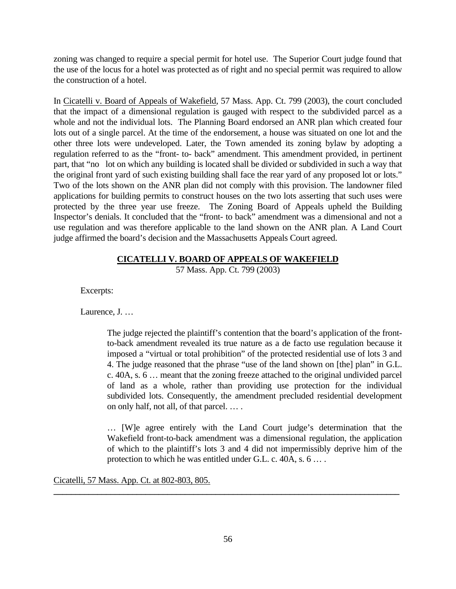zoning was changed to require a special permit for hotel use. The Superior Court judge found that the use of the locus for a hotel was protected as of right and no special permit was required to allow the construction of a hotel.

In Cicatelli v. Board of Appeals of Wakefield, 57 Mass. App. Ct. 799 (2003), the court concluded that the impact of a dimensional regulation is gauged with respect to the subdivided parcel as a whole and not the individual lots. The Planning Board endorsed an ANR plan which created four lots out of a single parcel. At the time of the endorsement, a house was situated on one lot and the other three lots were undeveloped. Later, the Town amended its zoning bylaw by adopting a regulation referred to as the "front- to- back" amendment. This amendment provided, in pertinent part, that "no lot on which any building is located shall be divided or subdivided in such a way that the original front yard of such existing building shall face the rear yard of any proposed lot or lots." Two of the lots shown on the ANR plan did not comply with this provision. The landowner filed applications for building permits to construct houses on the two lots asserting that such uses were protected by the three year use freeze. The Zoning Board of Appeals upheld the Building Inspector's denials. It concluded that the "front- to back" amendment was a dimensional and not a use regulation and was therefore applicable to the land shown on the ANR plan. A Land Court judge affirmed the board's decision and the Massachusetts Appeals Court agreed.

# **CICATELLI V. BOARD OF APPEALS OF WAKEFIELD**

57 Mass. App. Ct. 799 (2003)

Excerpts:

Laurence, J. …

The judge rejected the plaintiff's contention that the board's application of the frontto-back amendment revealed its true nature as a de facto use regulation because it imposed a "virtual or total prohibition" of the protected residential use of lots 3 and 4. The judge reasoned that the phrase "use of the land shown on [the] plan" in G.L. c. 40A, s. 6 … meant that the zoning freeze attached to the original undivided parcel of land as a whole, rather than providing use protection for the individual subdivided lots. Consequently, the amendment precluded residential development on only half, not all, of that parcel. … .

… [W]e agree entirely with the Land Court judge's determination that the Wakefield front-to-back amendment was a dimensional regulation, the application of which to the plaintiff's lots 3 and 4 did not impermissibly deprive him of the protection to which he was entitled under G.L. c. 40A, s. 6 … .

Cicatelli, 57 Mass. App. Ct. at 802-803, 805.

**\_\_\_\_\_\_\_\_\_\_\_\_\_\_\_\_\_\_\_\_\_\_\_\_\_\_\_\_\_\_\_\_\_\_\_\_\_\_\_\_\_\_\_\_\_\_\_\_\_\_\_\_\_\_\_\_\_\_\_\_\_\_\_\_\_\_\_\_\_\_\_\_\_\_\_\_\_\_\_**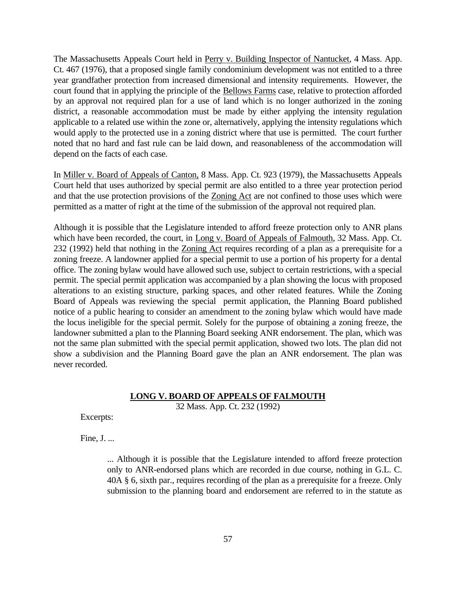The Massachusetts Appeals Court held in Perry v. Building Inspector of Nantucket, 4 Mass. App. Ct. 467 (1976), that a proposed single family condominium development was not entitled to a three year grandfather protection from increased dimensional and intensity requirements. However, the court found that in applying the principle of the Bellows Farms case, relative to protection afforded by an approval not required plan for a use of land which is no longer authorized in the zoning district, a reasonable accommodation must be made by either applying the intensity regulation applicable to a related use within the zone or, alternatively, applying the intensity regulations which would apply to the protected use in a zoning district where that use is permitted. The court further noted that no hard and fast rule can be laid down, and reasonableness of the accommodation will depend on the facts of each case.

In Miller v. Board of Appeals of Canton, 8 Mass. App. Ct. 923 (1979), the Massachusetts Appeals Court held that uses authorized by special permit are also entitled to a three year protection period and that the use protection provisions of the Zoning Act are not confined to those uses which were permitted as a matter of right at the time of the submission of the approval not required plan.

Although it is possible that the Legislature intended to afford freeze protection only to ANR plans which have been recorded, the court, in Long v. Board of Appeals of Falmouth, 32 Mass. App. Ct. 232 (1992) held that nothing in the Zoning Act requires recording of a plan as a prerequisite for a zoning freeze. A landowner applied for a special permit to use a portion of his property for a dental office. The zoning bylaw would have allowed such use, subject to certain restrictions, with a special permit. The special permit application was accompanied by a plan showing the locus with proposed alterations to an existing structure, parking spaces, and other related features. While the Zoning Board of Appeals was reviewing the special permit application, the Planning Board published notice of a public hearing to consider an amendment to the zoning bylaw which would have made the locus ineligible for the special permit. Solely for the purpose of obtaining a zoning freeze, the landowner submitted a plan to the Planning Board seeking ANR endorsement. The plan, which was not the same plan submitted with the special permit application, showed two lots. The plan did not show a subdivision and the Planning Board gave the plan an ANR endorsement. The plan was never recorded.

# **LONG V. BOARD OF APPEALS OF FALMOUTH**

32 Mass. App. Ct. 232 (1992)

Excerpts:

Fine, J. ...

... Although it is possible that the Legislature intended to afford freeze protection only to ANR-endorsed plans which are recorded in due course, nothing in G.L. C. 40A § 6, sixth par., requires recording of the plan as a prerequisite for a freeze. Only submission to the planning board and endorsement are referred to in the statute as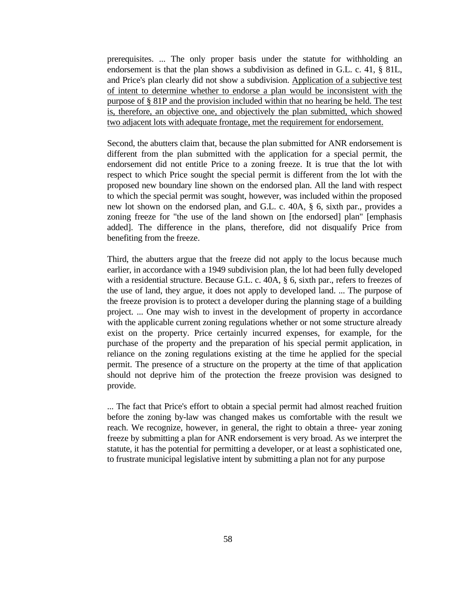prerequisites. ... The only proper basis under the statute for withholding an endorsement is that the plan shows a subdivision as defined in G.L. c. 41, § 81L, and Price's plan clearly did not show a subdivision. Application of a subjective test of intent to determine whether to endorse a plan would be inconsistent with the purpose of § 81P and the provision included within that no hearing be held. The test is, therefore, an objective one, and objectively the plan submitted, which showed two adjacent lots with adequate frontage, met the requirement for endorsement.

Second, the abutters claim that, because the plan submitted for ANR endorsement is different from the plan submitted with the application for a special permit, the endorsement did not entitle Price to a zoning freeze. It is true that the lot with respect to which Price sought the special permit is different from the lot with the proposed new boundary line shown on the endorsed plan. All the land with respect to which the special permit was sought, however, was included within the proposed new lot shown on the endorsed plan, and G.L. c. 40A, § 6, sixth par., provides a zoning freeze for "the use of the land shown on [the endorsed] plan" [emphasis added]. The difference in the plans, therefore, did not disqualify Price from benefiting from the freeze.

Third, the abutters argue that the freeze did not apply to the locus because much earlier, in accordance with a 1949 subdivision plan, the lot had been fully developed with a residential structure. Because G.L. c. 40A, § 6, sixth par., refers to freezes of the use of land, they argue, it does not apply to developed land. ... The purpose of the freeze provision is to protect a developer during the planning stage of a building project. ... One may wish to invest in the development of property in accordance with the applicable current zoning regulations whether or not some structure already exist on the property. Price certainly incurred expenses, for example, for the purchase of the property and the preparation of his special permit application, in reliance on the zoning regulations existing at the time he applied for the special permit. The presence of a structure on the property at the time of that application should not deprive him of the protection the freeze provision was designed to provide.

... The fact that Price's effort to obtain a special permit had almost reached fruition before the zoning by-law was changed makes us comfortable with the result we reach. We recognize, however, in general, the right to obtain a three- year zoning freeze by submitting a plan for ANR endorsement is very broad. As we interpret the statute, it has the potential for permitting a developer, or at least a sophisticated one, to frustrate municipal legislative intent by submitting a plan not for any purpose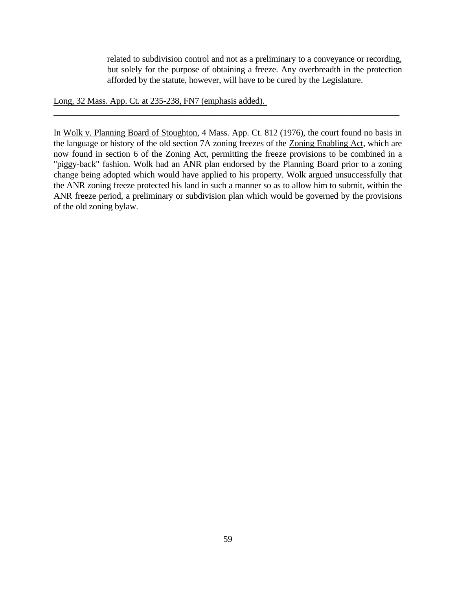related to subdivision control and not as a preliminary to a conveyance or recording, but solely for the purpose of obtaining a freeze. Any overbreadth in the protection afforded by the statute, however, will have to be cured by the Legislature.

Long, 32 Mass. App. Ct. at 235-238, FN7 (emphasis added).

In Wolk v. Planning Board of Stoughton, 4 Mass. App. Ct. 812 (1976), the court found no basis in the language or history of the old section 7A zoning freezes of the Zoning Enabling Act, which are now found in section 6 of the Zoning Act, permitting the freeze provisions to be combined in a "piggy-back" fashion. Wolk had an ANR plan endorsed by the Planning Board prior to a zoning change being adopted which would have applied to his property. Wolk argued unsuccessfully that the ANR zoning freeze protected his land in such a manner so as to allow him to submit, within the ANR freeze period, a preliminary or subdivision plan which would be governed by the provisions of the old zoning bylaw.

**\_\_\_\_\_\_\_\_\_\_\_\_\_\_\_\_\_\_\_\_\_\_\_\_\_\_\_\_\_\_\_\_\_\_\_\_\_\_\_\_\_\_\_\_\_\_\_\_\_\_\_\_\_\_\_\_\_\_\_\_\_\_\_\_\_\_\_\_\_\_\_\_\_\_\_\_\_\_\_**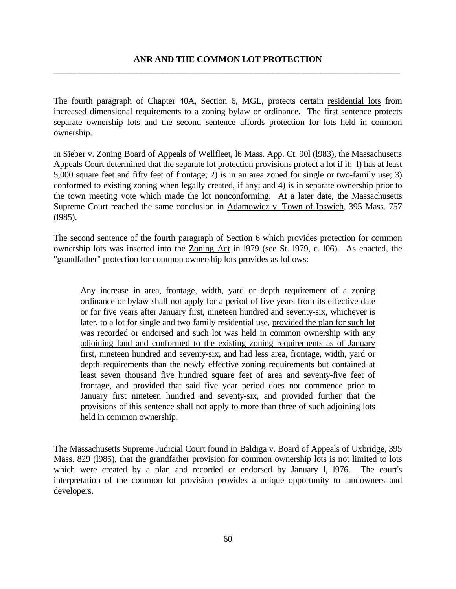The fourth paragraph of Chapter 40A, Section 6, MGL, protects certain residential lots from increased dimensional requirements to a zoning bylaw or ordinance. The first sentence protects separate ownership lots and the second sentence affords protection for lots held in common ownership.

In Sieber v. Zoning Board of Appeals of Wellfleet, l6 Mass. App. Ct. 90l (l983), the Massachusetts Appeals Court determined that the separate lot protection provisions protect a lot if it: l) has at least 5,000 square feet and fifty feet of frontage; 2) is in an area zoned for single or two-family use; 3) conformed to existing zoning when legally created, if any; and 4) is in separate ownership prior to the town meeting vote which made the lot nonconforming. At a later date, the Massachusetts Supreme Court reached the same conclusion in Adamowicz v. Town of Ipswich, 395 Mass. 757 (l985).

The second sentence of the fourth paragraph of Section 6 which provides protection for common ownership lots was inserted into the Zoning Act in l979 (see St. l979, c. l06). As enacted, the "grandfather" protection for common ownership lots provides as follows:

Any increase in area, frontage, width, yard or depth requirement of a zoning ordinance or bylaw shall not apply for a period of five years from its effective date or for five years after January first, nineteen hundred and seventy-six, whichever is later, to a lot for single and two family residential use, provided the plan for such lot was recorded or endorsed and such lot was held in common ownership with any adjoining land and conformed to the existing zoning requirements as of January first, nineteen hundred and seventy-six, and had less area, frontage, width, yard or depth requirements than the newly effective zoning requirements but contained at least seven thousand five hundred square feet of area and seventy-five feet of frontage, and provided that said five year period does not commence prior to January first nineteen hundred and seventy-six, and provided further that the provisions of this sentence shall not apply to more than three of such adjoining lots held in common ownership.

The Massachusetts Supreme Judicial Court found in Baldiga v. Board of Appeals of Uxbridge, 395 Mass. 829 (l985), that the grandfather provision for common ownership lots is not limited to lots which were created by a plan and recorded or endorsed by January l, l976. The court's interpretation of the common lot provision provides a unique opportunity to landowners and developers.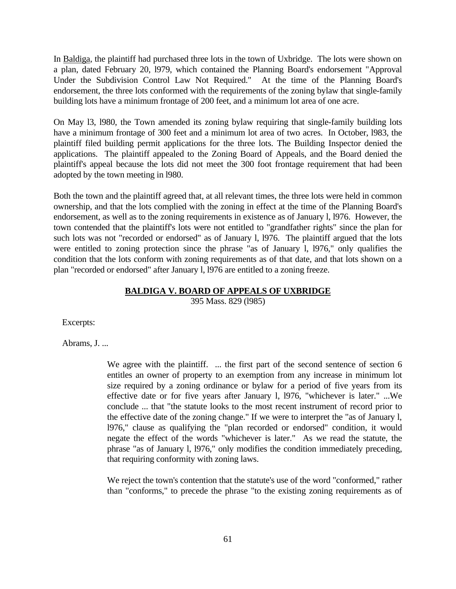In Baldiga, the plaintiff had purchased three lots in the town of Uxbridge. The lots were shown on a plan, dated February 20, l979, which contained the Planning Board's endorsement "Approval Under the Subdivision Control Law Not Required." At the time of the Planning Board's endorsement, the three lots conformed with the requirements of the zoning bylaw that single-family building lots have a minimum frontage of 200 feet, and a minimum lot area of one acre.

On May l3, l980, the Town amended its zoning bylaw requiring that single-family building lots have a minimum frontage of 300 feet and a minimum lot area of two acres. In October, l983, the plaintiff filed building permit applications for the three lots. The Building Inspector denied the applications. The plaintiff appealed to the Zoning Board of Appeals, and the Board denied the plaintiff's appeal because the lots did not meet the 300 foot frontage requirement that had been adopted by the town meeting in l980.

Both the town and the plaintiff agreed that, at all relevant times, the three lots were held in common ownership, and that the lots complied with the zoning in effect at the time of the Planning Board's endorsement, as well as to the zoning requirements in existence as of January l, l976. However, the town contended that the plaintiff's lots were not entitled to "grandfather rights" since the plan for such lots was not "recorded or endorsed" as of January l, l976. The plaintiff argued that the lots were entitled to zoning protection since the phrase "as of January l, l976," only qualifies the condition that the lots conform with zoning requirements as of that date, and that lots shown on a plan "recorded or endorsed" after January l, l976 are entitled to a zoning freeze.

### **BALDIGA V. BOARD OF APPEALS OF UXBRIDGE**

395 Mass. 829 (l985)

Excerpts:

Abrams, J. ...

We agree with the plaintiff. ... the first part of the second sentence of section 6 entitles an owner of property to an exemption from any increase in minimum lot size required by a zoning ordinance or bylaw for a period of five years from its effective date or for five years after January l, l976, "whichever is later." ...We conclude ... that "the statute looks to the most recent instrument of record prior to the effective date of the zoning change." If we were to interpret the "as of January l, l976," clause as qualifying the "plan recorded or endorsed" condition, it would negate the effect of the words "whichever is later." As we read the statute, the phrase "as of January l, l976," only modifies the condition immediately preceding, that requiring conformity with zoning laws.

We reject the town's contention that the statute's use of the word "conformed," rather than "conforms," to precede the phrase "to the existing zoning requirements as of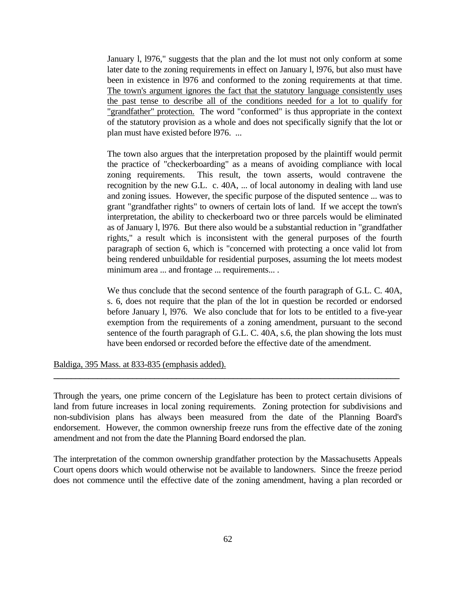January l, l976," suggests that the plan and the lot must not only conform at some later date to the zoning requirements in effect on January l, l976, but also must have been in existence in l976 and conformed to the zoning requirements at that time. The town's argument ignores the fact that the statutory language consistently uses the past tense to describe all of the conditions needed for a lot to qualify for "grandfather" protection. The word "conformed" is thus appropriate in the context of the statutory provision as a whole and does not specifically signify that the lot or plan must have existed before l976. ...

The town also argues that the interpretation proposed by the plaintiff would permit the practice of "checkerboarding" as a means of avoiding compliance with local zoning requirements. This result, the town asserts, would contravene the recognition by the new G.L. c. 40A, ... of local autonomy in dealing with land use and zoning issues. However, the specific purpose of the disputed sentence ... was to grant "grandfather rights" to owners of certain lots of land. If we accept the town's interpretation, the ability to checkerboard two or three parcels would be eliminated as of January l, l976. But there also would be a substantial reduction in "grandfather rights," a result which is inconsistent with the general purposes of the fourth paragraph of section 6, which is "concerned with protecting a once valid lot from being rendered unbuildable for residential purposes, assuming the lot meets modest minimum area ... and frontage ... requirements... .

We thus conclude that the second sentence of the fourth paragraph of G.L. C. 40A, s. 6, does not require that the plan of the lot in question be recorded or endorsed before January l, l976. We also conclude that for lots to be entitled to a five-year exemption from the requirements of a zoning amendment, pursuant to the second sentence of the fourth paragraph of G.L. C. 40A, s.6, the plan showing the lots must have been endorsed or recorded before the effective date of the amendment.

Baldiga, 395 Mass. at 833-835 (emphasis added).

Through the years, one prime concern of the Legislature has been to protect certain divisions of land from future increases in local zoning requirements. Zoning protection for subdivisions and non-subdivision plans has always been measured from the date of the Planning Board's endorsement. However, the common ownership freeze runs from the effective date of the zoning amendment and not from the date the Planning Board endorsed the plan.

**\_\_\_\_\_\_\_\_\_\_\_\_\_\_\_\_\_\_\_\_\_\_\_\_\_\_\_\_\_\_\_\_\_\_\_\_\_\_\_\_\_\_\_\_\_\_\_\_\_\_\_\_\_\_\_\_\_\_\_\_\_\_\_\_\_\_\_\_\_\_\_\_\_\_\_\_\_\_\_**

The interpretation of the common ownership grandfather protection by the Massachusetts Appeals Court opens doors which would otherwise not be available to landowners. Since the freeze period does not commence until the effective date of the zoning amendment, having a plan recorded or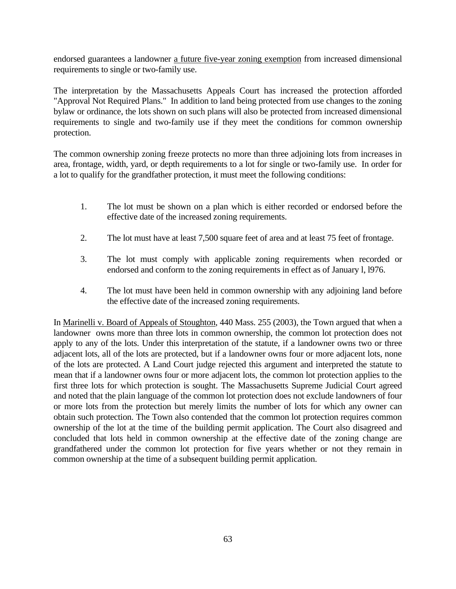endorsed guarantees a landowner a future five-year zoning exemption from increased dimensional requirements to single or two-family use.

The interpretation by the Massachusetts Appeals Court has increased the protection afforded "Approval Not Required Plans." In addition to land being protected from use changes to the zoning bylaw or ordinance, the lots shown on such plans will also be protected from increased dimensional requirements to single and two-family use if they meet the conditions for common ownership protection.

The common ownership zoning freeze protects no more than three adjoining lots from increases in area, frontage, width, yard, or depth requirements to a lot for single or two-family use. In order for a lot to qualify for the grandfather protection, it must meet the following conditions:

- 1. The lot must be shown on a plan which is either recorded or endorsed before the effective date of the increased zoning requirements.
- 2. The lot must have at least 7,500 square feet of area and at least 75 feet of frontage.
- 3. The lot must comply with applicable zoning requirements when recorded or endorsed and conform to the zoning requirements in effect as of January l, l976.
- 4. The lot must have been held in common ownership with any adjoining land before the effective date of the increased zoning requirements.

In Marinelli v. Board of Appeals of Stoughton, 440 Mass. 255 (2003), the Town argued that when a landowner owns more than three lots in common ownership, the common lot protection does not apply to any of the lots. Under this interpretation of the statute, if a landowner owns two or three adjacent lots, all of the lots are protected, but if a landowner owns four or more adjacent lots, none of the lots are protected. A Land Court judge rejected this argument and interpreted the statute to mean that if a landowner owns four or more adjacent lots, the common lot protection applies to the first three lots for which protection is sought. The Massachusetts Supreme Judicial Court agreed and noted that the plain language of the common lot protection does not exclude landowners of four or more lots from the protection but merely limits the number of lots for which any owner can obtain such protection. The Town also contended that the common lot protection requires common ownership of the lot at the time of the building permit application. The Court also disagreed and concluded that lots held in common ownership at the effective date of the zoning change are grandfathered under the common lot protection for five years whether or not they remain in common ownership at the time of a subsequent building permit application.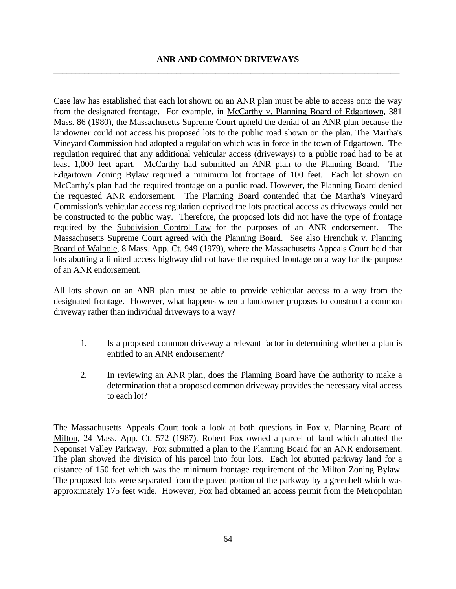Case law has established that each lot shown on an ANR plan must be able to access onto the way from the designated frontage. For example, in McCarthy v. Planning Board of Edgartown, 381 Mass. 86 (1980), the Massachusetts Supreme Court upheld the denial of an ANR plan because the landowner could not access his proposed lots to the public road shown on the plan. The Martha's Vineyard Commission had adopted a regulation which was in force in the town of Edgartown. The regulation required that any additional vehicular access (driveways) to a public road had to be at least 1,000 feet apart. McCarthy had submitted an ANR plan to the Planning Board. The Edgartown Zoning Bylaw required a minimum lot frontage of 100 feet. Each lot shown on McCarthy's plan had the required frontage on a public road. However, the Planning Board denied the requested ANR endorsement. The Planning Board contended that the Martha's Vineyard Commission's vehicular access regulation deprived the lots practical access as driveways could not be constructed to the public way. Therefore, the proposed lots did not have the type of frontage required by the Subdivision Control Law for the purposes of an ANR endorsement. The Massachusetts Supreme Court agreed with the Planning Board. See also Hrenchuk v. Planning Board of Walpole, 8 Mass. App. Ct. 949 (1979), where the Massachusetts Appeals Court held that lots abutting a limited access highway did not have the required frontage on a way for the purpose of an ANR endorsement.

All lots shown on an ANR plan must be able to provide vehicular access to a way from the designated frontage. However, what happens when a landowner proposes to construct a common driveway rather than individual driveways to a way?

- 1. Is a proposed common driveway a relevant factor in determining whether a plan is entitled to an ANR endorsement?
- 2. In reviewing an ANR plan, does the Planning Board have the authority to make a determination that a proposed common driveway provides the necessary vital access to each lot?

The Massachusetts Appeals Court took a look at both questions in Fox v. Planning Board of Milton, 24 Mass. App. Ct. 572 (1987). Robert Fox owned a parcel of land which abutted the Neponset Valley Parkway. Fox submitted a plan to the Planning Board for an ANR endorsement. The plan showed the division of his parcel into four lots. Each lot abutted parkway land for a distance of 150 feet which was the minimum frontage requirement of the Milton Zoning Bylaw. The proposed lots were separated from the paved portion of the parkway by a greenbelt which was approximately 175 feet wide. However, Fox had obtained an access permit from the Metropolitan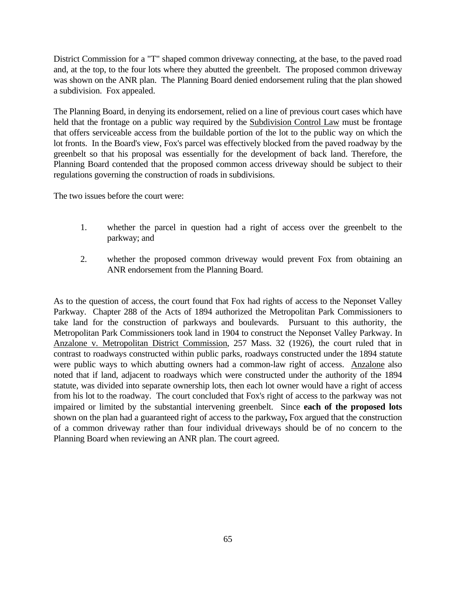District Commission for a "T" shaped common driveway connecting, at the base, to the paved road and, at the top, to the four lots where they abutted the greenbelt. The proposed common driveway was shown on the ANR plan. The Planning Board denied endorsement ruling that the plan showed a subdivision. Fox appealed.

The Planning Board, in denying its endorsement, relied on a line of previous court cases which have held that the frontage on a public way required by the Subdivision Control Law must be frontage that offers serviceable access from the buildable portion of the lot to the public way on which the lot fronts. In the Board's view, Fox's parcel was effectively blocked from the paved roadway by the greenbelt so that his proposal was essentially for the development of back land. Therefore, the Planning Board contended that the proposed common access driveway should be subject to their regulations governing the construction of roads in subdivisions.

The two issues before the court were:

- 1. whether the parcel in question had a right of access over the greenbelt to the parkway; and
- 2. whether the proposed common driveway would prevent Fox from obtaining an ANR endorsement from the Planning Board.

As to the question of access, the court found that Fox had rights of access to the Neponset Valley Parkway. Chapter 288 of the Acts of 1894 authorized the Metropolitan Park Commissioners to take land for the construction of parkways and boulevards. Pursuant to this authority, the Metropolitan Park Commissioners took land in 1904 to construct the Neponset Valley Parkway. In Anzalone v. Metropolitan District Commission, 257 Mass. 32 (1926), the court ruled that in contrast to roadways constructed within public parks, roadways constructed under the 1894 statute were public ways to which abutting owners had a common-law right of access. Anzalone also noted that if land, adjacent to roadways which were constructed under the authority of the 1894 statute, was divided into separate ownership lots, then each lot owner would have a right of access from his lot to the roadway. The court concluded that Fox's right of access to the parkway was not impaired or limited by the substantial intervening greenbelt. Since **each of the proposed lots**  shown on the plan had a guaranteed right of access to the parkway**,** Fox argued that the construction of a common driveway rather than four individual driveways should be of no concern to the Planning Board when reviewing an ANR plan. The court agreed.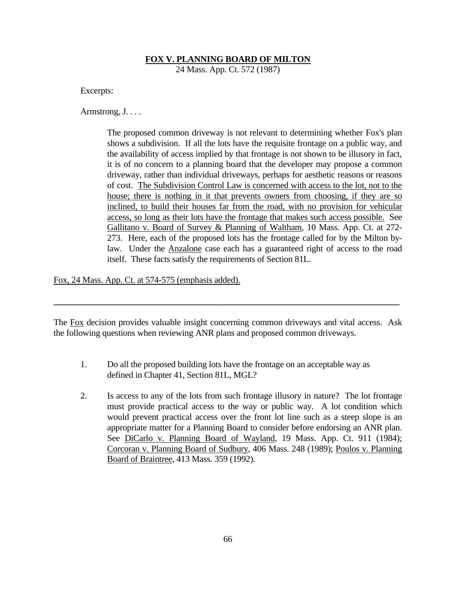### **FOX V. PLANNING BOARD OF MILTON**

24 Mass. App. Ct. 572 (1987)

Excerpts:

Armstrong, J. . . .

The proposed common driveway is not relevant to determining whether Fox's plan shows a subdivision. If all the lots have the requisite frontage on a public way, and the availability of access implied by that frontage is not shown to be illusory in fact, it is of no concern to a planning board that the developer may propose a common driveway, rather than individual driveways, perhaps for aesthetic reasons or reasons of cost. The Subdivision Control Law is concerned with access to the lot, not to the house; there is nothing in it that prevents owners from choosing, if they are so inclined, to build their houses far from the road, with no provision for vehicular access, so long as their lots have the frontage that makes such access possible. See Gallitano v. Board of Survey & Planning of Waltham, 10 Mass. App. Ct. at 272- 273. Here, each of the proposed lots has the frontage called for by the Milton bylaw. Under the Anzalone case each has a guaranteed right of access to the road itself. These facts satisfy the requirements of Section 81L.

Fox, 24 Mass. App. Ct. at 574-575 (emphasis added).

The Fox decision provides valuable insight concerning common driveways and vital access. Ask the following questions when reviewing ANR plans and proposed common driveways.

**\_\_\_\_\_\_\_\_\_\_\_\_\_\_\_\_\_\_\_\_\_\_\_\_\_\_\_\_\_\_\_\_\_\_\_\_\_\_\_\_\_\_\_\_\_\_\_\_\_\_\_\_\_\_\_\_\_\_\_\_\_\_\_\_\_\_\_\_\_\_\_\_\_\_\_\_\_\_\_**

- 1. Do all the proposed building lots have the frontage on an acceptable way as defined in Chapter 41, Section 81L, MGL?
- 2. Is access to any of the lots from such frontage illusory in nature? The lot frontage must provide practical access to the way or public way. A lot condition which would prevent practical access over the front lot line such as a steep slope is an appropriate matter for a Planning Board to consider before endorsing an ANR plan. See DiCarlo v. Planning Board of Wayland, 19 Mass. App. Ct. 911 (1984); Corcoran v. Planning Board of Sudbury, 406 Mass. 248 (1989); Poulos v. Planning Board of Braintree, 413 Mass. 359 (1992).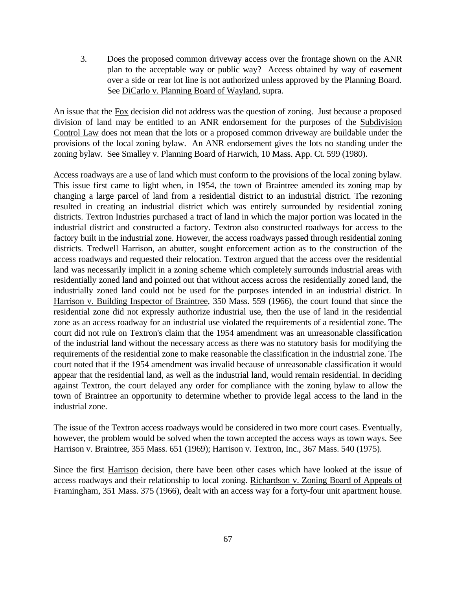3. Does the proposed common driveway access over the frontage shown on the ANR plan to the acceptable way or public way? Access obtained by way of easement over a side or rear lot line is not authorized unless approved by the Planning Board. See DiCarlo v. Planning Board of Wayland, supra.

An issue that the Fox decision did not address was the question of zoning. Just because a proposed division of land may be entitled to an ANR endorsement for the purposes of the Subdivision Control Law does not mean that the lots or a proposed common driveway are buildable under the provisions of the local zoning bylaw. An ANR endorsement gives the lots no standing under the zoning bylaw. See Smalley v. Planning Board of Harwich, 10 Mass. App. Ct. 599 (1980).

Access roadways are a use of land which must conform to the provisions of the local zoning bylaw. This issue first came to light when, in 1954, the town of Braintree amended its zoning map by changing a large parcel of land from a residential district to an industrial district. The rezoning resulted in creating an industrial district which was entirely surrounded by residential zoning districts. Textron Industries purchased a tract of land in which the major portion was located in the industrial district and constructed a factory. Textron also constructed roadways for access to the factory built in the industrial zone. However, the access roadways passed through residential zoning districts. Tredwell Harrison, an abutter, sought enforcement action as to the construction of the access roadways and requested their relocation. Textron argued that the access over the residential land was necessarily implicit in a zoning scheme which completely surrounds industrial areas with residentially zoned land and pointed out that without access across the residentially zoned land, the industrially zoned land could not be used for the purposes intended in an industrial district. In Harrison v. Building Inspector of Braintree, 350 Mass. 559 (1966), the court found that since the residential zone did not expressly authorize industrial use, then the use of land in the residential zone as an access roadway for an industrial use violated the requirements of a residential zone. The court did not rule on Textron's claim that the 1954 amendment was an unreasonable classification of the industrial land without the necessary access as there was no statutory basis for modifying the requirements of the residential zone to make reasonable the classification in the industrial zone. The court noted that if the 1954 amendment was invalid because of unreasonable classification it would appear that the residential land, as well as the industrial land, would remain residential. In deciding against Textron, the court delayed any order for compliance with the zoning bylaw to allow the town of Braintree an opportunity to determine whether to provide legal access to the land in the industrial zone.

The issue of the Textron access roadways would be considered in two more court cases. Eventually, however, the problem would be solved when the town accepted the access ways as town ways. See Harrison v. Braintree, 355 Mass. 651 (1969); Harrison v. Textron, Inc., 367 Mass. 540 (1975).

Since the first Harrison decision, there have been other cases which have looked at the issue of access roadways and their relationship to local zoning. Richardson v. Zoning Board of Appeals of Framingham, 351 Mass. 375 (1966), dealt with an access way for a forty-four unit apartment house.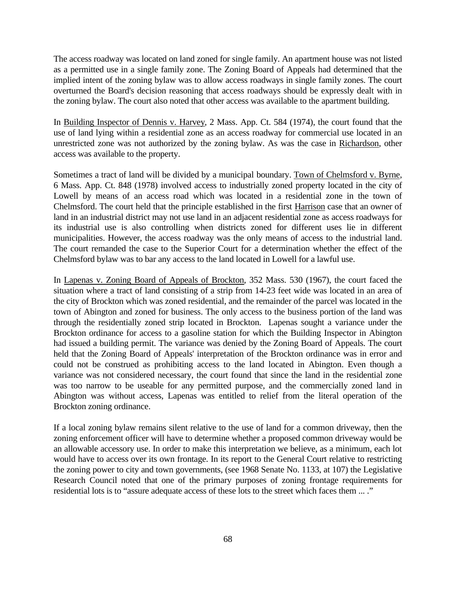The access roadway was located on land zoned for single family. An apartment house was not listed as a permitted use in a single family zone. The Zoning Board of Appeals had determined that the implied intent of the zoning bylaw was to allow access roadways in single family zones. The court overturned the Board's decision reasoning that access roadways should be expressly dealt with in the zoning bylaw. The court also noted that other access was available to the apartment building.

In Building Inspector of Dennis v. Harvey, 2 Mass. App. Ct. 584 (1974), the court found that the use of land lying within a residential zone as an access roadway for commercial use located in an unrestricted zone was not authorized by the zoning bylaw. As was the case in Richardson, other access was available to the property.

Sometimes a tract of land will be divided by a municipal boundary. Town of Chelmsford v. Byrne, 6 Mass. App. Ct. 848 (1978) involved access to industrially zoned property located in the city of Lowell by means of an access road which was located in a residential zone in the town of Chelmsford. The court held that the principle established in the first Harrison case that an owner of land in an industrial district may not use land in an adjacent residential zone as access roadways for its industrial use is also controlling when districts zoned for different uses lie in different municipalities. However, the access roadway was the only means of access to the industrial land. The court remanded the case to the Superior Court for a determination whether the effect of the Chelmsford bylaw was to bar any access to the land located in Lowell for a lawful use.

In Lapenas v. Zoning Board of Appeals of Brockton, 352 Mass. 530 (1967), the court faced the situation where a tract of land consisting of a strip from 14-23 feet wide was located in an area of the city of Brockton which was zoned residential, and the remainder of the parcel was located in the town of Abington and zoned for business. The only access to the business portion of the land was through the residentially zoned strip located in Brockton. Lapenas sought a variance under the Brockton ordinance for access to a gasoline station for which the Building Inspector in Abington had issued a building permit. The variance was denied by the Zoning Board of Appeals. The court held that the Zoning Board of Appeals' interpretation of the Brockton ordinance was in error and could not be construed as prohibiting access to the land located in Abington. Even though a variance was not considered necessary, the court found that since the land in the residential zone was too narrow to be useable for any permitted purpose, and the commercially zoned land in Abington was without access, Lapenas was entitled to relief from the literal operation of the Brockton zoning ordinance.

If a local zoning bylaw remains silent relative to the use of land for a common driveway, then the zoning enforcement officer will have to determine whether a proposed common driveway would be an allowable accessory use. In order to make this interpretation we believe, as a minimum, each lot would have to access over its own frontage. In its report to the General Court relative to restricting the zoning power to city and town governments, (see 1968 Senate No. 1133, at 107) the Legislative Research Council noted that one of the primary purposes of zoning frontage requirements for residential lots is to "assure adequate access of these lots to the street which faces them ... ."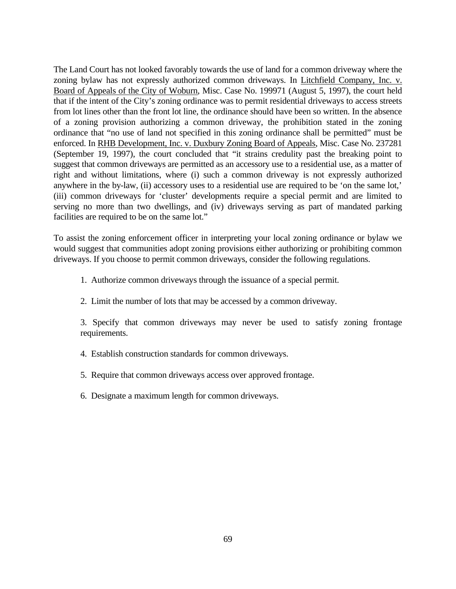The Land Court has not looked favorably towards the use of land for a common driveway where the zoning bylaw has not expressly authorized common driveways. In Litchfield Company, Inc. v. Board of Appeals of the City of Woburn, Misc. Case No. 199971 (August 5, 1997), the court held that if the intent of the City's zoning ordinance was to permit residential driveways to access streets from lot lines other than the front lot line, the ordinance should have been so written. In the absence of a zoning provision authorizing a common driveway, the prohibition stated in the zoning ordinance that "no use of land not specified in this zoning ordinance shall be permitted" must be enforced. In RHB Development, Inc. v. Duxbury Zoning Board of Appeals, Misc. Case No. 237281 (September 19, 1997), the court concluded that "it strains credulity past the breaking point to suggest that common driveways are permitted as an accessory use to a residential use, as a matter of right and without limitations, where (i) such a common driveway is not expressly authorized anywhere in the by-law, (ii) accessory uses to a residential use are required to be 'on the same lot,' (iii) common driveways for 'cluster' developments require a special permit and are limited to serving no more than two dwellings, and (iv) driveways serving as part of mandated parking facilities are required to be on the same lot."

To assist the zoning enforcement officer in interpreting your local zoning ordinance or bylaw we would suggest that communities adopt zoning provisions either authorizing or prohibiting common driveways. If you choose to permit common driveways, consider the following regulations.

1. Authorize common driveways through the issuance of a special permit.

2. Limit the number of lots that may be accessed by a common driveway.

3. Specify that common driveways may never be used to satisfy zoning frontage requirements.

4. Establish construction standards for common driveways.

- 5. Require that common driveways access over approved frontage.
- 6. Designate a maximum length for common driveways.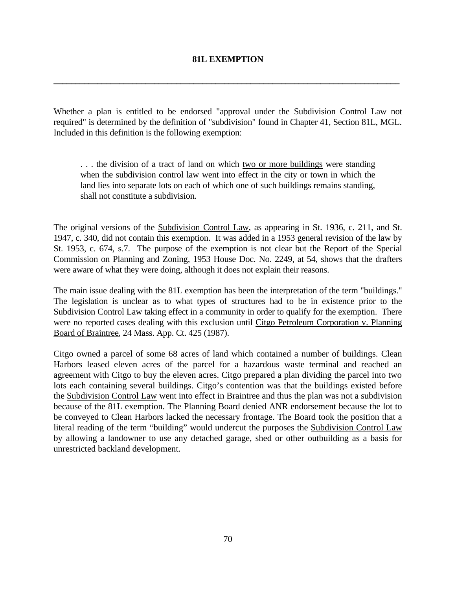#### **81L EXEMPTION**

**\_\_\_\_\_\_\_\_\_\_\_\_\_\_\_\_\_\_\_\_\_\_\_\_\_\_\_\_\_\_\_\_\_\_\_\_\_\_\_\_\_\_\_\_\_\_\_\_\_\_\_\_\_\_\_\_\_\_\_\_\_\_\_\_\_\_\_\_\_\_\_\_\_\_\_\_\_\_\_**

Whether a plan is entitled to be endorsed "approval under the Subdivision Control Law not required" is determined by the definition of "subdivision" found in Chapter 41, Section 81L, MGL. Included in this definition is the following exemption:

. . . the division of a tract of land on which two or more buildings were standing when the subdivision control law went into effect in the city or town in which the land lies into separate lots on each of which one of such buildings remains standing, shall not constitute a subdivision.

The original versions of the Subdivision Control Law, as appearing in St. 1936, c. 211, and St. 1947, c. 340, did not contain this exemption. It was added in a 1953 general revision of the law by St. 1953, c. 674, s.7. The purpose of the exemption is not clear but the Report of the Special Commission on Planning and Zoning, 1953 House Doc. No. 2249, at 54, shows that the drafters were aware of what they were doing, although it does not explain their reasons.

The main issue dealing with the 81L exemption has been the interpretation of the term "buildings." The legislation is unclear as to what types of structures had to be in existence prior to the Subdivision Control Law taking effect in a community in order to qualify for the exemption. There were no reported cases dealing with this exclusion until Citgo Petroleum Corporation v. Planning Board of Braintree, 24 Mass. App. Ct. 425 (1987).

Citgo owned a parcel of some 68 acres of land which contained a number of buildings. Clean Harbors leased eleven acres of the parcel for a hazardous waste terminal and reached an agreement with Citgo to buy the eleven acres. Citgo prepared a plan dividing the parcel into two lots each containing several buildings. Citgo's contention was that the buildings existed before the Subdivision Control Law went into effect in Braintree and thus the plan was not a subdivision because of the 81L exemption. The Planning Board denied ANR endorsement because the lot to be conveyed to Clean Harbors lacked the necessary frontage. The Board took the position that a literal reading of the term "building" would undercut the purposes the Subdivision Control Law by allowing a landowner to use any detached garage, shed or other outbuilding as a basis for unrestricted backland development.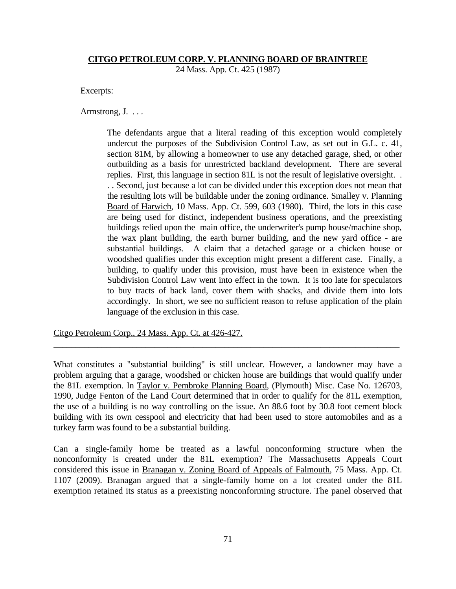#### **CITGO PETROLEUM CORP. V. PLANNING BOARD OF BRAINTREE**

24 Mass. App. Ct. 425 (1987)

Excerpts:

Armstrong, J. ...

The defendants argue that a literal reading of this exception would completely undercut the purposes of the Subdivision Control Law, as set out in G.L. c. 41, section 81M, by allowing a homeowner to use any detached garage, shed, or other outbuilding as a basis for unrestricted backland development. There are several replies. First, this language in section 81L is not the result of legislative oversight. . . . Second, just because a lot can be divided under this exception does not mean that the resulting lots will be buildable under the zoning ordinance. Smalley v. Planning Board of Harwich, 10 Mass. App. Ct. 599, 603 (1980). Third, the lots in this case are being used for distinct, independent business operations, and the preexisting buildings relied upon the main office, the underwriter's pump house/machine shop, the wax plant building, the earth burner building, and the new yard office - are substantial buildings. A claim that a detached garage or a chicken house or woodshed qualifies under this exception might present a different case. Finally, a building, to qualify under this provision, must have been in existence when the Subdivision Control Law went into effect in the town. It is too late for speculators to buy tracts of back land, cover them with shacks, and divide them into lots accordingly. In short, we see no sufficient reason to refuse application of the plain language of the exclusion in this case.

Citgo Petroleum Corp., 24 Mass. App. Ct. at 426-427.

What constitutes a "substantial building" is still unclear. However, a landowner may have a problem arguing that a garage, woodshed or chicken house are buildings that would qualify under the 81L exemption. In Taylor v. Pembroke Planning Board, (Plymouth) Misc. Case No. 126703, 1990, Judge Fenton of the Land Court determined that in order to qualify for the 81L exemption, the use of a building is no way controlling on the issue. An 88.6 foot by 30.8 foot cement block building with its own cesspool and electricity that had been used to store automobiles and as a turkey farm was found to be a substantial building.

**\_\_\_\_\_\_\_\_\_\_\_\_\_\_\_\_\_\_\_\_\_\_\_\_\_\_\_\_\_\_\_\_\_\_\_\_\_\_\_\_\_\_\_\_\_\_\_\_\_\_\_\_\_\_\_\_\_\_\_\_\_\_\_\_\_\_\_\_\_\_\_\_\_\_\_\_\_\_\_**

Can a single-family home be treated as a lawful nonconforming structure when the nonconformity is created under the 81L exemption? The Massachusetts Appeals Court considered this issue in Branagan v. Zoning Board of Appeals of Falmouth, 75 Mass. App. Ct. 1107 (2009). Branagan argued that a single-family home on a lot created under the 81L exemption retained its status as a preexisting nonconforming structure. The panel observed that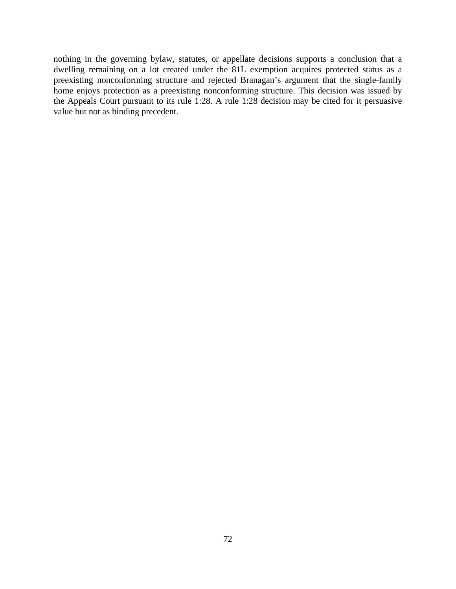nothing in the governing bylaw, statutes, or appellate decisions supports a conclusion that a dwelling remaining on a lot created under the 81L exemption acquires protected status as a preexisting nonconforming structure and rejected Branagan's argument that the single-family home enjoys protection as a preexisting nonconforming structure. This decision was issued by the Appeals Court pursuant to its rule 1:28. A rule 1:28 decision may be cited for it persuasive value but not as binding precedent.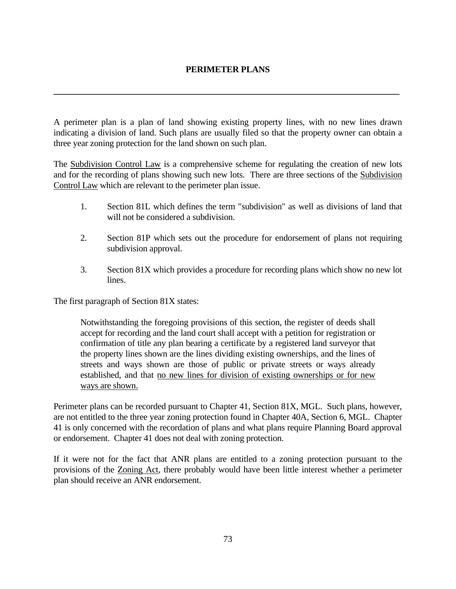# **PERIMETER PLANS**

**\_\_\_\_\_\_\_\_\_\_\_\_\_\_\_\_\_\_\_\_\_\_\_\_\_\_\_\_\_\_\_\_\_\_\_\_\_\_\_\_\_\_\_\_\_\_\_\_\_\_\_\_\_\_\_\_\_\_\_\_\_\_\_\_\_\_\_\_\_\_\_\_\_\_\_\_\_\_\_**

A perimeter plan is a plan of land showing existing property lines, with no new lines drawn indicating a division of land. Such plans are usually filed so that the property owner can obtain a three year zoning protection for the land shown on such plan.

The Subdivision Control Law is a comprehensive scheme for regulating the creation of new lots and for the recording of plans showing such new lots. There are three sections of the Subdivision Control Law which are relevant to the perimeter plan issue.

- 1. Section 81L which defines the term "subdivision" as well as divisions of land that will not be considered a subdivision.
- 2. Section 81P which sets out the procedure for endorsement of plans not requiring subdivision approval.
- 3. Section 81X which provides a procedure for recording plans which show no new lot lines.

The first paragraph of Section 81X states:

Notwithstanding the foregoing provisions of this section, the register of deeds shall accept for recording and the land court shall accept with a petition for registration or confirmation of title any plan bearing a certificate by a registered land surveyor that the property lines shown are the lines dividing existing ownerships, and the lines of streets and ways shown are those of public or private streets or ways already established, and that no new lines for division of existing ownerships or for new ways are shown.

Perimeter plans can be recorded pursuant to Chapter 41, Section 81X, MGL. Such plans, however, are not entitled to the three year zoning protection found in Chapter 40A, Section 6, MGL. Chapter 41 is only concerned with the recordation of plans and what plans require Planning Board approval or endorsement. Chapter 41 does not deal with zoning protection.

If it were not for the fact that ANR plans are entitled to a zoning protection pursuant to the provisions of the Zoning Act, there probably would have been little interest whether a perimeter plan should receive an ANR endorsement.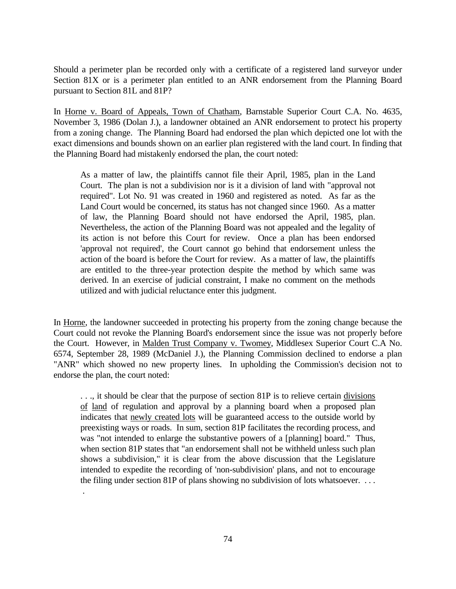Should a perimeter plan be recorded only with a certificate of a registered land surveyor under Section 81X or is a perimeter plan entitled to an ANR endorsement from the Planning Board pursuant to Section 81L and 81P?

In Horne v. Board of Appeals, Town of Chatham, Barnstable Superior Court C.A. No. 4635, November 3, 1986 (Dolan J.), a landowner obtained an ANR endorsement to protect his property from a zoning change. The Planning Board had endorsed the plan which depicted one lot with the exact dimensions and bounds shown on an earlier plan registered with the land court. In finding that the Planning Board had mistakenly endorsed the plan, the court noted:

As a matter of law, the plaintiffs cannot file their April, 1985, plan in the Land Court. The plan is not a subdivision nor is it a division of land with "approval not required". Lot No. 91 was created in 1960 and registered as noted. As far as the Land Court would be concerned, its status has not changed since 1960. As a matter of law, the Planning Board should not have endorsed the April, 1985, plan. Nevertheless, the action of the Planning Board was not appealed and the legality of its action is not before this Court for review. Once a plan has been endorsed 'approval not required', the Court cannot go behind that endorsement unless the action of the board is before the Court for review. As a matter of law, the plaintiffs are entitled to the three-year protection despite the method by which same was derived. In an exercise of judicial constraint, I make no comment on the methods utilized and with judicial reluctance enter this judgment.

In Horne, the landowner succeeded in protecting his property from the zoning change because the Court could not revoke the Planning Board's endorsement since the issue was not properly before the Court. However, in Malden Trust Company v. Twomey, Middlesex Superior Court C.A No. 6574, September 28, 1989 (McDaniel J.), the Planning Commission declined to endorse a plan "ANR" which showed no new property lines. In upholding the Commission's decision not to endorse the plan, the court noted:

. . ., it should be clear that the purpose of section 81P is to relieve certain divisions of land of regulation and approval by a planning board when a proposed plan indicates that newly created lots will be guaranteed access to the outside world by preexisting ways or roads. In sum, section 81P facilitates the recording process, and was "not intended to enlarge the substantive powers of a [planning] board." Thus, when section 81P states that "an endorsement shall not be withheld unless such plan shows a subdivision," it is clear from the above discussion that the Legislature intended to expedite the recording of 'non-subdivision' plans, and not to encourage the filing under section 81P of plans showing no subdivision of lots whatsoever. . . .

.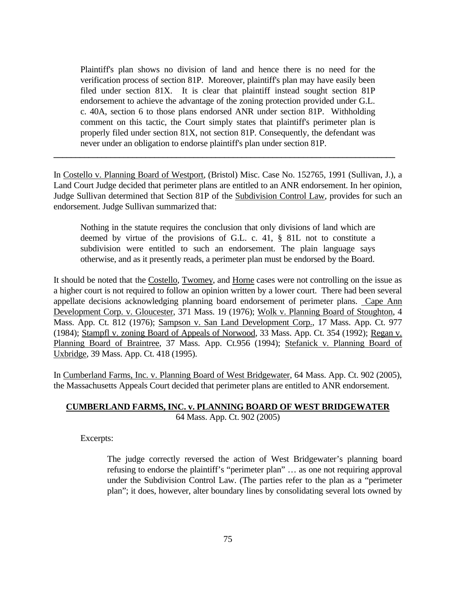Plaintiff's plan shows no division of land and hence there is no need for the verification process of section 81P. Moreover, plaintiff's plan may have easily been filed under section 81X. It is clear that plaintiff instead sought section 81P endorsement to achieve the advantage of the zoning protection provided under G.L. c. 40A, section 6 to those plans endorsed ANR under section 81P. Withholding comment on this tactic, the Court simply states that plaintiff's perimeter plan is properly filed under section 81X, not section 81P. Consequently, the defendant was never under an obligation to endorse plaintiff's plan under section 81P.

In Costello v. Planning Board of Westport, (Bristol) Misc. Case No. 152765, 1991 (Sullivan, J.), a Land Court Judge decided that perimeter plans are entitled to an ANR endorsement. In her opinion, Judge Sullivan determined that Section 81P of the Subdivision Control Law, provides for such an endorsement. Judge Sullivan summarized that:

**\_\_\_\_\_\_\_\_\_\_\_\_\_\_\_\_\_\_\_\_\_\_\_\_\_\_\_\_\_\_\_\_\_\_\_\_\_\_\_\_\_\_\_\_\_\_\_\_\_\_\_\_\_\_\_\_\_\_\_\_\_\_\_\_\_\_\_\_\_\_\_\_\_\_\_\_\_\_**

Nothing in the statute requires the conclusion that only divisions of land which are deemed by virtue of the provisions of G.L. c. 41, § 81L not to constitute a subdivision were entitled to such an endorsement. The plain language says otherwise, and as it presently reads, a perimeter plan must be endorsed by the Board.

It should be noted that the Costello, Twomey, and Horne cases were not controlling on the issue as a higher court is not required to follow an opinion written by a lower court. There had been several appellate decisions acknowledging planning board endorsement of perimeter plans. Cape Ann Development Corp. v. Gloucester, 371 Mass. 19 (1976); Wolk v. Planning Board of Stoughton, 4 Mass. App. Ct. 812 (1976); Sampson v. San Land Development Corp., 17 Mass. App. Ct. 977 (1984); Stampfl v. zoning Board of Appeals of Norwood, 33 Mass. App. Ct. 354 (1992); Regan v. Planning Board of Braintree, 37 Mass. App. Ct.956 (1994); Stefanick v. Planning Board of Uxbridge, 39 Mass. App. Ct. 418 (1995).

In Cumberland Farms, Inc. v. Planning Board of West Bridgewater, 64 Mass. App. Ct. 902 (2005), the Massachusetts Appeals Court decided that perimeter plans are entitled to ANR endorsement.

### **CUMBERLAND FARMS, INC. v. PLANNING BOARD OF WEST BRIDGEWATER** 64 Mass. App. Ct. 902 (2005)

Excerpts:

The judge correctly reversed the action of West Bridgewater's planning board refusing to endorse the plaintiff's "perimeter plan" … as one not requiring approval under the Subdivision Control Law. (The parties refer to the plan as a "perimeter plan"; it does, however, alter boundary lines by consolidating several lots owned by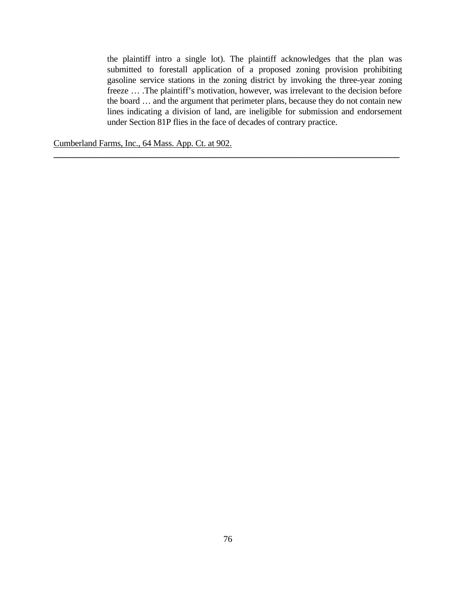the plaintiff intro a single lot). The plaintiff acknowledges that the plan was submitted to forestall application of a proposed zoning provision prohibiting gasoline service stations in the zoning district by invoking the three-year zoning freeze … .The plaintiff's motivation, however, was irrelevant to the decision before the board … and the argument that perimeter plans, because they do not contain new lines indicating a division of land, are ineligible for submission and endorsement under Section 81P flies in the face of decades of contrary practice.

**\_\_\_\_\_\_\_\_\_\_\_\_\_\_\_\_\_\_\_\_\_\_\_\_\_\_\_\_\_\_\_\_\_\_\_\_\_\_\_\_\_\_\_\_\_\_\_\_\_\_\_\_\_\_\_\_\_\_\_\_\_\_\_\_\_\_\_\_\_\_\_\_\_\_\_\_\_\_\_**

Cumberland Farms, Inc., 64 Mass. App. Ct. at 902.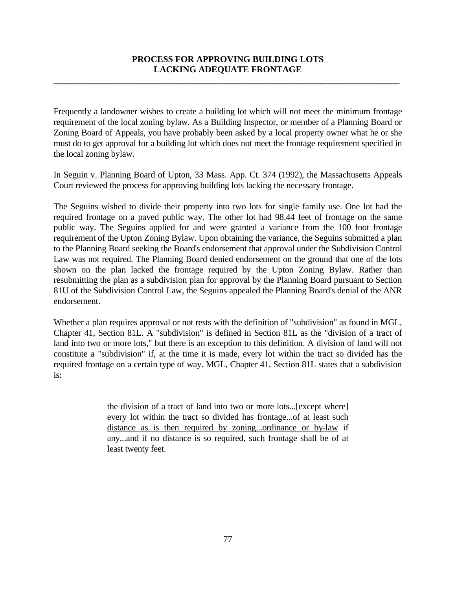# **PROCESS FOR APPROVING BUILDING LOTS LACKING ADEQUATE FRONTAGE**

**\_\_\_\_\_\_\_\_\_\_\_\_\_\_\_\_\_\_\_\_\_\_\_\_\_\_\_\_\_\_\_\_\_\_\_\_\_\_\_\_\_\_\_\_\_\_\_\_\_\_\_\_\_\_\_\_\_\_\_\_\_\_\_\_\_\_\_\_\_\_\_\_\_\_\_\_\_\_\_**

Frequently a landowner wishes to create a building lot which will not meet the minimum frontage requirement of the local zoning bylaw. As a Building Inspector, or member of a Planning Board or Zoning Board of Appeals, you have probably been asked by a local property owner what he or she must do to get approval for a building lot which does not meet the frontage requirement specified in the local zoning bylaw.

In Seguin v. Planning Board of Upton, 33 Mass. App. Ct. 374 (1992), the Massachusetts Appeals Court reviewed the process for approving building lots lacking the necessary frontage.

The Seguins wished to divide their property into two lots for single family use. One lot had the required frontage on a paved public way. The other lot had 98.44 feet of frontage on the same public way. The Seguins applied for and were granted a variance from the 100 foot frontage requirement of the Upton Zoning Bylaw. Upon obtaining the variance, the Seguins submitted a plan to the Planning Board seeking the Board's endorsement that approval under the Subdivision Control Law was not required. The Planning Board denied endorsement on the ground that one of the lots shown on the plan lacked the frontage required by the Upton Zoning Bylaw. Rather than resubmitting the plan as a subdivision plan for approval by the Planning Board pursuant to Section 81U of the Subdivision Control Law, the Seguins appealed the Planning Board's denial of the ANR endorsement.

Whether a plan requires approval or not rests with the definition of "subdivision" as found in MGL, Chapter 41, Section 81L. A "subdivision" is defined in Section 81L as the "division of a tract of land into two or more lots," but there is an exception to this definition. A division of land will not constitute a "subdivision" if, at the time it is made, every lot within the tract so divided has the required frontage on a certain type of way. MGL, Chapter 41, Section 81L states that a subdivision is:

> the division of a tract of land into two or more lots...[except where] every lot within the tract so divided has frontage...of at least such distance as is then required by zoning...ordinance or by-law if any...and if no distance is so required, such frontage shall be of at least twenty feet.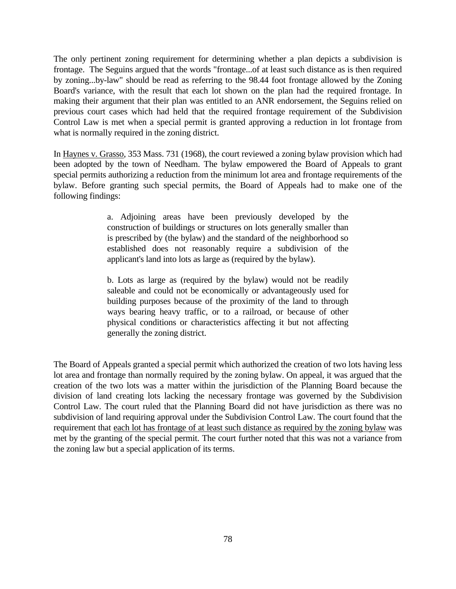The only pertinent zoning requirement for determining whether a plan depicts a subdivision is frontage. The Seguins argued that the words "frontage...of at least such distance as is then required by zoning...by-law" should be read as referring to the 98.44 foot frontage allowed by the Zoning Board's variance, with the result that each lot shown on the plan had the required frontage. In making their argument that their plan was entitled to an ANR endorsement, the Seguins relied on previous court cases which had held that the required frontage requirement of the Subdivision Control Law is met when a special permit is granted approving a reduction in lot frontage from what is normally required in the zoning district.

In Haynes v. Grasso, 353 Mass. 731 (1968), the court reviewed a zoning bylaw provision which had been adopted by the town of Needham. The bylaw empowered the Board of Appeals to grant special permits authorizing a reduction from the minimum lot area and frontage requirements of the bylaw. Before granting such special permits, the Board of Appeals had to make one of the following findings:

> a. Adjoining areas have been previously developed by the construction of buildings or structures on lots generally smaller than is prescribed by (the bylaw) and the standard of the neighborhood so established does not reasonably require a subdivision of the applicant's land into lots as large as (required by the bylaw).

> b. Lots as large as (required by the bylaw) would not be readily saleable and could not be economically or advantageously used for building purposes because of the proximity of the land to through ways bearing heavy traffic, or to a railroad, or because of other physical conditions or characteristics affecting it but not affecting generally the zoning district.

The Board of Appeals granted a special permit which authorized the creation of two lots having less lot area and frontage than normally required by the zoning bylaw. On appeal, it was argued that the creation of the two lots was a matter within the jurisdiction of the Planning Board because the division of land creating lots lacking the necessary frontage was governed by the Subdivision Control Law. The court ruled that the Planning Board did not have jurisdiction as there was no subdivision of land requiring approval under the Subdivision Control Law. The court found that the requirement that each lot has frontage of at least such distance as required by the zoning bylaw was met by the granting of the special permit. The court further noted that this was not a variance from the zoning law but a special application of its terms.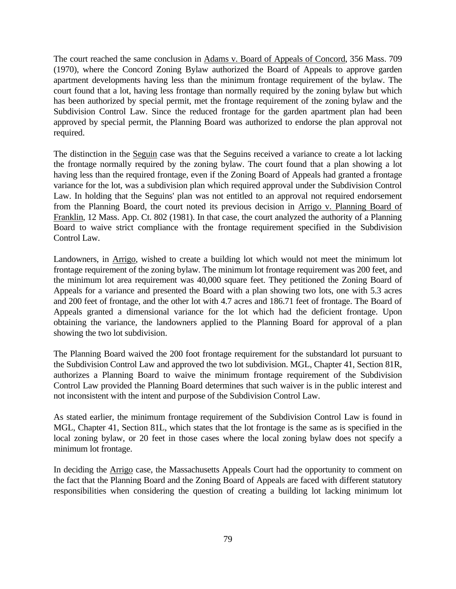The court reached the same conclusion in Adams v. Board of Appeals of Concord, 356 Mass. 709 (1970), where the Concord Zoning Bylaw authorized the Board of Appeals to approve garden apartment developments having less than the minimum frontage requirement of the bylaw. The court found that a lot, having less frontage than normally required by the zoning bylaw but which has been authorized by special permit, met the frontage requirement of the zoning bylaw and the Subdivision Control Law. Since the reduced frontage for the garden apartment plan had been approved by special permit, the Planning Board was authorized to endorse the plan approval not required.

The distinction in the Seguin case was that the Seguins received a variance to create a lot lacking the frontage normally required by the zoning bylaw. The court found that a plan showing a lot having less than the required frontage, even if the Zoning Board of Appeals had granted a frontage variance for the lot, was a subdivision plan which required approval under the Subdivision Control Law. In holding that the Seguins' plan was not entitled to an approval not required endorsement from the Planning Board, the court noted its previous decision in Arrigo v. Planning Board of Franklin, 12 Mass. App. Ct. 802 (1981). In that case, the court analyzed the authority of a Planning Board to waive strict compliance with the frontage requirement specified in the Subdivision Control Law.

Landowners, in Arrigo, wished to create a building lot which would not meet the minimum lot frontage requirement of the zoning bylaw. The minimum lot frontage requirement was 200 feet, and the minimum lot area requirement was 40,000 square feet. They petitioned the Zoning Board of Appeals for a variance and presented the Board with a plan showing two lots, one with 5.3 acres and 200 feet of frontage, and the other lot with 4.7 acres and 186.71 feet of frontage. The Board of Appeals granted a dimensional variance for the lot which had the deficient frontage. Upon obtaining the variance, the landowners applied to the Planning Board for approval of a plan showing the two lot subdivision.

The Planning Board waived the 200 foot frontage requirement for the substandard lot pursuant to the Subdivision Control Law and approved the two lot subdivision. MGL, Chapter 41, Section 81R, authorizes a Planning Board to waive the minimum frontage requirement of the Subdivision Control Law provided the Planning Board determines that such waiver is in the public interest and not inconsistent with the intent and purpose of the Subdivision Control Law.

As stated earlier, the minimum frontage requirement of the Subdivision Control Law is found in MGL, Chapter 41, Section 81L, which states that the lot frontage is the same as is specified in the local zoning bylaw, or 20 feet in those cases where the local zoning bylaw does not specify a minimum lot frontage.

In deciding the Arrigo case, the Massachusetts Appeals Court had the opportunity to comment on the fact that the Planning Board and the Zoning Board of Appeals are faced with different statutory responsibilities when considering the question of creating a building lot lacking minimum lot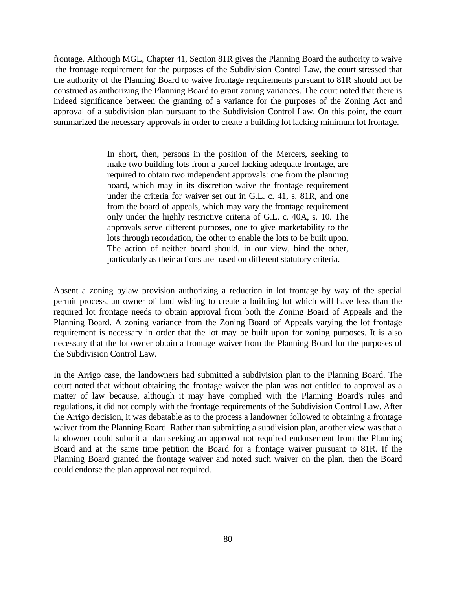frontage. Although MGL, Chapter 41, Section 81R gives the Planning Board the authority to waive the frontage requirement for the purposes of the Subdivision Control Law, the court stressed that the authority of the Planning Board to waive frontage requirements pursuant to 81R should not be construed as authorizing the Planning Board to grant zoning variances. The court noted that there is indeed significance between the granting of a variance for the purposes of the Zoning Act and approval of a subdivision plan pursuant to the Subdivision Control Law. On this point, the court summarized the necessary approvals in order to create a building lot lacking minimum lot frontage.

> In short, then, persons in the position of the Mercers, seeking to make two building lots from a parcel lacking adequate frontage, are required to obtain two independent approvals: one from the planning board, which may in its discretion waive the frontage requirement under the criteria for waiver set out in G.L. c. 41, s. 81R, and one from the board of appeals, which may vary the frontage requirement only under the highly restrictive criteria of G.L. c. 40A, s. 10. The approvals serve different purposes, one to give marketability to the lots through recordation, the other to enable the lots to be built upon. The action of neither board should, in our view, bind the other, particularly as their actions are based on different statutory criteria.

Absent a zoning bylaw provision authorizing a reduction in lot frontage by way of the special permit process, an owner of land wishing to create a building lot which will have less than the required lot frontage needs to obtain approval from both the Zoning Board of Appeals and the Planning Board. A zoning variance from the Zoning Board of Appeals varying the lot frontage requirement is necessary in order that the lot may be built upon for zoning purposes. It is also necessary that the lot owner obtain a frontage waiver from the Planning Board for the purposes of the Subdivision Control Law.

In the Arrigo case, the landowners had submitted a subdivision plan to the Planning Board. The court noted that without obtaining the frontage waiver the plan was not entitled to approval as a matter of law because, although it may have complied with the Planning Board's rules and regulations, it did not comply with the frontage requirements of the Subdivision Control Law. After the Arrigo decision, it was debatable as to the process a landowner followed to obtaining a frontage waiver from the Planning Board. Rather than submitting a subdivision plan, another view was that a landowner could submit a plan seeking an approval not required endorsement from the Planning Board and at the same time petition the Board for a frontage waiver pursuant to 81R. If the Planning Board granted the frontage waiver and noted such waiver on the plan, then the Board could endorse the plan approval not required.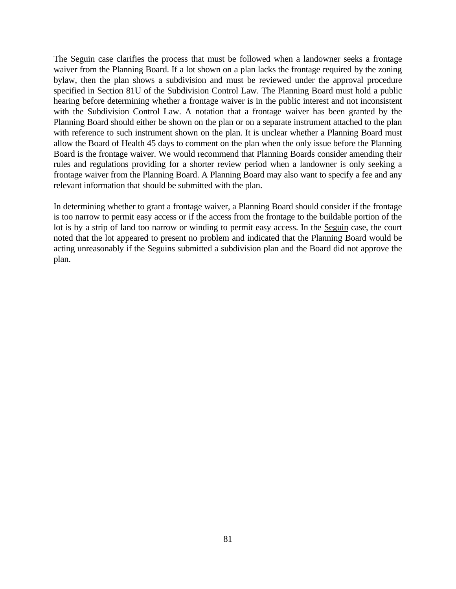The Seguin case clarifies the process that must be followed when a landowner seeks a frontage waiver from the Planning Board. If a lot shown on a plan lacks the frontage required by the zoning bylaw, then the plan shows a subdivision and must be reviewed under the approval procedure specified in Section 81U of the Subdivision Control Law. The Planning Board must hold a public hearing before determining whether a frontage waiver is in the public interest and not inconsistent with the Subdivision Control Law. A notation that a frontage waiver has been granted by the Planning Board should either be shown on the plan or on a separate instrument attached to the plan with reference to such instrument shown on the plan. It is unclear whether a Planning Board must allow the Board of Health 45 days to comment on the plan when the only issue before the Planning Board is the frontage waiver. We would recommend that Planning Boards consider amending their rules and regulations providing for a shorter review period when a landowner is only seeking a frontage waiver from the Planning Board. A Planning Board may also want to specify a fee and any relevant information that should be submitted with the plan.

In determining whether to grant a frontage waiver, a Planning Board should consider if the frontage is too narrow to permit easy access or if the access from the frontage to the buildable portion of the lot is by a strip of land too narrow or winding to permit easy access. In the Seguin case, the court noted that the lot appeared to present no problem and indicated that the Planning Board would be acting unreasonably if the Seguins submitted a subdivision plan and the Board did not approve the plan.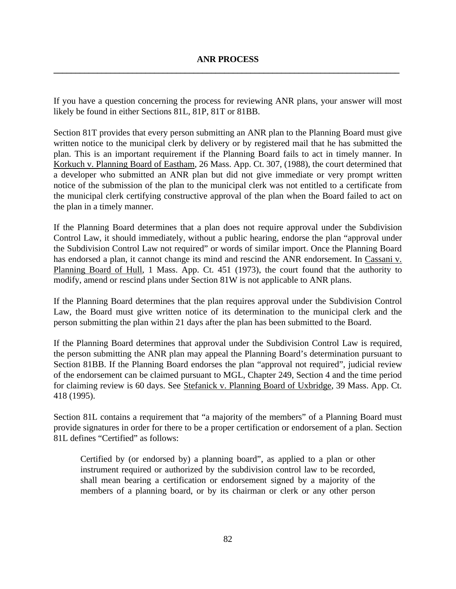If you have a question concerning the process for reviewing ANR plans, your answer will most likely be found in either Sections 81L, 81P, 81T or 81BB.

Section 81T provides that every person submitting an ANR plan to the Planning Board must give written notice to the municipal clerk by delivery or by registered mail that he has submitted the plan. This is an important requirement if the Planning Board fails to act in timely manner. In Korkuch v. Planning Board of Eastham, 26 Mass. App. Ct. 307, (1988), the court determined that a developer who submitted an ANR plan but did not give immediate or very prompt written notice of the submission of the plan to the municipal clerk was not entitled to a certificate from the municipal clerk certifying constructive approval of the plan when the Board failed to act on the plan in a timely manner.

If the Planning Board determines that a plan does not require approval under the Subdivision Control Law, it should immediately, without a public hearing, endorse the plan "approval under the Subdivision Control Law not required" or words of similar import. Once the Planning Board has endorsed a plan, it cannot change its mind and rescind the ANR endorsement. In Cassani v. Planning Board of Hull, 1 Mass. App. Ct. 451 (1973), the court found that the authority to modify, amend or rescind plans under Section 81W is not applicable to ANR plans.

If the Planning Board determines that the plan requires approval under the Subdivision Control Law, the Board must give written notice of its determination to the municipal clerk and the person submitting the plan within 21 days after the plan has been submitted to the Board.

If the Planning Board determines that approval under the Subdivision Control Law is required, the person submitting the ANR plan may appeal the Planning Board's determination pursuant to Section 81BB. If the Planning Board endorses the plan "approval not required", judicial review of the endorsement can be claimed pursuant to MGL, Chapter 249, Section 4 and the time period for claiming review is 60 days. See Stefanick v. Planning Board of Uxbridge, 39 Mass. App. Ct. 418 (1995).

Section 81L contains a requirement that "a majority of the members" of a Planning Board must provide signatures in order for there to be a proper certification or endorsement of a plan. Section 81L defines "Certified" as follows:

Certified by (or endorsed by) a planning board", as applied to a plan or other instrument required or authorized by the subdivision control law to be recorded, shall mean bearing a certification or endorsement signed by a majority of the members of a planning board, or by its chairman or clerk or any other person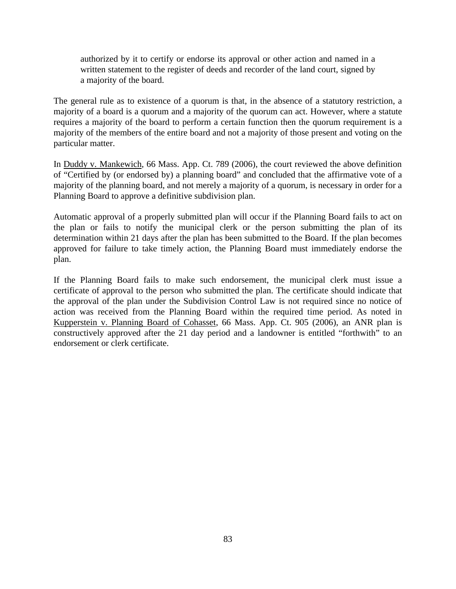authorized by it to certify or endorse its approval or other action and named in a written statement to the register of deeds and recorder of the land court, signed by a majority of the board.

The general rule as to existence of a quorum is that, in the absence of a statutory restriction, a majority of a board is a quorum and a majority of the quorum can act. However, where a statute requires a majority of the board to perform a certain function then the quorum requirement is a majority of the members of the entire board and not a majority of those present and voting on the particular matter.

In Duddy v. Mankewich, 66 Mass. App. Ct. 789 (2006), the court reviewed the above definition of "Certified by (or endorsed by) a planning board" and concluded that the affirmative vote of a majority of the planning board, and not merely a majority of a quorum, is necessary in order for a Planning Board to approve a definitive subdivision plan.

Automatic approval of a properly submitted plan will occur if the Planning Board fails to act on the plan or fails to notify the municipal clerk or the person submitting the plan of its determination within 21 days after the plan has been submitted to the Board. If the plan becomes approved for failure to take timely action, the Planning Board must immediately endorse the plan.

If the Planning Board fails to make such endorsement, the municipal clerk must issue a certificate of approval to the person who submitted the plan. The certificate should indicate that the approval of the plan under the Subdivision Control Law is not required since no notice of action was received from the Planning Board within the required time period. As noted in Kupperstein v. Planning Board of Cohasset, 66 Mass. App. Ct. 905 (2006), an ANR plan is constructively approved after the 21 day period and a landowner is entitled "forthwith" to an endorsement or clerk certificate.